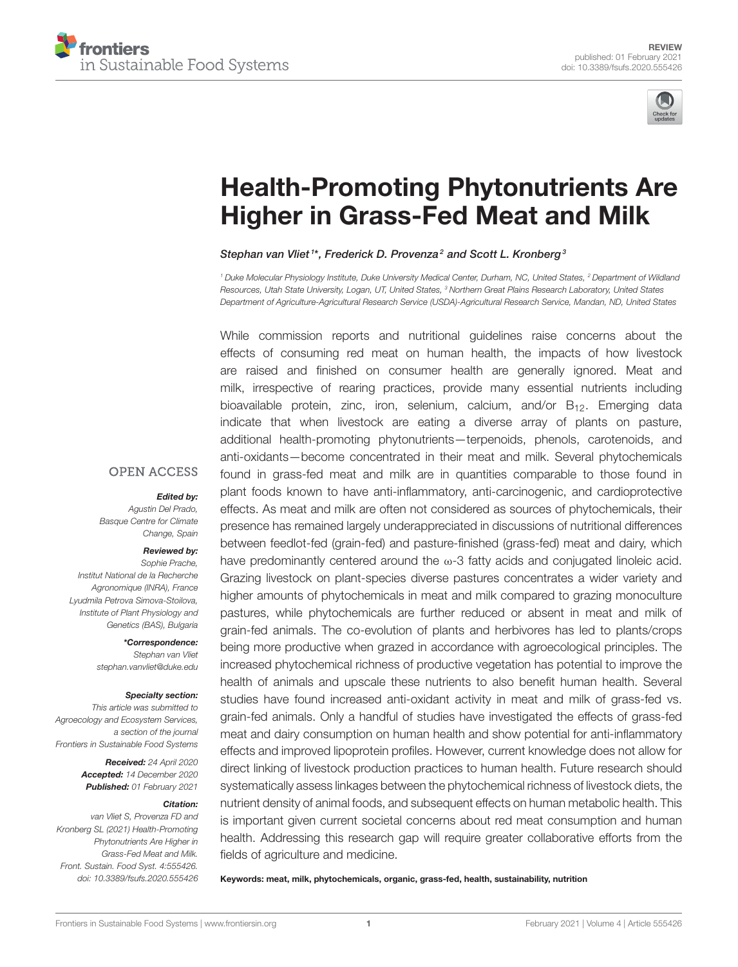



# [Health-Promoting Phytonutrients Are](https://www.frontiersin.org/articles/10.3389/fsufs.2020.555426/full) Higher in Grass-Fed Meat and Milk

#### Stephan van Vliet<sup>1\*</sup>, Frederick D. Provenza<sup>2</sup> and Scott L. Kronberg<sup>3</sup>

*<sup>1</sup> Duke Molecular Physiology Institute, Duke University Medical Center, Durham, NC, United States, <sup>2</sup> Department of Wildland Resources, Utah State University, Logan, UT, United States, <sup>3</sup> Northern Great Plains Research Laboratory, United States Department of Agriculture-Agricultural Research Service (USDA)-Agricultural Research Service, Mandan, ND, United States*

While commission reports and nutritional guidelines raise concerns about the effects of consuming red meat on human health, the impacts of how livestock are raised and finished on consumer health are generally ignored. Meat and milk, irrespective of rearing practices, provide many essential nutrients including bioavailable protein, zinc, iron, selenium, calcium, and/or  $B_{12}$ . Emerging data indicate that when livestock are eating a diverse array of plants on pasture, additional health-promoting phytonutrients—terpenoids, phenols, carotenoids, and anti-oxidants—become concentrated in their meat and milk. Several phytochemicals found in grass-fed meat and milk are in quantities comparable to those found in plant foods known to have anti-inflammatory, anti-carcinogenic, and cardioprotective effects. As meat and milk are often not considered as sources of phytochemicals, their presence has remained largely underappreciated in discussions of nutritional differences between feedlot-fed (grain-fed) and pasture-finished (grass-fed) meat and dairy, which have predominantly centered around the  $\omega$ -3 fatty acids and conjugated linoleic acid. Grazing livestock on plant-species diverse pastures concentrates a wider variety and higher amounts of phytochemicals in meat and milk compared to grazing monoculture pastures, while phytochemicals are further reduced or absent in meat and milk of grain-fed animals. The co-evolution of plants and herbivores has led to plants/crops being more productive when grazed in accordance with agroecological principles. The increased phytochemical richness of productive vegetation has potential to improve the health of animals and upscale these nutrients to also benefit human health. Several studies have found increased anti-oxidant activity in meat and milk of grass-fed vs. grain-fed animals. Only a handful of studies have investigated the effects of grass-fed meat and dairy consumption on human health and show potential for anti-inflammatory effects and improved lipoprotein profiles. However, current knowledge does not allow for direct linking of livestock production practices to human health. Future research should systematically assess linkages between the phytochemical richness of livestock diets, the nutrient density of animal foods, and subsequent effects on human metabolic health. This is important given current societal concerns about red meat consumption and human health. Addressing this research gap will require greater collaborative efforts from the fields of agriculture and medicine.

Keywords: meat, milk, phytochemicals, organic, grass-fed, health, sustainability, nutrition

**OPEN ACCESS** 

#### Edited by:

*Agustin Del Prado, Basque Centre for Climate Change, Spain*

#### Reviewed by:

*Sophie Prache, Institut National de la Recherche Agronomique (INRA), France Lyudmila Petrova Simova-Stoilova, Institute of Plant Physiology and Genetics (BAS), Bulgaria*

> \*Correspondence: *Stephan van Vliet [stephan.vanvliet@duke.edu](mailto:stephan.vanvliet@duke.edu)*

#### Specialty section:

*This article was submitted to Agroecology and Ecosystem Services, a section of the journal Frontiers in Sustainable Food Systems*

> Received: *24 April 2020* Accepted: *14 December 2020* Published: *01 February 2021*

#### Citation:

*van Vliet S, Provenza FD and Kronberg SL (2021) Health-Promoting Phytonutrients Are Higher in Grass-Fed Meat and Milk. Front. Sustain. Food Syst. 4:555426. doi: [10.3389/fsufs.2020.555426](https://doi.org/10.3389/fsufs.2020.555426)*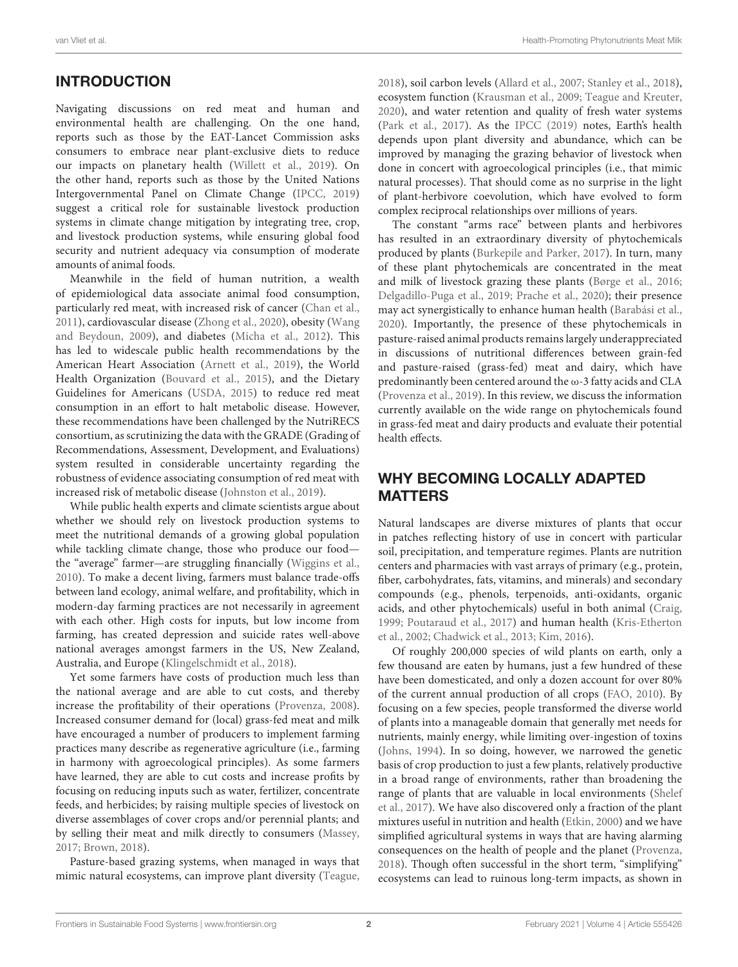# INTRODUCTION

Navigating discussions on red meat and human and environmental health are challenging. On the one hand, reports such as those by the EAT-Lancet Commission asks consumers to embrace near plant-exclusive diets to reduce our impacts on planetary health [\(Willett et al., 2019\)](#page-19-0). On the other hand, reports such as those by the United Nations Intergovernmental Panel on Climate Change [\(IPCC, 2019\)](#page-15-0) suggest a critical role for sustainable livestock production systems in climate change mitigation by integrating tree, crop, and livestock production systems, while ensuring global food security and nutrient adequacy via consumption of moderate amounts of animal foods.

Meanwhile in the field of human nutrition, a wealth of epidemiological data associate animal food consumption, particularly red meat, with increased risk of cancer [\(Chan et al.,](#page-14-0) [2011\)](#page-14-0), cardiovascular disease [\(Zhong et al., 2020\)](#page-19-1), obesity (Wang and Beydoun, [2009\)](#page-19-2), and diabetes [\(Micha et al., 2012\)](#page-17-0). This has led to widescale public health recommendations by the American Heart Association [\(Arnett et al., 2019\)](#page-13-0), the World Health Organization [\(Bouvard et al., 2015\)](#page-13-1), and the Dietary Guidelines for Americans [\(USDA, 2015\)](#page-19-3) to reduce red meat consumption in an effort to halt metabolic disease. However, these recommendations have been challenged by the NutriRECS consortium, as scrutinizing the data with the GRADE (Grading of Recommendations, Assessment, Development, and Evaluations) system resulted in considerable uncertainty regarding the robustness of evidence associating consumption of red meat with increased risk of metabolic disease [\(Johnston et al., 2019\)](#page-16-0).

While public health experts and climate scientists argue about whether we should rely on livestock production systems to meet the nutritional demands of a growing global population while tackling climate change, those who produce our food the "average" farmer—are struggling financially [\(Wiggins et al.,](#page-19-4) [2010\)](#page-19-4). To make a decent living, farmers must balance trade-offs between land ecology, animal welfare, and profitability, which in modern-day farming practices are not necessarily in agreement with each other. High costs for inputs, but low income from farming, has created depression and suicide rates well-above national averages amongst farmers in the US, New Zealand, Australia, and Europe [\(Klingelschmidt et al., 2018\)](#page-16-1).

Yet some farmers have costs of production much less than the national average and are able to cut costs, and thereby increase the profitability of their operations [\(Provenza, 2008\)](#page-18-0). Increased consumer demand for (local) grass-fed meat and milk have encouraged a number of producers to implement farming practices many describe as regenerative agriculture (i.e., farming in harmony with agroecological principles). As some farmers have learned, they are able to cut costs and increase profits by focusing on reducing inputs such as water, fertilizer, concentrate feeds, and herbicides; by raising multiple species of livestock on diverse assemblages of cover crops and/or perennial plants; and by selling their meat and milk directly to consumers [\(Massey,](#page-17-1) [2017;](#page-17-1) [Brown, 2018\)](#page-13-2).

Pasture-based grazing systems, when managed in ways that mimic natural ecosystems, can improve plant diversity [\(Teague,](#page-19-5) [2018\)](#page-19-5), soil carbon levels [\(Allard et al., 2007;](#page-13-3) [Stanley et al., 2018\)](#page-18-1), ecosystem function [\(Krausman et al., 2009;](#page-16-2) [Teague and Kreuter,](#page-19-6) [2020\)](#page-19-6), and water retention and quality of fresh water systems [\(Park et al., 2017\)](#page-17-2). As the [IPCC \(2019\)](#page-15-0) notes, Earth's health depends upon plant diversity and abundance, which can be improved by managing the grazing behavior of livestock when done in concert with agroecological principles (i.e., that mimic natural processes). That should come as no surprise in the light of plant-herbivore coevolution, which have evolved to form complex reciprocal relationships over millions of years.

The constant "arms race" between plants and herbivores has resulted in an extraordinary diversity of phytochemicals produced by plants [\(Burkepile and Parker, 2017\)](#page-13-4). In turn, many of these plant phytochemicals are concentrated in the meat and milk of livestock grazing these plants [\(Børge et al., 2016;](#page-13-5) [Delgadillo-Puga et al., 2019;](#page-14-1) [Prache et al., 2020\)](#page-18-2); their presence may act synergistically to enhance human health [\(Barabási et al.,](#page-13-6) [2020\)](#page-13-6). Importantly, the presence of these phytochemicals in pasture-raised animal products remains largely underappreciated in discussions of nutritional differences between grain-fed and pasture-raised (grass-fed) meat and dairy, which have predominantly been centered around the ω-3 fatty acids and CLA [\(Provenza et al., 2019\)](#page-18-3). In this review, we discuss the information currently available on the wide range on phytochemicals found in grass-fed meat and dairy products and evaluate their potential health effects.

# WHY BECOMING LOCALLY ADAPTED MATTERS

Natural landscapes are diverse mixtures of plants that occur in patches reflecting history of use in concert with particular soil, precipitation, and temperature regimes. Plants are nutrition centers and pharmacies with vast arrays of primary (e.g., protein, fiber, carbohydrates, fats, vitamins, and minerals) and secondary compounds (e.g., phenols, terpenoids, anti-oxidants, organic acids, and other phytochemicals) useful in both animal [\(Craig,](#page-14-2) [1999;](#page-14-2) [Poutaraud et al., 2017\)](#page-18-4) and human health (Kris-Etherton et al., [2002;](#page-16-3) [Chadwick et al., 2013;](#page-13-7) [Kim, 2016\)](#page-16-4).

Of roughly 200,000 species of wild plants on earth, only a few thousand are eaten by humans, just a few hundred of these have been domesticated, and only a dozen account for over 80% of the current annual production of all crops [\(FAO, 2010\)](#page-15-1). By focusing on a few species, people transformed the diverse world of plants into a manageable domain that generally met needs for nutrients, mainly energy, while limiting over-ingestion of toxins [\(Johns, 1994\)](#page-16-5). In so doing, however, we narrowed the genetic basis of crop production to just a few plants, relatively productive in a broad range of environments, rather than broadening the range of plants that are valuable in local environments (Shelef et al., [2017\)](#page-18-5). We have also discovered only a fraction of the plant mixtures useful in nutrition and health [\(Etkin, 2000\)](#page-15-2) and we have simplified agricultural systems in ways that are having alarming consequences on the health of people and the planet [\(Provenza,](#page-18-6) [2018\)](#page-18-6). Though often successful in the short term, "simplifying" ecosystems can lead to ruinous long-term impacts, as shown in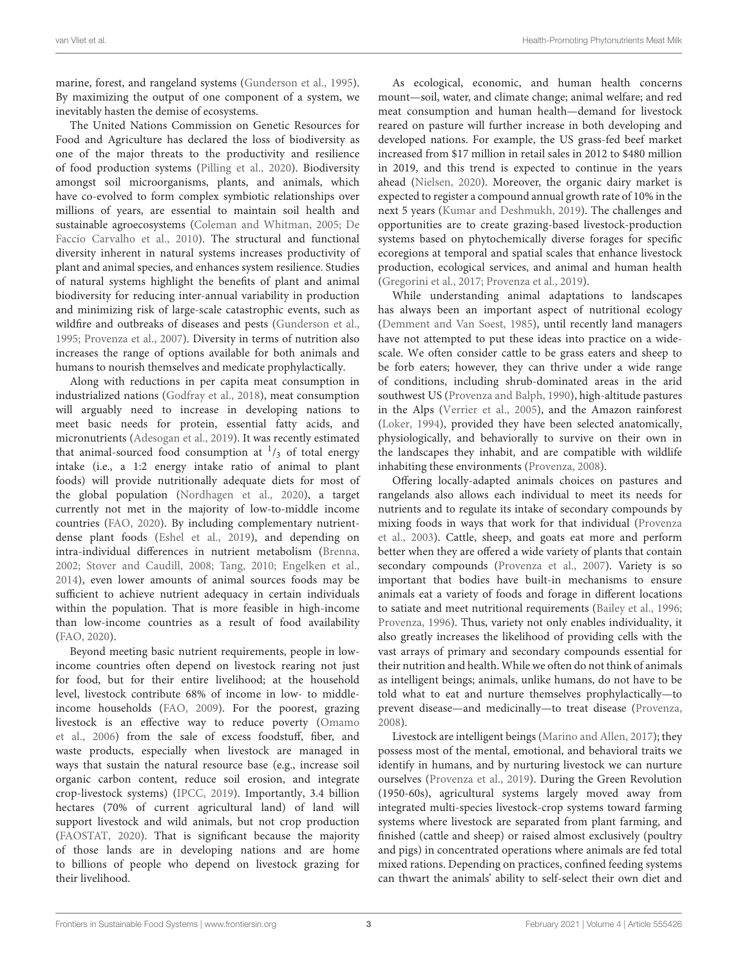marine, forest, and rangeland systems [\(Gunderson et al., 1995\)](#page-15-3). By maximizing the output of one component of a system, we inevitably hasten the demise of ecosystems.

The United Nations Commission on Genetic Resources for Food and Agriculture has declared the loss of biodiversity as one of the major threats to the productivity and resilience of food production systems [\(Pilling et al., 2020\)](#page-17-3). Biodiversity amongst soil microorganisms, plants, and animals, which have co-evolved to form complex symbiotic relationships over millions of years, are essential to maintain soil health and sustainable agroecosystems [\(Coleman and Whitman, 2005;](#page-14-3) De Faccio Carvalho et al., [2010\)](#page-14-4). The structural and functional diversity inherent in natural systems increases productivity of plant and animal species, and enhances system resilience. Studies of natural systems highlight the benefits of plant and animal biodiversity for reducing inter-annual variability in production and minimizing risk of large-scale catastrophic events, such as wildfire and outbreaks of diseases and pests [\(Gunderson et al.,](#page-15-3) [1995;](#page-15-3) [Provenza et al., 2007\)](#page-18-7). Diversity in terms of nutrition also increases the range of options available for both animals and humans to nourish themselves and medicate prophylactically.

Along with reductions in per capita meat consumption in industrialized nations [\(Godfray et al., 2018\)](#page-15-4), meat consumption will arguably need to increase in developing nations to meet basic needs for protein, essential fatty acids, and micronutrients [\(Adesogan et al., 2019\)](#page-13-8). It was recently estimated that animal-sourced food consumption at  $\frac{1}{3}$  of total energy intake (i.e., a 1:2 energy intake ratio of animal to plant foods) will provide nutritionally adequate diets for most of the global population [\(Nordhagen et al., 2020\)](#page-17-4), a target currently not met in the majority of low-to-middle income countries [\(FAO, 2020\)](#page-15-5). By including complementary nutrientdense plant foods [\(Eshel et al., 2019\)](#page-14-5), and depending on intra-individual differences in nutrient metabolism [\(Brenna,](#page-13-9) [2002;](#page-13-9) [Stover and Caudill, 2008;](#page-18-8) [Tang, 2010;](#page-18-9) [Engelken et al.,](#page-14-6) [2014\)](#page-14-6), even lower amounts of animal sources foods may be sufficient to achieve nutrient adequacy in certain individuals within the population. That is more feasible in high-income than low-income countries as a result of food availability [\(FAO, 2020\)](#page-15-5).

Beyond meeting basic nutrient requirements, people in lowincome countries often depend on livestock rearing not just for food, but for their entire livelihood; at the household level, livestock contribute 68% of income in low- to middleincome households [\(FAO, 2009\)](#page-15-6). For the poorest, grazing livestock is an effective way to reduce poverty (Omamo et al., [2006\)](#page-17-5) from the sale of excess foodstuff, fiber, and waste products, especially when livestock are managed in ways that sustain the natural resource base (e.g., increase soil organic carbon content, reduce soil erosion, and integrate crop-livestock systems) [\(IPCC, 2019\)](#page-15-0). Importantly, 3.4 billion hectares (70% of current agricultural land) of land will support livestock and wild animals, but not crop production [\(FAOSTAT, 2020\)](#page-15-7). That is significant because the majority of those lands are in developing nations and are home to billions of people who depend on livestock grazing for their livelihood.

As ecological, economic, and human health concerns mount—soil, water, and climate change; animal welfare; and red meat consumption and human health—demand for livestock reared on pasture will further increase in both developing and developed nations. For example, the US grass-fed beef market increased from \$17 million in retail sales in 2012 to \$480 million in 2019, and this trend is expected to continue in the years ahead [\(Nielsen, 2020\)](#page-17-6). Moreover, the organic dairy market is expected to register a compound annual growth rate of 10% in the next 5 years [\(Kumar and Deshmukh, 2019\)](#page-16-6). The challenges and opportunities are to create grazing-based livestock-production systems based on phytochemically diverse forages for specific ecoregions at temporal and spatial scales that enhance livestock production, ecological services, and animal and human health [\(Gregorini et al., 2017;](#page-15-8) [Provenza et al., 2019\)](#page-18-3).

While understanding animal adaptations to landscapes has always been an important aspect of nutritional ecology [\(Demment and Van Soest, 1985\)](#page-14-7), until recently land managers have not attempted to put these ideas into practice on a widescale. We often consider cattle to be grass eaters and sheep to be forb eaters; however, they can thrive under a wide range of conditions, including shrub-dominated areas in the arid southwest US [\(Provenza and Balph, 1990\)](#page-18-10), high-altitude pastures in the Alps [\(Verrier et al., 2005\)](#page-19-7), and the Amazon rainforest [\(Loker, 1994\)](#page-16-7), provided they have been selected anatomically, physiologically, and behaviorally to survive on their own in the landscapes they inhabit, and are compatible with wildlife inhabiting these environments [\(Provenza, 2008\)](#page-18-0).

Offering locally-adapted animals choices on pastures and rangelands also allows each individual to meet its needs for nutrients and to regulate its intake of secondary compounds by mixing foods in ways that work for that individual (Provenza et al., [2003\)](#page-18-11). Cattle, sheep, and goats eat more and perform better when they are offered a wide variety of plants that contain secondary compounds [\(Provenza et al., 2007\)](#page-18-7). Variety is so important that bodies have built-in mechanisms to ensure animals eat a variety of foods and forage in different locations to satiate and meet nutritional requirements [\(Bailey et al., 1996;](#page-13-10) [Provenza, 1996\)](#page-18-12). Thus, variety not only enables individuality, it also greatly increases the likelihood of providing cells with the vast arrays of primary and secondary compounds essential for their nutrition and health. While we often do not think of animals as intelligent beings; animals, unlike humans, do not have to be told what to eat and nurture themselves prophylactically—to prevent disease—and medicinally—to treat disease [\(Provenza,](#page-18-0) [2008\)](#page-18-0).

Livestock are intelligent beings [\(Marino and Allen, 2017\)](#page-17-7); they possess most of the mental, emotional, and behavioral traits we identify in humans, and by nurturing livestock we can nurture ourselves [\(Provenza et al., 2019\)](#page-18-3). During the Green Revolution (1950-60s), agricultural systems largely moved away from integrated multi-species livestock-crop systems toward farming systems where livestock are separated from plant farming, and finished (cattle and sheep) or raised almost exclusively (poultry and pigs) in concentrated operations where animals are fed total mixed rations. Depending on practices, confined feeding systems can thwart the animals' ability to self-select their own diet and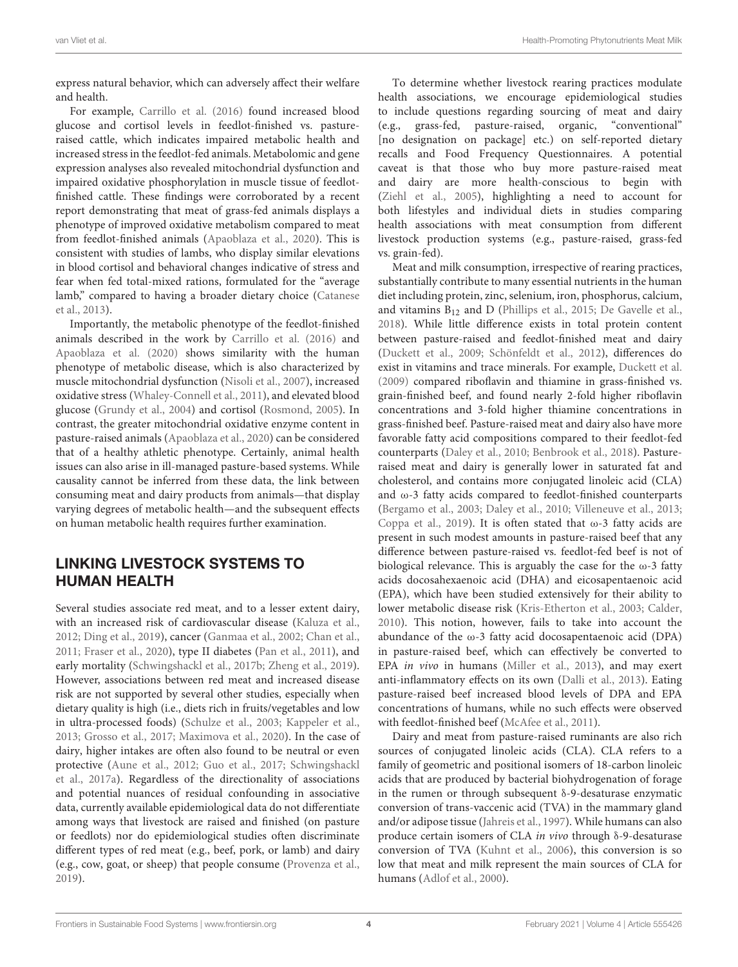express natural behavior, which can adversely affect their welfare and health.

For example, [Carrillo et al. \(2016\)](#page-13-11) found increased blood glucose and cortisol levels in feedlot-finished vs. pastureraised cattle, which indicates impaired metabolic health and increased stress in the feedlot-fed animals. Metabolomic and gene expression analyses also revealed mitochondrial dysfunction and impaired oxidative phosphorylation in muscle tissue of feedlotfinished cattle. These findings were corroborated by a recent report demonstrating that meat of grass-fed animals displays a phenotype of improved oxidative metabolism compared to meat from feedlot-finished animals [\(Apaoblaza et al., 2020\)](#page-13-12). This is consistent with studies of lambs, who display similar elevations in blood cortisol and behavioral changes indicative of stress and fear when fed total-mixed rations, formulated for the "average lamb," compared to having a broader dietary choice (Catanese et al., [2013\)](#page-13-13).

Importantly, the metabolic phenotype of the feedlot-finished animals described in the work by [Carrillo et al. \(2016\)](#page-13-11) and [Apaoblaza et al. \(2020\)](#page-13-12) shows similarity with the human phenotype of metabolic disease, which is also characterized by muscle mitochondrial dysfunction [\(Nisoli et al., 2007\)](#page-17-8), increased oxidative stress [\(Whaley-Connell et al., 2011\)](#page-19-8), and elevated blood glucose [\(Grundy et al., 2004\)](#page-15-9) and cortisol [\(Rosmond, 2005\)](#page-18-13). In contrast, the greater mitochondrial oxidative enzyme content in pasture-raised animals [\(Apaoblaza et al., 2020\)](#page-13-12) can be considered that of a healthy athletic phenotype. Certainly, animal health issues can also arise in ill-managed pasture-based systems. While causality cannot be inferred from these data, the link between consuming meat and dairy products from animals—that display varying degrees of metabolic health—and the subsequent effects on human metabolic health requires further examination.

## LINKING LIVESTOCK SYSTEMS TO HUMAN HEALTH

Several studies associate red meat, and to a lesser extent dairy, with an increased risk of cardiovascular disease [\(Kaluza et al.,](#page-16-8) [2012;](#page-16-8) [Ding et al., 2019\)](#page-14-8), cancer [\(Ganmaa et al., 2002;](#page-15-10) [Chan et al.,](#page-14-0) [2011;](#page-14-0) [Fraser et al., 2020\)](#page-15-11), type II diabetes [\(Pan et al., 2011\)](#page-17-9), and early mortality [\(Schwingshackl et al., 2017b;](#page-18-14) [Zheng et al., 2019\)](#page-19-9). However, associations between red meat and increased disease risk are not supported by several other studies, especially when dietary quality is high (i.e., diets rich in fruits/vegetables and low in ultra-processed foods) [\(Schulze et al., 2003;](#page-18-15) [Kappeler et al.,](#page-16-9) [2013;](#page-16-9) [Grosso et al., 2017;](#page-15-12) [Maximova et al., 2020\)](#page-17-10). In the case of dairy, higher intakes are often also found to be neutral or even protective [\(Aune et al., 2012;](#page-13-14) [Guo et al., 2017;](#page-15-13) Schwingshackl et al., [2017a\)](#page-18-16). Regardless of the directionality of associations and potential nuances of residual confounding in associative data, currently available epidemiological data do not differentiate among ways that livestock are raised and finished (on pasture or feedlots) nor do epidemiological studies often discriminate different types of red meat (e.g., beef, pork, or lamb) and dairy (e.g., cow, goat, or sheep) that people consume [\(Provenza et al.,](#page-18-3) [2019\)](#page-18-3).

To determine whether livestock rearing practices modulate health associations, we encourage epidemiological studies to include questions regarding sourcing of meat and dairy (e.g., grass-fed, pasture-raised, organic, "conventional" [no designation on package] etc.) on self-reported dietary recalls and Food Frequency Questionnaires. A potential caveat is that those who buy more pasture-raised meat and dairy are more health-conscious to begin with [\(Ziehl et al., 2005\)](#page-19-10), highlighting a need to account for both lifestyles and individual diets in studies comparing health associations with meat consumption from different livestock production systems (e.g., pasture-raised, grass-fed vs. grain-fed).

Meat and milk consumption, irrespective of rearing practices, substantially contribute to many essential nutrients in the human diet including protein, zinc, selenium, iron, phosphorus, calcium, and vitamins  $B_{12}$  and D [\(Phillips et al., 2015;](#page-17-11) [De Gavelle et al.,](#page-14-9) [2018\)](#page-14-9). While little difference exists in total protein content between pasture-raised and feedlot-finished meat and dairy [\(Duckett et al., 2009;](#page-14-10) [Schönfeldt et al., 2012\)](#page-18-17), differences do exist in vitamins and trace minerals. For example, [Duckett et al.](#page-14-10) [\(2009\)](#page-14-10) compared riboflavin and thiamine in grass-finished vs. grain-finished beef, and found nearly 2-fold higher riboflavin concentrations and 3-fold higher thiamine concentrations in grass-finished beef. Pasture-raised meat and dairy also have more favorable fatty acid compositions compared to their feedlot-fed counterparts [\(Daley et al., 2010;](#page-14-11) [Benbrook et al., 2018\)](#page-13-15). Pastureraised meat and dairy is generally lower in saturated fat and cholesterol, and contains more conjugated linoleic acid (CLA) and ω-3 fatty acids compared to feedlot-finished counterparts [\(Bergamo et al., 2003;](#page-13-16) [Daley et al., 2010;](#page-14-11) [Villeneuve et al., 2013;](#page-19-11) [Coppa et al., 2019\)](#page-14-12). It is often stated that ω-3 fatty acids are present in such modest amounts in pasture-raised beef that any difference between pasture-raised vs. feedlot-fed beef is not of biological relevance. This is arguably the case for the  $\omega$ -3 fatty acids docosahexaenoic acid (DHA) and eicosapentaenoic acid (EPA), which have been studied extensively for their ability to lower metabolic disease risk [\(Kris-Etherton et al., 2003;](#page-16-10) [Calder,](#page-13-17) [2010\)](#page-13-17). This notion, however, fails to take into account the abundance of the ω-3 fatty acid docosapentaenoic acid (DPA) in pasture-raised beef, which can effectively be converted to EPA in vivo in humans [\(Miller et al., 2013\)](#page-17-12), and may exert anti-inflammatory effects on its own [\(Dalli et al., 2013\)](#page-14-13). Eating pasture-raised beef increased blood levels of DPA and EPA concentrations of humans, while no such effects were observed with feedlot-finished beef [\(McAfee et al., 2011\)](#page-17-13).

Dairy and meat from pasture-raised ruminants are also rich sources of conjugated linoleic acids (CLA). CLA refers to a family of geometric and positional isomers of 18-carbon linoleic acids that are produced by bacterial biohydrogenation of forage in the rumen or through subsequent δ-9-desaturase enzymatic conversion of trans-vaccenic acid (TVA) in the mammary gland and/or adipose tissue [\(Jahreis et al., 1997\)](#page-16-11). While humans can also produce certain isomers of CLA in vivo through δ-9-desaturase conversion of TVA [\(Kuhnt et al., 2006\)](#page-16-12), this conversion is so low that meat and milk represent the main sources of CLA for humans [\(Adlof et al., 2000\)](#page-13-18).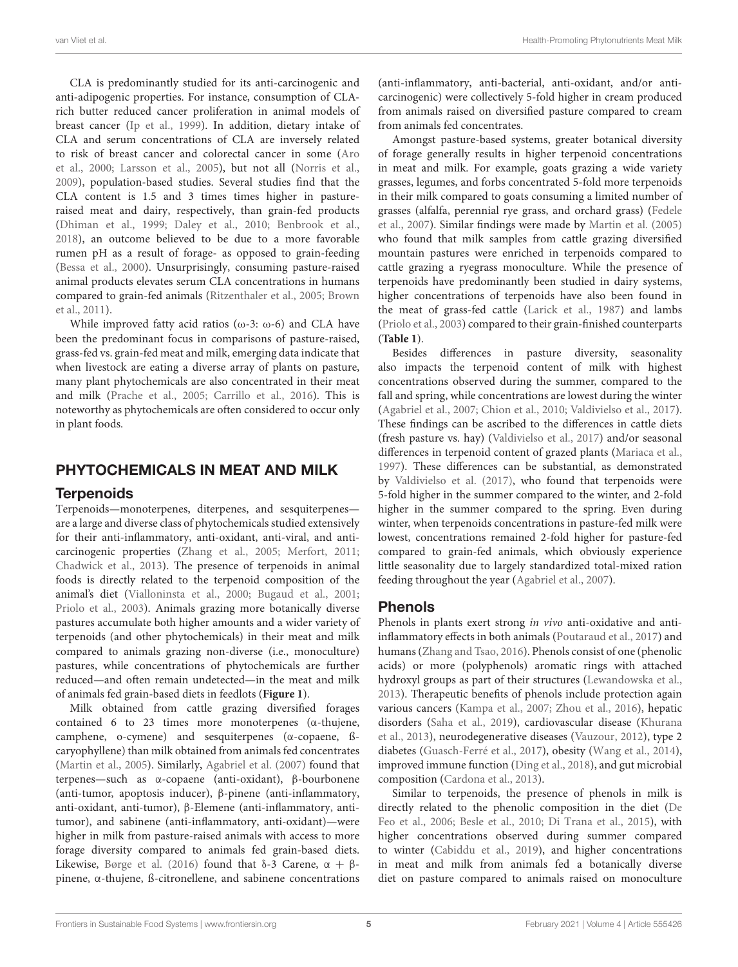CLA is predominantly studied for its anti-carcinogenic and anti-adipogenic properties. For instance, consumption of CLArich butter reduced cancer proliferation in animal models of breast cancer [\(Ip et al., 1999\)](#page-15-14). In addition, dietary intake of CLA and serum concentrations of CLA are inversely related to risk of breast cancer and colorectal cancer in some (Aro et al., [2000;](#page-13-19) [Larsson et al., 2005\)](#page-16-13), but not all [\(Norris et al.,](#page-17-14) [2009\)](#page-17-14), population-based studies. Several studies find that the CLA content is 1.5 and 3 times times higher in pastureraised meat and dairy, respectively, than grain-fed products [\(Dhiman et al., 1999;](#page-14-14) [Daley et al., 2010;](#page-14-11) [Benbrook et al.,](#page-13-15) [2018\)](#page-13-15), an outcome believed to be due to a more favorable rumen pH as a result of forage- as opposed to grain-feeding [\(Bessa et al., 2000\)](#page-13-20). Unsurprisingly, consuming pasture-raised animal products elevates serum CLA concentrations in humans compared to grain-fed animals [\(Ritzenthaler et al., 2005;](#page-18-18) Brown et al., [2011\)](#page-13-21).

While improved fatty acid ratios ( $\omega$ -3:  $\omega$ -6) and CLA have been the predominant focus in comparisons of pasture-raised, grass-fed vs. grain-fed meat and milk, emerging data indicate that when livestock are eating a diverse array of plants on pasture, many plant phytochemicals are also concentrated in their meat and milk [\(Prache et al., 2005;](#page-18-19) [Carrillo et al., 2016\)](#page-13-11). This is noteworthy as phytochemicals are often considered to occur only in plant foods.

### PHYTOCHEMICALS IN MEAT AND MILK

### **Terpenoids**

Terpenoids—monoterpenes, diterpenes, and sesquiterpenes are a large and diverse class of phytochemicals studied extensively for their anti-inflammatory, anti-oxidant, anti-viral, and anticarcinogenic properties [\(Zhang et al., 2005;](#page-19-12) [Merfort, 2011;](#page-17-15) [Chadwick et al., 2013\)](#page-13-7). The presence of terpenoids in animal foods is directly related to the terpenoid composition of the animal's diet [\(Vialloninsta et al., 2000;](#page-19-13) [Bugaud et al., 2001;](#page-13-22) [Priolo et al., 2003\)](#page-18-20). Animals grazing more botanically diverse pastures accumulate both higher amounts and a wider variety of terpenoids (and other phytochemicals) in their meat and milk compared to animals grazing non-diverse (i.e., monoculture) pastures, while concentrations of phytochemicals are further reduced—and often remain undetected—in the meat and milk of animals fed grain-based diets in feedlots (**[Figure 1](#page-5-0)**).

Milk obtained from cattle grazing diversified forages contained 6 to 23 times more monoterpenes (α-thujene, camphene, o-cymene) and sesquiterpenes (α-copaene, ßcaryophyllene) than milk obtained from animals fed concentrates [\(Martin et al., 2005\)](#page-17-16). Similarly, [Agabriel et al. \(2007\)](#page-13-23) found that terpenes—such as α-copaene (anti-oxidant), β-bourbonene (anti-tumor, apoptosis inducer), β-pinene (anti-inflammatory, anti-oxidant, anti-tumor), β-Elemene (anti-inflammatory, antitumor), and sabinene (anti-inflammatory, anti-oxidant)—were higher in milk from pasture-raised animals with access to more forage diversity compared to animals fed grain-based diets. Likewise, [Børge et al. \(2016\)](#page-13-5) found that δ-3 Carene,  $\alpha + \beta$ pinene, α-thujene, ß-citronellene, and sabinene concentrations (anti-inflammatory, anti-bacterial, anti-oxidant, and/or anticarcinogenic) were collectively 5-fold higher in cream produced from animals raised on diversified pasture compared to cream from animals fed concentrates.

Amongst pasture-based systems, greater botanical diversity of forage generally results in higher terpenoid concentrations in meat and milk. For example, goats grazing a wide variety grasses, legumes, and forbs concentrated 5-fold more terpenoids in their milk compared to goats consuming a limited number of grasses (alfalfa, perennial rye grass, and orchard grass) (Fedele et al., [2007\)](#page-15-15). Similar findings were made by [Martin et al. \(2005\)](#page-17-16) who found that milk samples from cattle grazing diversified mountain pastures were enriched in terpenoids compared to cattle grazing a ryegrass monoculture. While the presence of terpenoids have predominantly been studied in dairy systems, higher concentrations of terpenoids have also been found in the meat of grass-fed cattle [\(Larick et al., 1987\)](#page-16-14) and lambs [\(Priolo et al., 2003\)](#page-18-20) compared to their grain-finished counterparts (**[Table 1](#page-6-0)**).

Besides differences in pasture diversity, seasonality also impacts the terpenoid content of milk with highest concentrations observed during the summer, compared to the fall and spring, while concentrations are lowest during the winter [\(Agabriel et al., 2007;](#page-13-23) [Chion et al., 2010;](#page-14-15) [Valdivielso et al., 2017\)](#page-19-14). These findings can be ascribed to the differences in cattle diets (fresh pasture vs. hay) [\(Valdivielso et al., 2017\)](#page-19-14) and/or seasonal differences in terpenoid content of grazed plants [\(Mariaca et al.,](#page-17-17) [1997\)](#page-17-17). These differences can be substantial, as demonstrated by [Valdivielso et al. \(2017\)](#page-19-14), who found that terpenoids were 5-fold higher in the summer compared to the winter, and 2-fold higher in the summer compared to the spring. Even during winter, when terpenoids concentrations in pasture-fed milk were lowest, concentrations remained 2-fold higher for pasture-fed compared to grain-fed animals, which obviously experience little seasonality due to largely standardized total-mixed ration feeding throughout the year [\(Agabriel et al., 2007\)](#page-13-23).

### Phenols

Phenols in plants exert strong in vivo anti-oxidative and antiinflammatory effects in both animals [\(Poutaraud et al., 2017\)](#page-18-4) and humans [\(Zhang and Tsao, 2016\)](#page-19-15). Phenols consist of one (phenolic acids) or more (polyphenols) aromatic rings with attached hydroxyl groups as part of their structures [\(Lewandowska et al.,](#page-16-15) [2013\)](#page-16-15). Therapeutic benefits of phenols include protection again various cancers [\(Kampa et al., 2007;](#page-16-16) [Zhou et al., 2016\)](#page-19-16), hepatic disorders [\(Saha et al., 2019\)](#page-18-21), cardiovascular disease (Khurana et al., [2013\)](#page-16-17), neurodegenerative diseases [\(Vauzour, 2012\)](#page-19-17), type 2 diabetes [\(Guasch-Ferré et al., 2017\)](#page-15-16), obesity [\(Wang et al., 2014\)](#page-19-18), improved immune function [\(Ding et al., 2018\)](#page-14-16), and gut microbial composition [\(Cardona et al., 2013\)](#page-13-24).

Similar to terpenoids, the presence of phenols in milk is directly related to the phenolic composition in the diet (De Feo et al., [2006;](#page-14-17) [Besle et al., 2010;](#page-13-25) [Di Trana et al., 2015\)](#page-14-18), with higher concentrations observed during summer compared to winter [\(Cabiddu et al., 2019\)](#page-13-26), and higher concentrations in meat and milk from animals fed a botanically diverse diet on pasture compared to animals raised on monoculture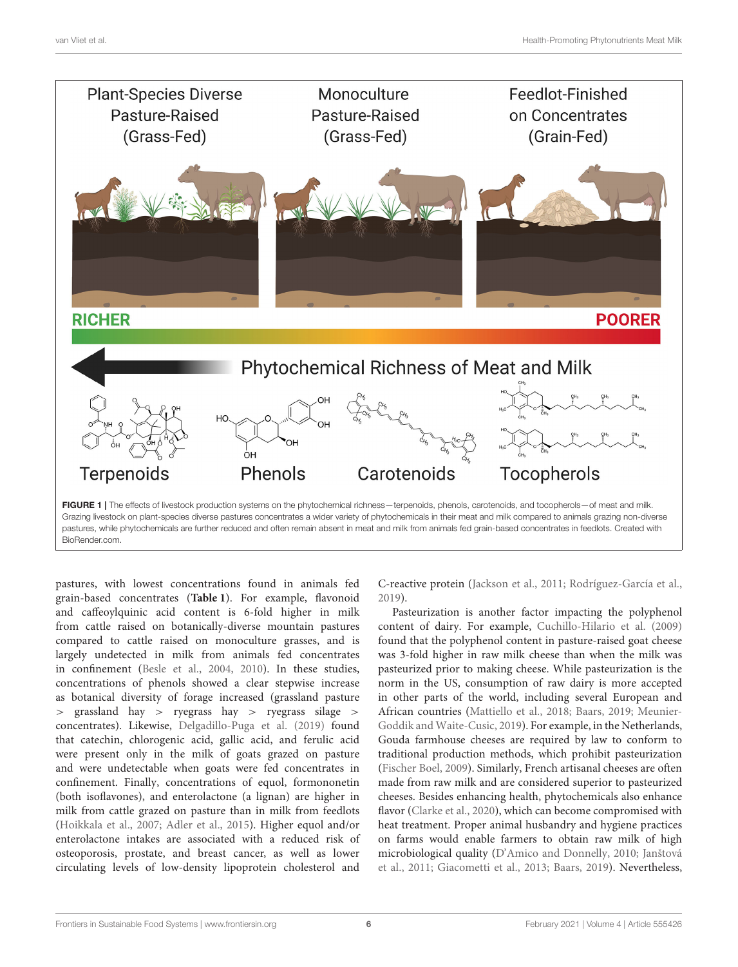

<span id="page-5-0"></span>pastures, with lowest concentrations found in animals fed grain-based concentrates (**[Table 1](#page-6-0)**). For example, flavonoid and caffeoylquinic acid content is 6-fold higher in milk from cattle raised on botanically-diverse mountain pastures compared to cattle raised on monoculture grasses, and is largely undetected in milk from animals fed concentrates in confinement [\(Besle et al., 2004,](#page-13-27) [2010\)](#page-13-25). In these studies, concentrations of phenols showed a clear stepwise increase as botanical diversity of forage increased (grassland pasture > grassland hay > ryegrass hay > ryegrass silage > concentrates). Likewise, [Delgadillo-Puga et al. \(2019\)](#page-14-1) found that catechin, chlorogenic acid, gallic acid, and ferulic acid were present only in the milk of goats grazed on pasture and were undetectable when goats were fed concentrates in confinement. Finally, concentrations of equol, formononetin (both isoflavones), and enterolactone (a lignan) are higher in milk from cattle grazed on pasture than in milk from feedlots [\(Hoikkala et al., 2007;](#page-15-17) [Adler et al., 2015\)](#page-13-28). Higher equol and/or enterolactone intakes are associated with a reduced risk of osteoporosis, prostate, and breast cancer, as well as lower circulating levels of low-density lipoprotein cholesterol and

C-reactive protein [\(Jackson et al., 2011;](#page-16-18) [Rodríguez-García et al.,](#page-18-22) [2019\)](#page-18-22).

Pasteurization is another factor impacting the polyphenol content of dairy. For example, [Cuchillo-Hilario et al. \(2009\)](#page-14-19) found that the polyphenol content in pasture-raised goat cheese was 3-fold higher in raw milk cheese than when the milk was pasteurized prior to making cheese. While pasteurization is the norm in the US, consumption of raw dairy is more accepted in other parts of the world, including several European and African countries [\(Mattiello et al., 2018;](#page-17-18) [Baars, 2019;](#page-13-29) Meunier-Goddik and Waite-Cusic, [2019\)](#page-17-19). For example, in the Netherlands, Gouda farmhouse cheeses are required by law to conform to traditional production methods, which prohibit pasteurization [\(Fischer Boel, 2009\)](#page-15-18). Similarly, French artisanal cheeses are often made from raw milk and are considered superior to pasteurized cheeses. Besides enhancing health, phytochemicals also enhance flavor [\(Clarke et al., 2020\)](#page-14-20), which can become compromised with heat treatment. Proper animal husbandry and hygiene practices on farms would enable farmers to obtain raw milk of high microbiological quality [\(D'Amico and Donnelly, 2010;](#page-14-21) Janštová et al., [2011;](#page-16-19) [Giacometti et al., 2013;](#page-15-19) [Baars, 2019\)](#page-13-29). Nevertheless,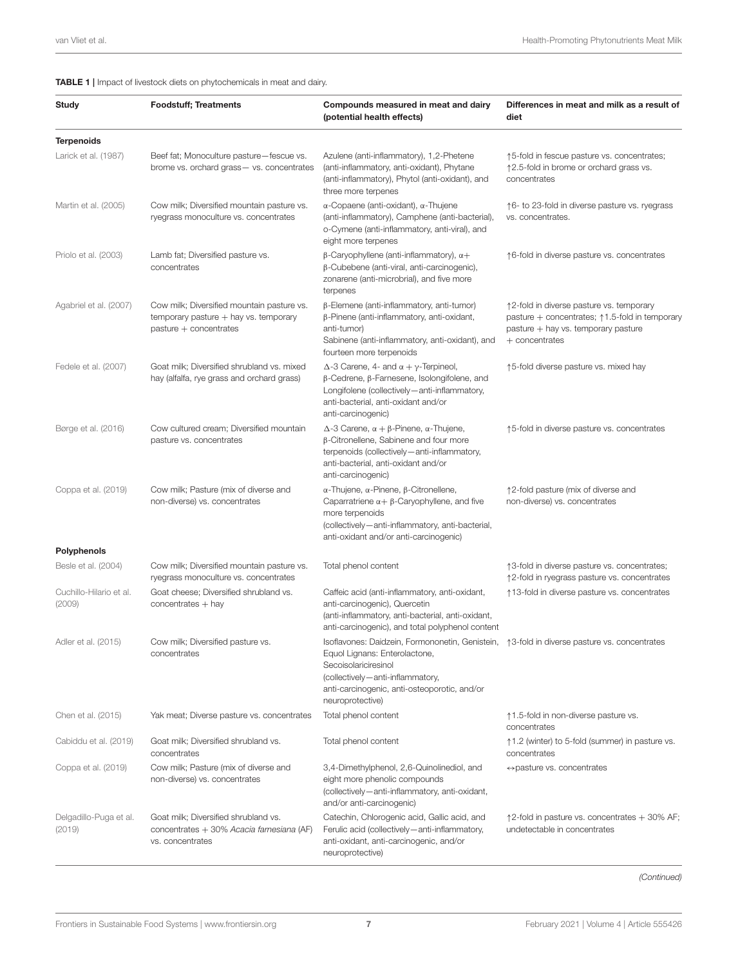#### <span id="page-6-0"></span>TABLE 1 | Impact of livestock diets on phytochemicals in meat and dairy.

| <b>Study</b>                      | <b>Foodstuff; Treatments</b>                                                                                      | Compounds measured in meat and dairy<br>(potential health effects)                                                                                                                                                                                            | Differences in meat and milk as a result of<br>diet                                                                                                               |
|-----------------------------------|-------------------------------------------------------------------------------------------------------------------|---------------------------------------------------------------------------------------------------------------------------------------------------------------------------------------------------------------------------------------------------------------|-------------------------------------------------------------------------------------------------------------------------------------------------------------------|
| <b>Terpenoids</b>                 |                                                                                                                   |                                                                                                                                                                                                                                                               |                                                                                                                                                                   |
| Larick et al. (1987)              | Beef fat; Monoculture pasture-fescue vs.<br>brome vs. orchard grass - vs. concentrates                            | Azulene (anti-inflammatory), 1,2-Phetene<br>(anti-inflammatory, anti-oxidant), Phytane<br>(anti-inflammatory), Phytol (anti-oxidant), and<br>three more terpenes                                                                                              | ↑5-fold in fescue pasture vs. concentrates;<br>↑2.5-fold in brome or orchard grass vs.<br>concentrates                                                            |
| Martin et al. (2005)              | Cow milk; Diversified mountain pasture vs.<br>ryegrass monoculture vs. concentrates                               | $\alpha$ -Copaene (anti-oxidant), $\alpha$ -Thujene<br>(anti-inflammatory), Camphene (anti-bacterial),<br>o-Cymene (anti-inflammatory, anti-viral), and<br>eight more terpenes                                                                                | ↑6- to 23-fold in diverse pasture vs. ryegrass<br>vs. concentrates.                                                                                               |
| Priolo et al. (2003)              | Lamb fat; Diversified pasture vs.<br>concentrates                                                                 | $\beta$ -Caryophyllene (anti-inflammatory), $\alpha +$<br>β-Cubebene (anti-viral, anti-carcinogenic),<br>zonarene (anti-microbrial), and five more<br>terpenes                                                                                                | ↑6-fold in diverse pasture vs. concentrates                                                                                                                       |
| Agabriel et al. (2007)            | Cow milk; Diversified mountain pasture vs.<br>$temporary$ pasture $+$ hay vs. temporary<br>pasture + concentrates | $\beta$ -Elemene (anti-inflammatory, anti-tumor)<br>$\beta$ -Pinene (anti-inflammatory, anti-oxidant,<br>anti-tumor)<br>Sabinene (anti-inflammatory, anti-oxidant), and<br>fourteen more terpenoids                                                           | ↑2-fold in diverse pasture vs. temporary<br>pasture $+$ concentrates; $\uparrow$ 1.5-fold in temporary<br>pasture + hay vs. temporary pasture<br>$+$ concentrates |
| Fedele et al. (2007)              | Goat milk; Diversified shrubland vs. mixed<br>hay (alfalfa, rye grass and orchard grass)                          | $\Delta$ -3 Carene, 4- and $\alpha + \gamma$ -Terpineol,<br>$\beta$ -Cedrene, $\beta$ -Farnesene, Isolongifolene, and<br>Longifolene (collectively - anti-inflammatory,<br>anti-bacterial, anti-oxidant and/or<br>anti-carcinogenic)                          | ↑5-fold diverse pasture vs. mixed hay                                                                                                                             |
| Børge et al. (2016)               | Cow cultured cream; Diversified mountain<br>pasture vs. concentrates                                              | $\Delta$ -3 Carene, $\alpha + \beta$ -Pinene, $\alpha$ -Thujene,<br>β-Citronellene, Sabinene and four more<br>terpenoids (collectively-anti-inflammatory,<br>anti-bacterial, anti-oxidant and/or<br>anti-carcinogenic)                                        | ↑5-fold in diverse pasture vs. concentrates                                                                                                                       |
| Coppa et al. (2019)               | Cow milk; Pasture (mix of diverse and<br>non-diverse) vs. concentrates                                            | α-Thujene, α-Pinene, β-Citronellene,<br>Caparratriene $\alpha + \beta$ -Caryophyllene, and five<br>more terpenoids<br>(collectively-anti-inflammatory, anti-bacterial,<br>anti-oxidant and/or anti-carcinogenic)                                              | ↑2-fold pasture (mix of diverse and<br>non-diverse) vs. concentrates                                                                                              |
| Polyphenols                       |                                                                                                                   |                                                                                                                                                                                                                                                               |                                                                                                                                                                   |
| Besle et al. (2004)               | Cow milk; Diversified mountain pasture vs.<br>ryegrass monoculture vs. concentrates                               | Total phenol content                                                                                                                                                                                                                                          | ↑3-fold in diverse pasture vs. concentrates;<br>↑2-fold in ryegrass pasture vs. concentrates                                                                      |
| Cuchillo-Hilario et al.<br>(2009) | Goat cheese; Diversified shrubland vs.<br>$concentrates + hay$                                                    | Caffeic acid (anti-inflammatory, anti-oxidant,<br>anti-carcinogenic), Quercetin<br>(anti-inflammatory, anti-bacterial, anti-oxidant,<br>anti-carcinogenic), and total polyphenol content                                                                      | ↑13-fold in diverse pasture vs. concentrates                                                                                                                      |
| Adler et al. (2015)               | Cow milk; Diversified pasture vs.<br>concentrates                                                                 | Isoflavones: Daidzein, Formononetin, Genistein,  ↑3-fold in diverse pasture vs. concentrates<br>Equol Lignans: Enterolactone,<br>Secoisolariciresinol<br>(collectively-anti-inflammatory,<br>anti-carcinogenic, anti-osteoporotic, and/or<br>neuroprotective) |                                                                                                                                                                   |
| Chen et al. (2015)                | Yak meat; Diverse pasture vs. concentrates                                                                        | Total phenol content                                                                                                                                                                                                                                          | ↑1.5-fold in non-diverse pasture vs.<br>concentrates                                                                                                              |
| Cabiddu et al. (2019)             | Goat milk; Diversified shrubland vs.<br>concentrates                                                              | Total phenol content                                                                                                                                                                                                                                          | ↑1.2 (winter) to 5-fold (summer) in pasture vs.<br>concentrates                                                                                                   |
| Coppa et al. (2019)               | Cow milk; Pasture (mix of diverse and<br>non-diverse) vs. concentrates                                            | 3,4-Dimethylphenol, 2,6-Quinolinediol, and<br>eight more phenolic compounds<br>(collectively-anti-inflammatory, anti-oxidant,<br>and/or anti-carcinogenic)                                                                                                    | $\leftrightarrow$ pasture vs. concentrates                                                                                                                        |
| Delgadillo-Puga et al.<br>(2019)  | Goat milk; Diversified shrubland vs.<br>concentrates + 30% Acacia farnesiana (AF)<br>vs. concentrates             | Catechin, Chlorogenic acid, Gallic acid, and<br>Ferulic acid (collectively - anti-inflammatory,<br>anti-oxidant, anti-carcinogenic, and/or<br>neuroprotective)                                                                                                | $\uparrow$ 2-fold in pasture vs. concentrates $+$ 30% AF;<br>undetectable in concentrates                                                                         |

*(Continued)*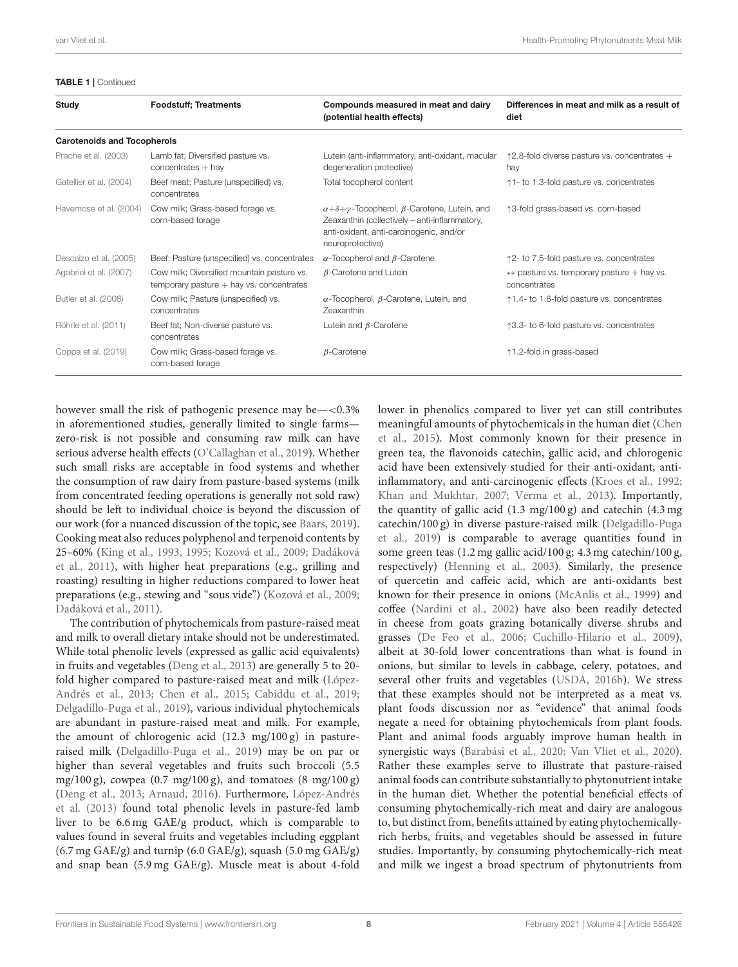#### TABLE 1 | Continued

| Study                              | <b>Foodstuff: Treatments</b>                                                               | Compounds measured in meat and dairy<br>(potential health effects)                                                                                                                     | Differences in meat and milk as a result of<br>diet                         |
|------------------------------------|--------------------------------------------------------------------------------------------|----------------------------------------------------------------------------------------------------------------------------------------------------------------------------------------|-----------------------------------------------------------------------------|
| <b>Carotenoids and Tocopherols</b> |                                                                                            |                                                                                                                                                                                        |                                                                             |
| Prache et al. (2003)               | Lamb fat; Diversified pasture vs.<br>$concentrates + hay$                                  | Lutein (anti-inflammatory, anti-oxidant, macular<br>degeneration protective)                                                                                                           | $\uparrow$ 2.8-fold diverse pasture vs. concentrates +<br>hay               |
| Gatellier et al. (2004)            | Beef meat; Pasture (unspecified) vs.<br>concentrates                                       | Total tocopherol content                                                                                                                                                               | 1-to 1.3-fold pasture vs. concentrates                                      |
| Havemose et al. (2004)             | Cow milk; Grass-based forage vs.<br>corn-based forage                                      | $\alpha + \delta + \gamma$ -Tocopherol, $\beta$ -Carotene, Lutein, and<br>Zeaxanthin (collectively - anti-inflammatory,<br>anti-oxidant, anti-carcinogenic, and/or<br>neuroprotective) | ↑3-fold grass-based vs. corn-based                                          |
| Descalzo et al. (2005)             | Beef; Pasture (unspecified) vs. concentrates                                               | $\alpha$ -Tocopherol and $\beta$ -Carotene                                                                                                                                             | 12-to 7.5-fold pasture vs. concentrates                                     |
| Agabriel et al. (2007)             | Cow milk; Diversified mountain pasture vs.<br>$temporary$ pasture $+$ hay vs. concentrates | $\beta$ -Carotene and Lutein                                                                                                                                                           | $\leftrightarrow$ pasture vs. temporary pasture $+$ hay vs.<br>concentrates |
| Butler et al. (2008)               | Cow milk; Pasture (unspecified) vs.<br>concentrates                                        | $\alpha$ -Tocopherol, $\beta$ -Carotene, Lutein, and<br><b>Zeaxanthin</b>                                                                                                              | 1.4- to 1.8-fold pasture vs. concentrates                                   |
| Röhrle et al. (2011)               | Beef fat; Non-diverse pasture vs.<br>concentrates                                          | Lutein and $\beta$ -Carotene                                                                                                                                                           | ↑3.3- to 6-fold pasture vs. concentrates                                    |
| Coppa et al. (2019)                | Cow milk; Grass-based forage vs.<br>corn-based forage                                      | $\beta$ -Carotene                                                                                                                                                                      | ↑1.2-fold in grass-based                                                    |

however small the risk of pathogenic presence may be—<0.3% in aforementioned studies, generally limited to single farms zero-risk is not possible and consuming raw milk can have serious adverse health effects [\(O'Callaghan et al., 2019\)](#page-17-20). Whether such small risks are acceptable in food systems and whether the consumption of raw dairy from pasture-based systems (milk from concentrated feeding operations is generally not sold raw) should be left to individual choice is beyond the discussion of our work (for a nuanced discussion of the topic, see [Baars, 2019\)](#page-13-29). Cooking meat also reduces polyphenol and terpenoid contents by 25–60% [\(King et al., 1993,](#page-16-20) [1995;](#page-16-21) [Kozová et al., 2009;](#page-16-22) Dadáková et al., [2011\)](#page-14-24), with higher heat preparations (e.g., grilling and roasting) resulting in higher reductions compared to lower heat preparations (e.g., stewing and "sous vide") [\(Kozová et al., 2009;](#page-16-22) [Dadáková et al., 2011\)](#page-14-24).

The contribution of phytochemicals from pasture-raised meat and milk to overall dietary intake should not be underestimated. While total phenolic levels (expressed as gallic acid equivalents) in fruits and vegetables [\(Deng et al., 2013\)](#page-14-25) are generally 5 to 20 fold higher compared to pasture-raised meat and milk (López-Andrés et al., [2013;](#page-16-23) [Chen et al., 2015;](#page-14-22) [Cabiddu et al., 2019;](#page-13-26) [Delgadillo-Puga et al., 2019\)](#page-14-1), various individual phytochemicals are abundant in pasture-raised meat and milk. For example, the amount of chlorogenic acid (12.3 mg/100 g) in pastureraised milk [\(Delgadillo-Puga et al., 2019\)](#page-14-1) may be on par or higher than several vegetables and fruits such broccoli (5.5 mg/100 g), cowpea  $(0.7 \text{ mg}/100 \text{ g})$ , and tomatoes  $(8 \text{ mg}/100 \text{ g})$ [\(Deng et al., 2013;](#page-14-25) [Arnaud, 2016\)](#page-13-31). Furthermore, López-Andrés et al. [\(2013\)](#page-16-23) found total phenolic levels in pasture-fed lamb liver to be 6.6 mg GAE/g product, which is comparable to values found in several fruits and vegetables including eggplant (6.7 mg GAE/g) and turnip (6.0 GAE/g), squash (5.0 mg GAE/g) and snap bean (5.9 mg GAE/g). Muscle meat is about 4-fold lower in phenolics compared to liver yet can still contributes meaningful amounts of phytochemicals in the human diet (Chen et al., [2015\)](#page-14-22). Most commonly known for their presence in green tea, the flavonoids catechin, gallic acid, and chlorogenic acid have been extensively studied for their anti-oxidant, antiinflammatory, and anti-carcinogenic effects [\(Kroes et al., 1992;](#page-16-24) [Khan and Mukhtar, 2007;](#page-16-25) [Verma et al., 2013\)](#page-19-19). Importantly, the quantity of gallic acid (1.3 mg/100 g) and catechin (4.3 mg catechin/100 g) in diverse pasture-raised milk (Delgadillo-Puga et al., [2019\)](#page-14-1) is comparable to average quantities found in some green teas (1.2 mg gallic acid/100 g; 4.3 mg catechin/100 g, respectively) [\(Henning et al., 2003\)](#page-15-22). Similarly, the presence of quercetin and caffeic acid, which are anti-oxidants best known for their presence in onions [\(McAnlis et al., 1999\)](#page-17-21) and coffee [\(Nardini et al., 2002\)](#page-17-22) have also been readily detected in cheese from goats grazing botanically diverse shrubs and grasses [\(De Feo et al., 2006;](#page-14-17) [Cuchillo-Hilario et al., 2009\)](#page-14-19), albeit at 30-fold lower concentrations than what is found in onions, but similar to levels in cabbage, celery, potatoes, and several other fruits and vegetables [\(USDA, 2016b\)](#page-19-20). We stress that these examples should not be interpreted as a meat vs. plant foods discussion nor as "evidence" that animal foods negate a need for obtaining phytochemicals from plant foods. Plant and animal foods arguably improve human health in synergistic ways [\(Barabási et al., 2020;](#page-13-6) [Van Vliet et al., 2020\)](#page-19-21). Rather these examples serve to illustrate that pasture-raised animal foods can contribute substantially to phytonutrient intake in the human diet. Whether the potential beneficial effects of consuming phytochemically-rich meat and dairy are analogous to, but distinct from, benefits attained by eating phytochemicallyrich herbs, fruits, and vegetables should be assessed in future studies. Importantly, by consuming phytochemically-rich meat and milk we ingest a broad spectrum of phytonutrients from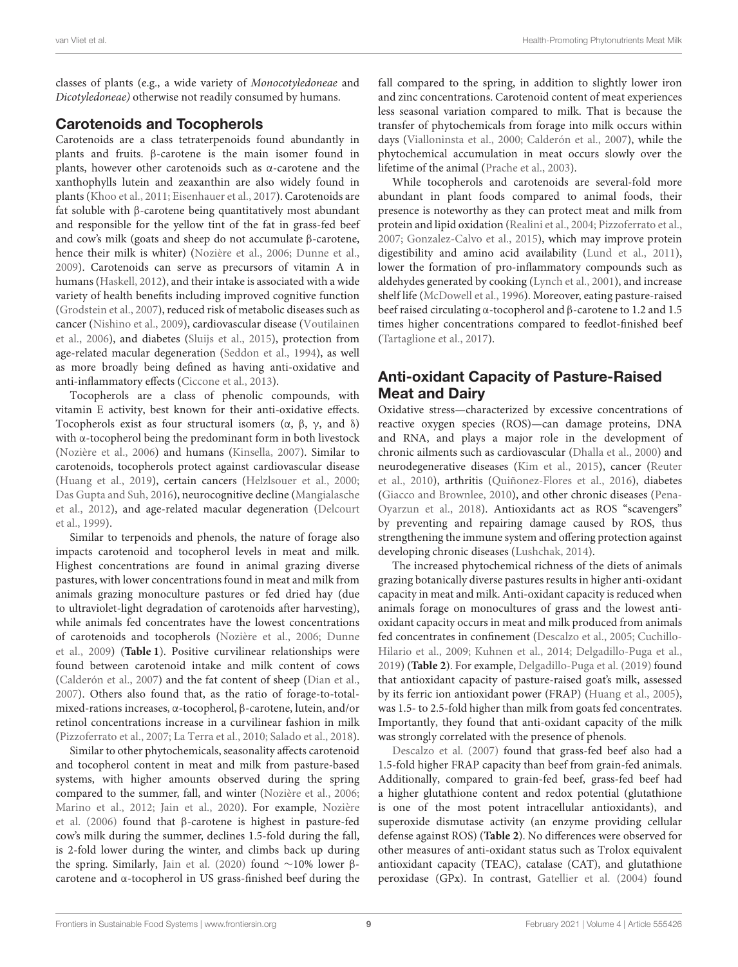classes of plants (e.g., a wide variety of Monocotyledoneae and Dicotyledoneae) otherwise not readily consumed by humans.

### Carotenoids and Tocopherols

Carotenoids are a class tetraterpenoids found abundantly in plants and fruits. β-carotene is the main isomer found in plants, however other carotenoids such as α-carotene and the xanthophylls lutein and zeaxanthin are also widely found in plants [\(Khoo et al., 2011;](#page-16-26) [Eisenhauer et al., 2017\)](#page-14-26). Carotenoids are fat soluble with β-carotene being quantitatively most abundant and responsible for the yellow tint of the fat in grass-fed beef and cow's milk (goats and sheep do not accumulate β-carotene, hence their milk is whiter) [\(Nozière et al., 2006;](#page-17-23) [Dunne et al.,](#page-14-27) [2009\)](#page-14-27). Carotenoids can serve as precursors of vitamin A in humans [\(Haskell, 2012\)](#page-15-23), and their intake is associated with a wide variety of health benefits including improved cognitive function [\(Grodstein et al., 2007\)](#page-15-24), reduced risk of metabolic diseases such as cancer [\(Nishino et al., 2009\)](#page-17-24), cardiovascular disease (Voutilainen et al., [2006\)](#page-19-22), and diabetes [\(Sluijs et al., 2015\)](#page-18-25), protection from age-related macular degeneration [\(Seddon et al., 1994\)](#page-18-26), as well as more broadly being defined as having anti-oxidative and anti-inflammatory effects [\(Ciccone et al., 2013\)](#page-14-28).

Tocopherols are a class of phenolic compounds, with vitamin E activity, best known for their anti-oxidative effects. Tocopherols exist as four structural isomers (α, β, γ, and δ) with α-tocopherol being the predominant form in both livestock [\(Nozière et al., 2006\)](#page-17-23) and humans [\(Kinsella, 2007\)](#page-16-27). Similar to carotenoids, tocopherols protect against cardiovascular disease [\(Huang et al., 2019\)](#page-15-25), certain cancers [\(Helzlsouer et al., 2000;](#page-15-26) [Das Gupta and Suh, 2016\)](#page-14-29), neurocognitive decline (Mangialasche et al., [2012\)](#page-17-25), and age-related macular degeneration (Delcourt et al., [1999\)](#page-14-30).

Similar to terpenoids and phenols, the nature of forage also impacts carotenoid and tocopherol levels in meat and milk. Highest concentrations are found in animal grazing diverse pastures, with lower concentrations found in meat and milk from animals grazing monoculture pastures or fed dried hay (due to ultraviolet-light degradation of carotenoids after harvesting), while animals fed concentrates have the lowest concentrations of carotenoids and tocopherols [\(Nozière et al., 2006;](#page-17-23) Dunne et al., [2009\)](#page-14-27) (**[Table 1](#page-6-0)**). Positive curvilinear relationships were found between carotenoid intake and milk content of cows [\(Calderón et al., 2007\)](#page-13-32) and the fat content of sheep [\(Dian et al.,](#page-14-31) [2007\)](#page-14-31). Others also found that, as the ratio of forage-to-totalmixed-rations increases, α-tocopherol, β-carotene, lutein, and/or retinol concentrations increase in a curvilinear fashion in milk [\(Pizzoferrato et al., 2007;](#page-18-27) [La Terra et al., 2010;](#page-16-28) [Salado et al., 2018\)](#page-18-28).

Similar to other phytochemicals, seasonality affects carotenoid and tocopherol content in meat and milk from pasture-based systems, with higher amounts observed during the spring compared to the summer, fall, and winter [\(Nozière et al., 2006;](#page-17-23) [Marino et al., 2012;](#page-17-26) [Jain et al., 2020\)](#page-16-29). For example, Nozière et al. [\(2006\)](#page-17-23) found that β-carotene is highest in pasture-fed cow's milk during the summer, declines 1.5-fold during the fall, is 2-fold lower during the winter, and climbs back up during the spring. Similarly, [Jain et al. \(2020\)](#page-16-29) found ∼10% lower βcarotene and α-tocopherol in US grass-finished beef during the

fall compared to the spring, in addition to slightly lower iron and zinc concentrations. Carotenoid content of meat experiences less seasonal variation compared to milk. That is because the transfer of phytochemicals from forage into milk occurs within days [\(Vialloninsta et al., 2000;](#page-19-13) [Calderón et al., 2007\)](#page-13-32), while the phytochemical accumulation in meat occurs slowly over the lifetime of the animal [\(Prache et al., 2003\)](#page-18-23).

While tocopherols and carotenoids are several-fold more abundant in plant foods compared to animal foods, their presence is noteworthy as they can protect meat and milk from protein and lipid oxidation [\(Realini et al., 2004;](#page-18-29) [Pizzoferrato et al.,](#page-18-27) [2007;](#page-18-27) [Gonzalez-Calvo et al., 2015\)](#page-15-27), which may improve protein digestibility and amino acid availability [\(Lund et al., 2011\)](#page-16-30), lower the formation of pro-inflammatory compounds such as aldehydes generated by cooking [\(Lynch et al., 2001\)](#page-17-27), and increase shelf life [\(McDowell et al., 1996\)](#page-17-28). Moreover, eating pasture-raised beef raised circulating α-tocopherol and β-carotene to 1.2 and 1.5 times higher concentrations compared to feedlot-finished beef [\(Tartaglione et al., 2017\)](#page-18-30).

# Anti-oxidant Capacity of Pasture-Raised Meat and Dairy

Oxidative stress—characterized by excessive concentrations of reactive oxygen species (ROS)—can damage proteins, DNA and RNA, and plays a major role in the development of chronic ailments such as cardiovascular [\(Dhalla et al., 2000\)](#page-14-32) and neurodegenerative diseases [\(Kim et al., 2015\)](#page-16-31), cancer (Reuter et al., [2010\)](#page-18-31), arthritis [\(Quiñonez-Flores et al., 2016\)](#page-18-32), diabetes [\(Giacco and Brownlee, 2010\)](#page-15-28), and other chronic diseases (Pena-Oyarzun et al., [2018\)](#page-17-29). Antioxidants act as ROS "scavengers" by preventing and repairing damage caused by ROS, thus strengthening the immune system and offering protection against developing chronic diseases [\(Lushchak, 2014\)](#page-17-30).

The increased phytochemical richness of the diets of animals grazing botanically diverse pastures results in higher anti-oxidant capacity in meat and milk. Anti-oxidant capacity is reduced when animals forage on monocultures of grass and the lowest antioxidant capacity occurs in meat and milk produced from animals fed concentrates in confinement [\(Descalzo et al., 2005;](#page-14-23) Cuchillo-Hilario et al., [2009;](#page-14-19) [Kuhnen et al., 2014;](#page-16-32) [Delgadillo-Puga et al.,](#page-14-1) [2019\)](#page-14-1) (**[Table 2](#page-9-0)**). For example, [Delgadillo-Puga et al. \(2019\)](#page-14-1) found that antioxidant capacity of pasture-raised goat's milk, assessed by its ferric ion antioxidant power (FRAP) [\(Huang et al., 2005\)](#page-15-29), was 1.5- to 2.5-fold higher than milk from goats fed concentrates. Importantly, they found that anti-oxidant capacity of the milk was strongly correlated with the presence of phenols.

[Descalzo et al. \(2007\)](#page-14-33) found that grass-fed beef also had a 1.5-fold higher FRAP capacity than beef from grain-fed animals. Additionally, compared to grain-fed beef, grass-fed beef had a higher glutathione content and redox potential (glutathione is one of the most potent intracellular antioxidants), and superoxide dismutase activity (an enzyme providing cellular defense against ROS) (**[Table 2](#page-9-0)**). No differences were observed for other measures of anti-oxidant status such as Trolox equivalent antioxidant capacity (TEAC), catalase (CAT), and glutathione peroxidase (GPx). In contrast, [Gatellier et al. \(2004\)](#page-15-20) found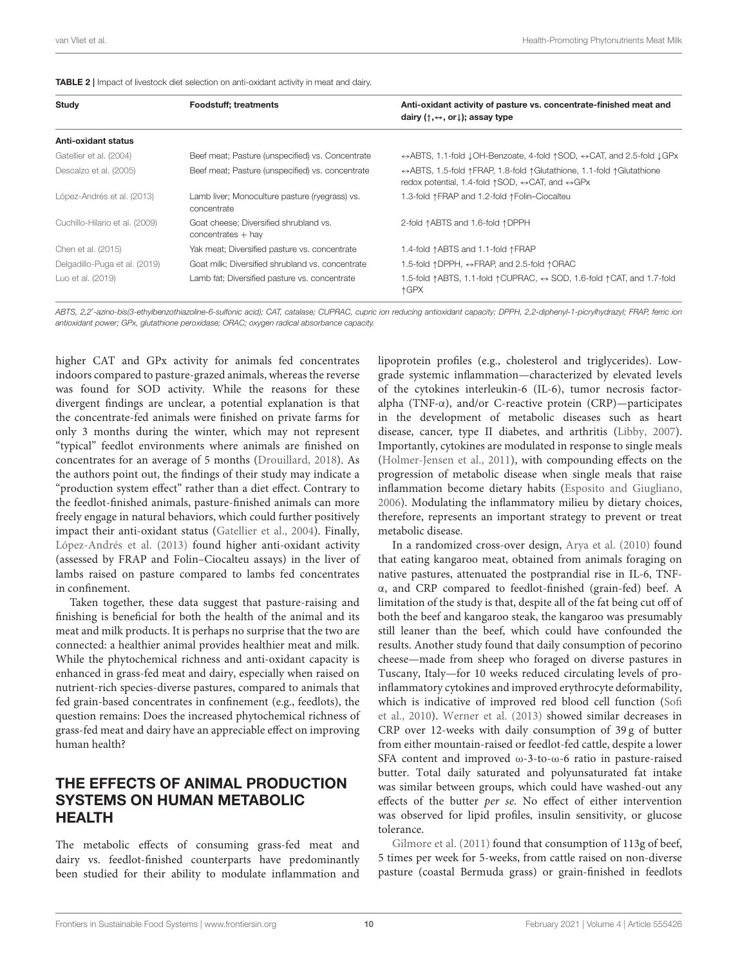<span id="page-9-0"></span>

| Study                          | <b>Foodstuff; treatments</b>                                   | Anti-oxidant activity of pasture vs. concentrate-finished meat and<br>dairy $(\uparrow, \leftrightarrow, \text{ or } \downarrow)$ ; assay type                        |
|--------------------------------|----------------------------------------------------------------|-----------------------------------------------------------------------------------------------------------------------------------------------------------------------|
| Anti-oxidant status            |                                                                |                                                                                                                                                                       |
| Gatellier et al. (2004)        | Beef meat; Pasture (unspecified) vs. Concentrate               | $\leftrightarrow$ ABTS, 1.1-fold JOH-Benzoate, 4-fold $\uparrow$ SOD, $\leftrightarrow$ CAT, and 2.5-fold JGPx                                                        |
| Descalzo et al. (2005)         | Beef meat; Pasture (unspecified) vs. concentrate               | ↔ ABTS, 1.5-fold ↑ FRAP, 1.8-fold ↑ Glutathione, 1.1-fold ↑ Glutathione<br>redox potential, 1.4-fold $\uparrow$ SOD, $\leftrightarrow$ CAT, and $\leftrightarrow$ GPx |
| López-Andrés et al. (2013)     | Lamb liver; Monoculture pasture (ryegrass) vs.<br>concentrate  | 1.3-fold $\uparrow$ FRAP and 1.2-fold $\uparrow$ Folin-Ciocalteu                                                                                                      |
| Cuchillo-Hilario et al. (2009) | Goat cheese; Diversified shrubland vs.<br>$concentrates + hay$ | 2-fold $\uparrow$ ABTS and 1.6-fold $\uparrow$ DPPH                                                                                                                   |
| Chen et al. (2015)             | Yak meat; Diversified pasture vs. concentrate                  | 1.4-fold $\uparrow$ ABTS and 1.1-fold $\uparrow$ FRAP                                                                                                                 |
| Delgadillo-Puga et al. (2019)  | Goat milk; Diversified shrubland vs. concentrate               | 1.5-fold ↑DPPH, ↔FRAP, and 2.5-fold ↑ORAC                                                                                                                             |
| Luo et al. (2019)              | Lamb fat; Diversified pasture vs. concentrate                  | 1.5-fold ↑ ABTS, 1.1-fold ↑ CUPRAC, ↔ SOD, 1.6-fold ↑ CAT, and 1.7-fold<br>↑GPX                                                                                       |

*ABTS, 2,2*′ *-azino-bis(3-ethylbenzothiazoline-6-sulfonic acid); CAT, catalase; CUPRAC, cupric ion reducing antioxidant capacity; DPPH, 2,2-diphenyl-1-picrylhydrazyl; FRAP, ferric ion antioxidant power; GPx, glutathione peroxidase; ORAC; oxygen radical absorbance capacity.*

higher CAT and GPx activity for animals fed concentrates indoors compared to pasture-grazed animals, whereas the reverse was found for SOD activity. While the reasons for these divergent findings are unclear, a potential explanation is that the concentrate-fed animals were finished on private farms for only 3 months during the winter, which may not represent "typical" feedlot environments where animals are finished on concentrates for an average of 5 months [\(Drouillard, 2018\)](#page-14-34). As the authors point out, the findings of their study may indicate a "production system effect" rather than a diet effect. Contrary to the feedlot-finished animals, pasture-finished animals can more freely engage in natural behaviors, which could further positively impact their anti-oxidant status [\(Gatellier et al., 2004\)](#page-15-20). Finally, [López-Andrés et al. \(2013\)](#page-16-23) found higher anti-oxidant activity (assessed by FRAP and Folin–Ciocalteu assays) in the liver of lambs raised on pasture compared to lambs fed concentrates in confinement.

Taken together, these data suggest that pasture-raising and finishing is beneficial for both the health of the animal and its meat and milk products. It is perhaps no surprise that the two are connected: a healthier animal provides healthier meat and milk. While the phytochemical richness and anti-oxidant capacity is enhanced in grass-fed meat and dairy, especially when raised on nutrient-rich species-diverse pastures, compared to animals that fed grain-based concentrates in confinement (e.g., feedlots), the question remains: Does the increased phytochemical richness of grass-fed meat and dairy have an appreciable effect on improving human health?

### THE EFFECTS OF ANIMAL PRODUCTION SYSTEMS ON HUMAN METABOLIC HEALTH

The metabolic effects of consuming grass-fed meat and dairy vs. feedlot-finished counterparts have predominantly been studied for their ability to modulate inflammation and lipoprotein profiles (e.g., cholesterol and triglycerides). Lowgrade systemic inflammation—characterized by elevated levels of the cytokines interleukin-6 (IL-6), tumor necrosis factoralpha (TNF-α), and/or C-reactive protein (CRP)—participates in the development of metabolic diseases such as heart disease, cancer, type II diabetes, and arthritis [\(Libby, 2007\)](#page-16-34). Importantly, cytokines are modulated in response to single meals [\(Holmer-Jensen et al., 2011\)](#page-15-30), with compounding effects on the progression of metabolic disease when single meals that raise inflammation become dietary habits [\(Esposito and Giugliano,](#page-15-31) [2006\)](#page-15-31). Modulating the inflammatory milieu by dietary choices, therefore, represents an important strategy to prevent or treat metabolic disease.

In a randomized cross-over design, [Arya et al. \(2010\)](#page-13-33) found that eating kangaroo meat, obtained from animals foraging on native pastures, attenuated the postprandial rise in IL-6, TNFα, and CRP compared to feedlot-finished (grain-fed) beef. A limitation of the study is that, despite all of the fat being cut off of both the beef and kangaroo steak, the kangaroo was presumably still leaner than the beef, which could have confounded the results. Another study found that daily consumption of pecorino cheese—made from sheep who foraged on diverse pastures in Tuscany, Italy—for 10 weeks reduced circulating levels of proinflammatory cytokines and improved erythrocyte deformability, which is indicative of improved red blood cell function (Sofi et al., [2010\)](#page-18-33). [Werner et al. \(2013\)](#page-19-23) showed similar decreases in CRP over 12-weeks with daily consumption of 39 g of butter from either mountain-raised or feedlot-fed cattle, despite a lower SFA content and improved ω-3-to-ω-6 ratio in pasture-raised butter. Total daily saturated and polyunsaturated fat intake was similar between groups, which could have washed-out any effects of the butter per se. No effect of either intervention was observed for lipid profiles, insulin sensitivity, or glucose tolerance.

[Gilmore et al. \(2011\)](#page-15-32) found that consumption of 113g of beef, 5 times per week for 5-weeks, from cattle raised on non-diverse pasture (coastal Bermuda grass) or grain-finished in feedlots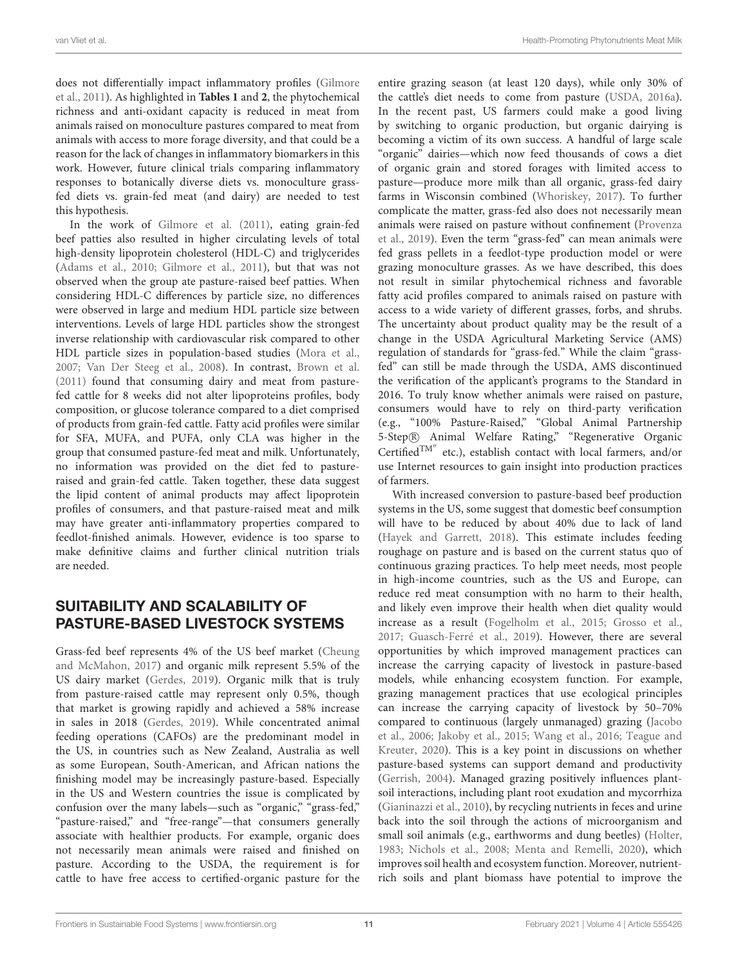does not differentially impact inflammatory profiles (Gilmore et al., [2011\)](#page-15-32). As highlighted in **[Tables 1](#page-6-0)** and **[2](#page-9-0)**, the phytochemical richness and anti-oxidant capacity is reduced in meat from animals raised on monoculture pastures compared to meat from animals with access to more forage diversity, and that could be a reason for the lack of changes in inflammatory biomarkers in this work. However, future clinical trials comparing inflammatory responses to botanically diverse diets vs. monoculture grassfed diets vs. grain-fed meat (and dairy) are needed to test this hypothesis.

In the work of [Gilmore et al. \(2011\)](#page-15-32), eating grain-fed beef patties also resulted in higher circulating levels of total high-density lipoprotein cholesterol (HDL-C) and triglycerides [\(Adams et al., 2010;](#page-13-34) [Gilmore et al., 2011\)](#page-15-32), but that was not observed when the group ate pasture-raised beef patties. When considering HDL-C differences by particle size, no differences were observed in large and medium HDL particle size between interventions. Levels of large HDL particles show the strongest inverse relationship with cardiovascular risk compared to other HDL particle sizes in population-based studies [\(Mora et al.,](#page-17-31) [2007;](#page-17-31) [Van Der Steeg et al., 2008\)](#page-19-24). In contrast, [Brown et al.](#page-13-21) [\(2011\)](#page-13-21) found that consuming dairy and meat from pasturefed cattle for 8 weeks did not alter lipoproteins profiles, body composition, or glucose tolerance compared to a diet comprised of products from grain-fed cattle. Fatty acid profiles were similar for SFA, MUFA, and PUFA, only CLA was higher in the group that consumed pasture-fed meat and milk. Unfortunately, no information was provided on the diet fed to pastureraised and grain-fed cattle. Taken together, these data suggest the lipid content of animal products may affect lipoprotein profiles of consumers, and that pasture-raised meat and milk may have greater anti-inflammatory properties compared to feedlot-finished animals. However, evidence is too sparse to make definitive claims and further clinical nutrition trials are needed.

# SUITABILITY AND SCALABILITY OF PASTURE-BASED LIVESTOCK SYSTEMS

Grass-fed beef represents 4% of the US beef market (Cheung and McMahon, [2017\)](#page-14-35) and organic milk represent 5.5% of the US dairy market [\(Gerdes, 2019\)](#page-15-33). Organic milk that is truly from pasture-raised cattle may represent only 0.5%, though that market is growing rapidly and achieved a 58% increase in sales in 2018 [\(Gerdes, 2019\)](#page-15-33). While concentrated animal feeding operations (CAFOs) are the predominant model in the US, in countries such as New Zealand, Australia as well as some European, South-American, and African nations the finishing model may be increasingly pasture-based. Especially in the US and Western countries the issue is complicated by confusion over the many labels—such as "organic," "grass-fed," "pasture-raised," and "free-range"—that consumers generally associate with healthier products. For example, organic does not necessarily mean animals were raised and finished on pasture. According to the USDA, the requirement is for cattle to have free access to certified-organic pasture for the entire grazing season (at least 120 days), while only 30% of the cattle's diet needs to come from pasture [\(USDA, 2016a\)](#page-19-25). In the recent past, US farmers could make a good living by switching to organic production, but organic dairying is becoming a victim of its own success. A handful of large scale "organic" dairies—which now feed thousands of cows a diet of organic grain and stored forages with limited access to pasture—produce more milk than all organic, grass-fed dairy farms in Wisconsin combined [\(Whoriskey, 2017\)](#page-19-26). To further complicate the matter, grass-fed also does not necessarily mean animals were raised on pasture without confinement (Provenza et al., [2019\)](#page-18-3). Even the term "grass-fed" can mean animals were fed grass pellets in a feedlot-type production model or were grazing monoculture grasses. As we have described, this does not result in similar phytochemical richness and favorable fatty acid profiles compared to animals raised on pasture with access to a wide variety of different grasses, forbs, and shrubs. The uncertainty about product quality may be the result of a change in the USDA Agricultural Marketing Service (AMS) regulation of standards for "grass-fed." While the claim "grassfed" can still be made through the USDA, AMS discontinued the verification of the applicant's programs to the Standard in 2016. To truly know whether animals were raised on pasture, consumers would have to rely on third-party verification (e.g., "100% Pasture-Raised," "Global Animal Partnership 5-Step R Animal Welfare Rating," "Regenerative Organic Certified<sup>TM''</sup> etc.), establish contact with local farmers, and/or use Internet resources to gain insight into production practices of farmers.

With increased conversion to pasture-based beef production systems in the US, some suggest that domestic beef consumption will have to be reduced by about 40% due to lack of land [\(Hayek and Garrett, 2018\)](#page-15-34). This estimate includes feeding roughage on pasture and is based on the current status quo of continuous grazing practices. To help meet needs, most people in high-income countries, such as the US and Europe, can reduce red meat consumption with no harm to their health, and likely even improve their health when diet quality would increase as a result [\(Fogelholm et al., 2015;](#page-15-35) [Grosso et al.,](#page-15-12) [2017;](#page-15-12) [Guasch-Ferré et al., 2019\)](#page-15-36). However, there are several opportunities by which improved management practices can increase the carrying capacity of livestock in pasture-based models, while enhancing ecosystem function. For example, grazing management practices that use ecological principles can increase the carrying capacity of livestock by 50–70% compared to continuous (largely unmanaged) grazing (Jacobo et al., [2006;](#page-16-35) [Jakoby et al., 2015;](#page-16-36) [Wang et al., 2016;](#page-19-27) Teague and Kreuter, [2020\)](#page-19-6). This is a key point in discussions on whether pasture-based systems can support demand and productivity [\(Gerrish, 2004\)](#page-15-37). Managed grazing positively influences plantsoil interactions, including plant root exudation and mycorrhiza [\(Gianinazzi et al., 2010\)](#page-15-38), by recycling nutrients in feces and urine back into the soil through the actions of microorganism and small soil animals (e.g., earthworms and dung beetles) [\(Holter,](#page-15-39) [1983;](#page-15-39) [Nichols et al., 2008;](#page-17-32) [Menta and Remelli, 2020\)](#page-17-33), which improves soil health and ecosystem function. Moreover, nutrientrich soils and plant biomass have potential to improve the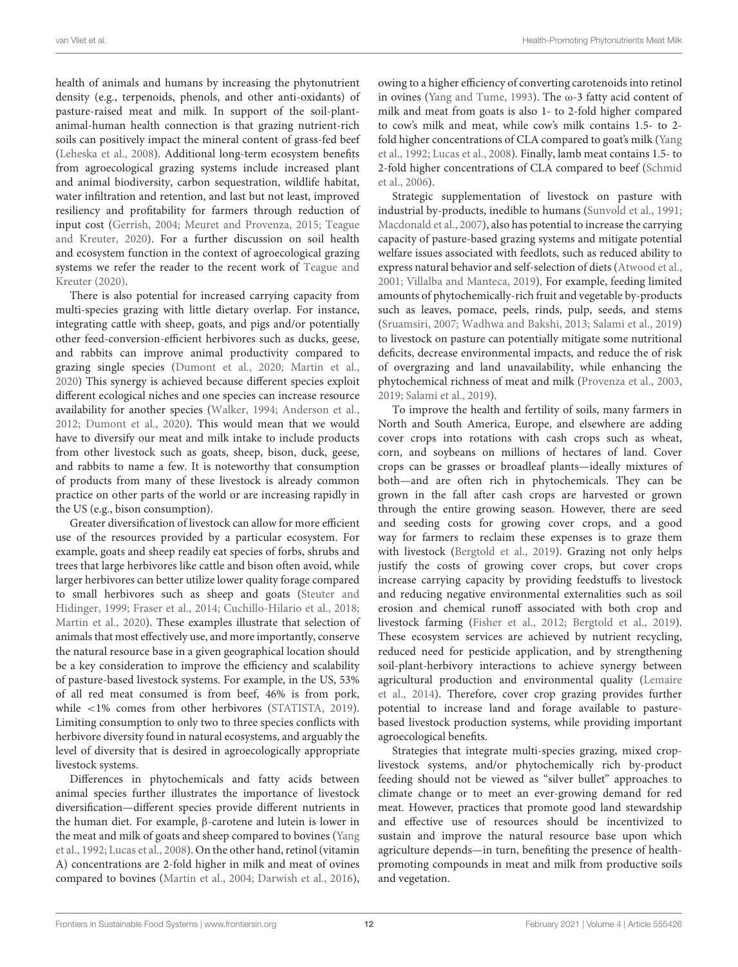health of animals and humans by increasing the phytonutrient density (e.g., terpenoids, phenols, and other anti-oxidants) of pasture-raised meat and milk. In support of the soil-plantanimal-human health connection is that grazing nutrient-rich soils can positively impact the mineral content of grass-fed beef [\(Leheska et al., 2008\)](#page-16-37). Additional long-term ecosystem benefits from agroecological grazing systems include increased plant and animal biodiversity, carbon sequestration, wildlife habitat, water infiltration and retention, and last but not least, improved resiliency and profitability for farmers through reduction of input cost [\(Gerrish, 2004;](#page-15-37) [Meuret and Provenza, 2015;](#page-17-34) Teague and Kreuter, [2020\)](#page-19-6). For a further discussion on soil health and ecosystem function in the context of agroecological grazing systems we refer the reader to the recent work of Teague and Kreuter [\(2020\)](#page-19-6).

There is also potential for increased carrying capacity from multi-species grazing with little dietary overlap. For instance, integrating cattle with sheep, goats, and pigs and/or potentially other feed-conversion-efficient herbivores such as ducks, geese, and rabbits can improve animal productivity compared to grazing single species [\(Dumont et al., 2020;](#page-14-36) [Martin et al.,](#page-17-35) [2020\)](#page-17-35) This synergy is achieved because different species exploit different ecological niches and one species can increase resource availability for another species [\(Walker, 1994;](#page-19-28) [Anderson et al.,](#page-13-35) [2012;](#page-13-35) [Dumont et al., 2020\)](#page-14-36). This would mean that we would have to diversify our meat and milk intake to include products from other livestock such as goats, sheep, bison, duck, geese, and rabbits to name a few. It is noteworthy that consumption of products from many of these livestock is already common practice on other parts of the world or are increasing rapidly in the US (e.g., bison consumption).

Greater diversification of livestock can allow for more efficient use of the resources provided by a particular ecosystem. For example, goats and sheep readily eat species of forbs, shrubs and trees that large herbivores like cattle and bison often avoid, while larger herbivores can better utilize lower quality forage compared to small herbivores such as sheep and goats (Steuter and Hidinger, [1999;](#page-18-34) [Fraser et al., 2014;](#page-15-40) [Cuchillo-Hilario et al.,](#page-14-37) [2018;](#page-14-37) [Martin et al., 2020\)](#page-17-35). These examples illustrate that selection of animals that most effectively use, and more importantly, conserve the natural resource base in a given geographical location should be a key consideration to improve the efficiency and scalability of pasture-based livestock systems. For example, in the US, 53% of all red meat consumed is from beef, 46% is from pork, while <1% comes from other herbivores [\(STATISTA, 2019\)](#page-18-35). Limiting consumption to only two to three species conflicts with herbivore diversity found in natural ecosystems, and arguably the level of diversity that is desired in agroecologically appropriate livestock systems.

Differences in phytochemicals and fatty acids between animal species further illustrates the importance of livestock diversification—different species provide different nutrients in the human diet. For example, β-carotene and lutein is lower in the meat and milk of goats and sheep compared to bovines (Yang et al., [1992;](#page-19-29) [Lucas et al., 2008\)](#page-16-38). On the other hand, retinol (vitamin A) concentrations are 2-fold higher in milk and meat of ovines compared to bovines [\(Martin et al., 2004;](#page-17-36) [Darwish et al., 2016\)](#page-14-38), owing to a higher efficiency of converting carotenoids into retinol in ovines [\(Yang and Tume, 1993\)](#page-19-30). The ω-3 fatty acid content of milk and meat from goats is also 1- to 2-fold higher compared to cow's milk and meat, while cow's milk contains 1.5- to 2 fold higher concentrations of CLA compared to goat's milk (Yang et al., [1992;](#page-19-29) [Lucas et al., 2008\)](#page-16-38). Finally, lamb meat contains 1.5- to 2-fold higher concentrations of CLA compared to beef (Schmid et al., [2006\)](#page-18-36).

Strategic supplementation of livestock on pasture with industrial by-products, inedible to humans [\(Sunvold et al., 1991;](#page-18-37) [Macdonald et al., 2007\)](#page-17-37), also has potential to increase the carrying capacity of pasture-based grazing systems and mitigate potential welfare issues associated with feedlots, such as reduced ability to express natural behavior and self-selection of diets [\(Atwood et al.,](#page-13-36) [2001;](#page-13-36) [Villalba and Manteca, 2019\)](#page-19-31). For example, feeding limited amounts of phytochemically-rich fruit and vegetable by-products such as leaves, pomace, peels, rinds, pulp, seeds, and stems [\(Sruamsiri, 2007;](#page-18-38) [Wadhwa and Bakshi, 2013;](#page-19-32) [Salami et al., 2019\)](#page-18-39) to livestock on pasture can potentially mitigate some nutritional deficits, decrease environmental impacts, and reduce the of risk of overgrazing and land unavailability, while enhancing the phytochemical richness of meat and milk [\(Provenza et al., 2003,](#page-18-11) [2019;](#page-18-3) [Salami et al., 2019\)](#page-18-39).

To improve the health and fertility of soils, many farmers in North and South America, Europe, and elsewhere are adding cover crops into rotations with cash crops such as wheat, corn, and soybeans on millions of hectares of land. Cover crops can be grasses or broadleaf plants—ideally mixtures of both—and are often rich in phytochemicals. They can be grown in the fall after cash crops are harvested or grown through the entire growing season. However, there are seed and seeding costs for growing cover crops, and a good way for farmers to reclaim these expenses is to graze them with livestock [\(Bergtold et al., 2019\)](#page-13-37). Grazing not only helps justify the costs of growing cover crops, but cover crops increase carrying capacity by providing feedstuffs to livestock and reducing negative environmental externalities such as soil erosion and chemical runoff associated with both crop and livestock farming [\(Fisher et al., 2012;](#page-15-41) [Bergtold et al., 2019\)](#page-13-37). These ecosystem services are achieved by nutrient recycling, reduced need for pesticide application, and by strengthening soil-plant-herbivory interactions to achieve synergy between agricultural production and environmental quality (Lemaire et al., [2014\)](#page-16-39). Therefore, cover crop grazing provides further potential to increase land and forage available to pasturebased livestock production systems, while providing important agroecological benefits.

Strategies that integrate multi-species grazing, mixed croplivestock systems, and/or phytochemically rich by-product feeding should not be viewed as "silver bullet" approaches to climate change or to meet an ever-growing demand for red meat. However, practices that promote good land stewardship and effective use of resources should be incentivized to sustain and improve the natural resource base upon which agriculture depends—in turn, benefiting the presence of healthpromoting compounds in meat and milk from productive soils and vegetation.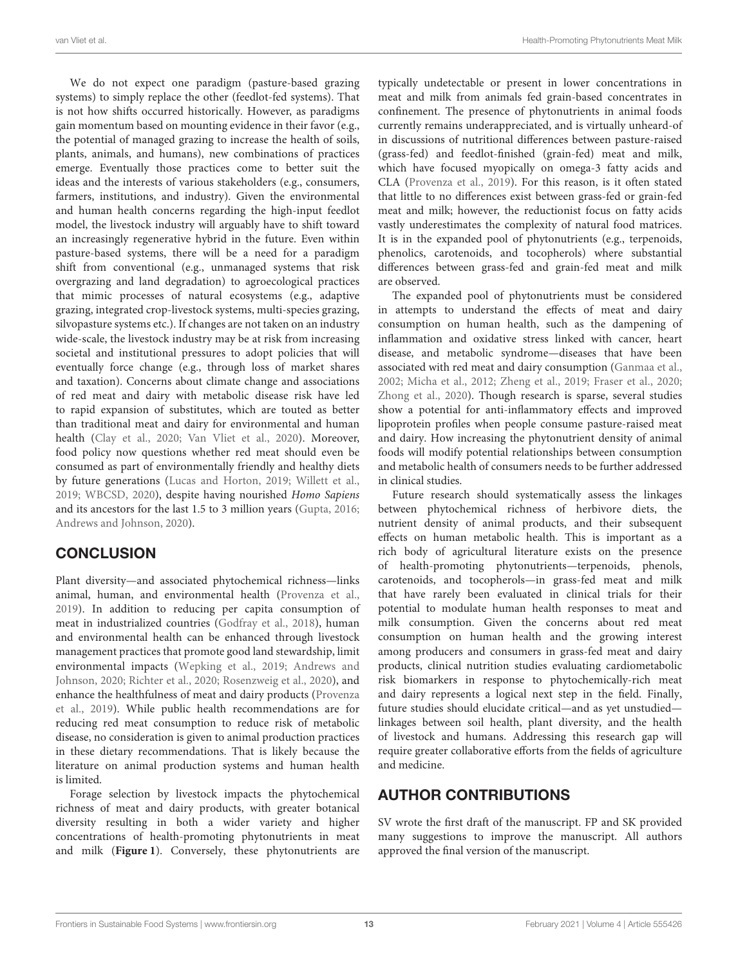We do not expect one paradigm (pasture-based grazing systems) to simply replace the other (feedlot-fed systems). That is not how shifts occurred historically. However, as paradigms gain momentum based on mounting evidence in their favor (e.g., the potential of managed grazing to increase the health of soils, plants, animals, and humans), new combinations of practices emerge. Eventually those practices come to better suit the ideas and the interests of various stakeholders (e.g., consumers, farmers, institutions, and industry). Given the environmental and human health concerns regarding the high-input feedlot model, the livestock industry will arguably have to shift toward an increasingly regenerative hybrid in the future. Even within pasture-based systems, there will be a need for a paradigm shift from conventional (e.g., unmanaged systems that risk overgrazing and land degradation) to agroecological practices that mimic processes of natural ecosystems (e.g., adaptive grazing, integrated crop-livestock systems, multi-species grazing, silvopasture systems etc.). If changes are not taken on an industry wide-scale, the livestock industry may be at risk from increasing societal and institutional pressures to adopt policies that will eventually force change (e.g., through loss of market shares and taxation). Concerns about climate change and associations of red meat and dairy with metabolic disease risk have led to rapid expansion of substitutes, which are touted as better than traditional meat and dairy for environmental and human health [\(Clay et al., 2020;](#page-14-39) [Van Vliet et al., 2020\)](#page-19-21). Moreover, food policy now questions whether red meat should even be consumed as part of environmentally friendly and healthy diets by future generations [\(Lucas and Horton, 2019;](#page-16-40) [Willett et al.,](#page-19-0) [2019;](#page-19-0) [WBCSD, 2020\)](#page-19-33), despite having nourished Homo Sapiens and its ancestors for the last 1.5 to 3 million years [\(Gupta, 2016;](#page-15-42) [Andrews and Johnson, 2020\)](#page-13-38).

# **CONCLUSION**

Plant diversity—and associated phytochemical richness—links animal, human, and environmental health [\(Provenza et al.,](#page-18-3) [2019\)](#page-18-3). In addition to reducing per capita consumption of meat in industrialized countries [\(Godfray et al., 2018\)](#page-15-4), human and environmental health can be enhanced through livestock management practices that promote good land stewardship, limit environmental impacts [\(Wepking et al., 2019;](#page-19-34) Andrews and Johnson, [2020;](#page-13-38) [Richter et al., 2020;](#page-18-40) [Rosenzweig et al., 2020\)](#page-18-41), and enhance the healthfulness of meat and dairy products (Provenza et al., [2019\)](#page-18-3). While public health recommendations are for reducing red meat consumption to reduce risk of metabolic disease, no consideration is given to animal production practices in these dietary recommendations. That is likely because the literature on animal production systems and human health is limited.

Forage selection by livestock impacts the phytochemical richness of meat and dairy products, with greater botanical diversity resulting in both a wider variety and higher concentrations of health-promoting phytonutrients in meat and milk (**[Figure 1](#page-5-0)**). Conversely, these phytonutrients are typically undetectable or present in lower concentrations in meat and milk from animals fed grain-based concentrates in confinement. The presence of phytonutrients in animal foods currently remains underappreciated, and is virtually unheard-of in discussions of nutritional differences between pasture-raised (grass-fed) and feedlot-finished (grain-fed) meat and milk, which have focused myopically on omega-3 fatty acids and CLA [\(Provenza et al., 2019\)](#page-18-3). For this reason, is it often stated that little to no differences exist between grass-fed or grain-fed meat and milk; however, the reductionist focus on fatty acids vastly underestimates the complexity of natural food matrices. It is in the expanded pool of phytonutrients (e.g., terpenoids, phenolics, carotenoids, and tocopherols) where substantial differences between grass-fed and grain-fed meat and milk are observed.

The expanded pool of phytonutrients must be considered in attempts to understand the effects of meat and dairy consumption on human health, such as the dampening of inflammation and oxidative stress linked with cancer, heart disease, and metabolic syndrome—diseases that have been associated with red meat and dairy consumption [\(Ganmaa et al.,](#page-15-10) [2002;](#page-15-10) [Micha et al., 2012;](#page-17-0) [Zheng et al., 2019;](#page-19-9) [Fraser et al., 2020;](#page-15-11) [Zhong et al., 2020\)](#page-19-1). Though research is sparse, several studies show a potential for anti-inflammatory effects and improved lipoprotein profiles when people consume pasture-raised meat and dairy. How increasing the phytonutrient density of animal foods will modify potential relationships between consumption and metabolic health of consumers needs to be further addressed in clinical studies.

Future research should systematically assess the linkages between phytochemical richness of herbivore diets, the nutrient density of animal products, and their subsequent effects on human metabolic health. This is important as a rich body of agricultural literature exists on the presence of health-promoting phytonutrients—terpenoids, phenols, carotenoids, and tocopherols—in grass-fed meat and milk that have rarely been evaluated in clinical trials for their potential to modulate human health responses to meat and milk consumption. Given the concerns about red meat consumption on human health and the growing interest among producers and consumers in grass-fed meat and dairy products, clinical nutrition studies evaluating cardiometabolic risk biomarkers in response to phytochemically-rich meat and dairy represents a logical next step in the field. Finally, future studies should elucidate critical—and as yet unstudied linkages between soil health, plant diversity, and the health of livestock and humans. Addressing this research gap will require greater collaborative efforts from the fields of agriculture and medicine.

# AUTHOR CONTRIBUTIONS

SV wrote the first draft of the manuscript. FP and SK provided many suggestions to improve the manuscript. All authors approved the final version of the manuscript.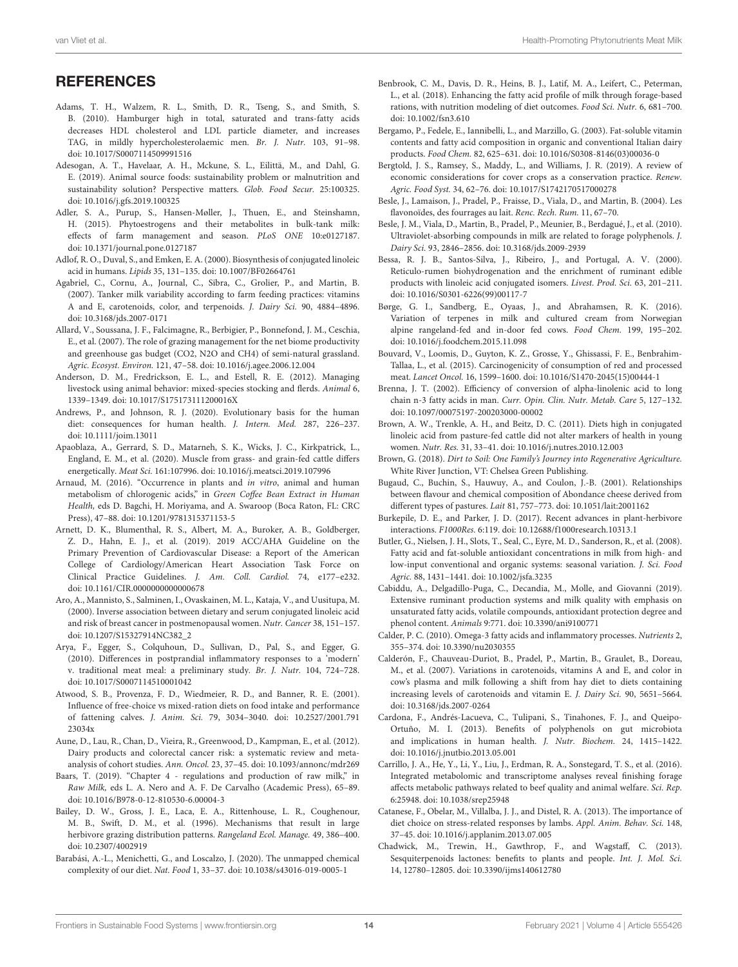### **REFERENCES**

- <span id="page-13-34"></span>Adams, T. H., Walzem, R. L., Smith, D. R., Tseng, S., and Smith, S. B. (2010). Hamburger high in total, saturated and trans-fatty acids decreases HDL cholesterol and LDL particle diameter, and increases TAG, in mildly hypercholesterolaemic men. Br. J. Nutr. 103, 91–98. doi: [10.1017/S0007114509991516](https://doi.org/10.1017/S0007114509991516)
- <span id="page-13-8"></span>Adesogan, A. T., Havelaar, A. H., Mckune, S. L., Eilittä, M., and Dahl, G. E. (2019). Animal source foods: sustainability problem or malnutrition and sustainability solution? Perspective matters. Glob. Food Secur. 25:100325. doi: [10.1016/j.gfs.2019.100325](https://doi.org/10.1016/j.gfs.2019.100325)
- <span id="page-13-28"></span>Adler, S. A., Purup, S., Hansen-Møller, J., Thuen, E., and Steinshamn, H. (2015). Phytoestrogens and their metabolites in bulk-tank milk: effects of farm management and season. PLoS ONE 10:e0127187. doi: [10.1371/journal.pone.0127187](https://doi.org/10.1371/journal.pone.0127187)
- <span id="page-13-18"></span>Adlof, R. O., Duval, S., and Emken, E. A. (2000). Biosynthesis of conjugated linoleic acid in humans. Lipids 35, 131–135. doi: [10.1007/BF02664761](https://doi.org/10.1007/BF02664761)
- <span id="page-13-23"></span>Agabriel, C., Cornu, A., Journal, C., Sibra, C., Grolier, P., and Martin, B. (2007). Tanker milk variability according to farm feeding practices: vitamins A and E, carotenoids, color, and terpenoids. J. Dairy Sci. 90, 4884–4896. doi: [10.3168/jds.2007-0171](https://doi.org/10.3168/jds.2007-0171)
- <span id="page-13-3"></span>Allard, V., Soussana, J. F., Falcimagne, R., Berbigier, P., Bonnefond, J. M., Ceschia, E., et al. (2007). The role of grazing management for the net biome productivity and greenhouse gas budget (CO2, N2O and CH4) of semi-natural grassland. Agric. Ecosyst. Environ. 121, 47–58. doi: [10.1016/j.agee.2006.12.004](https://doi.org/10.1016/j.agee.2006.12.004)
- <span id="page-13-35"></span>Anderson, D. M., Fredrickson, E. L., and Estell, R. E. (2012). Managing livestock using animal behavior: mixed-species stocking and flerds. Animal 6, 1339–1349. doi: [10.1017/S175173111200016X](https://doi.org/10.1017/S175173111200016X)
- <span id="page-13-38"></span>Andrews, P., and Johnson, R. J. (2020). Evolutionary basis for the human diet: consequences for human health. J. Intern. Med. 287, 226–237. doi: [10.1111/joim.13011](https://doi.org/10.1111/joim.13011)
- <span id="page-13-12"></span>Apaoblaza, A., Gerrard, S. D., Matarneh, S. K., Wicks, J. C., Kirkpatrick, L., England, E. M., et al. (2020). Muscle from grass- and grain-fed cattle differs energetically. Meat Sci. 161:107996. doi: [10.1016/j.meatsci.2019.107996](https://doi.org/10.1016/j.meatsci.2019.107996)
- <span id="page-13-31"></span>Arnaud, M. (2016). "Occurrence in plants and in vitro, animal and human metabolism of chlorogenic acids," in Green Coffee Bean Extract in Human Health, eds D. Bagchi, H. Moriyama, and A. Swaroop (Boca Raton, FL: CRC Press), 47–88. doi: [10.1201/9781315371153-5](https://doi.org/10.1201/9781315371153-5)
- <span id="page-13-0"></span>Arnett, D. K., Blumenthal, R. S., Albert, M. A., Buroker, A. B., Goldberger, Z. D., Hahn, E. J., et al. (2019). 2019 ACC/AHA Guideline on the Primary Prevention of Cardiovascular Disease: a Report of the American College of Cardiology/American Heart Association Task Force on Clinical Practice Guidelines. J. Am. Coll. Cardiol. 74, e177–e232. doi: [10.1161/CIR.0000000000000678](https://doi.org/10.1161/CIR.0000000000000678)
- <span id="page-13-19"></span>Aro, A., Mannisto, S., Salminen, I., Ovaskainen, M. L., Kataja, V., and Uusitupa, M. (2000). Inverse association between dietary and serum conjugated linoleic acid and risk of breast cancer in postmenopausal women. Nutr. Cancer 38, 151–157. doi: [10.1207/S15327914NC382\\_2](https://doi.org/10.1207/S15327914NC382_2)
- <span id="page-13-33"></span>Arya, F., Egger, S., Colquhoun, D., Sullivan, D., Pal, S., and Egger, G. (2010). Differences in postprandial inflammatory responses to a 'modern' v. traditional meat meal: a preliminary study. Br. J. Nutr. 104, 724–728. doi: [10.1017/S0007114510001042](https://doi.org/10.1017/S0007114510001042)
- <span id="page-13-36"></span>Atwood, S. B., Provenza, F. D., Wiedmeier, R. D., and Banner, R. E. (2001). Influence of free-choice vs mixed-ration diets on food intake and performance of fattening calves. J. Anim. Sci. [79, 3034–3040. doi: 10.2527/2001.791](https://doi.org/10.2527/2001.79123034x) 23034x
- <span id="page-13-14"></span>Aune, D., Lau, R., Chan, D., Vieira, R., Greenwood, D., Kampman, E., et al. (2012). Dairy products and colorectal cancer risk: a systematic review and metaanalysis of cohort studies. Ann. Oncol. 23, 37–45. doi: [10.1093/annonc/mdr269](https://doi.org/10.1093/annonc/mdr269)
- <span id="page-13-29"></span>Baars, T. (2019). "Chapter 4 - regulations and production of raw milk," in Raw Milk, eds L. A. Nero and A. F. De Carvalho (Academic Press), 65–89. doi: [10.1016/B978-0-12-810530-6.00004-3](https://doi.org/10.1016/B978-0-12-810530-6.00004-3)
- <span id="page-13-10"></span>Bailey, D. W., Gross, J. E., Laca, E. A., Rittenhouse, L. R., Coughenour, M. B., Swift, D. M., et al. (1996). Mechanisms that result in large herbivore grazing distribution patterns. Rangeland Ecol. Manage. 49, 386–400. doi: [10.2307/4002919](https://doi.org/10.2307/4002919)
- <span id="page-13-6"></span>Barabási, A.-L., Menichetti, G., and Loscalzo, J. (2020). The unmapped chemical complexity of our diet. Nat. Food 1, 33–37. doi: [10.1038/s43016-019-0005-1](https://doi.org/10.1038/s43016-019-0005-1)
- <span id="page-13-15"></span>Benbrook, C. M., Davis, D. R., Heins, B. J., Latif, M. A., Leifert, C., Peterman, L., et al. (2018). Enhancing the fatty acid profile of milk through forage-based rations, with nutrition modeling of diet outcomes. Food Sci. Nutr. 6, 681–700. doi: [10.1002/fsn3.610](https://doi.org/10.1002/fsn3.610)
- <span id="page-13-16"></span>Bergamo, P., Fedele, E., Iannibelli, L., and Marzillo, G. (2003). Fat-soluble vitamin contents and fatty acid composition in organic and conventional Italian dairy products. Food Chem. 82, 625–631. doi: [10.1016/S0308-8146\(03\)00036-0](https://doi.org/10.1016/S0308-8146(03)00036-0)
- <span id="page-13-37"></span>Bergtold, J. S., Ramsey, S., Maddy, L., and Williams, J. R. (2019). A review of economic considerations for cover crops as a conservation practice. Renew. Agric. Food Syst. 34, 62–76. doi: [10.1017/S1742170517000278](https://doi.org/10.1017/S1742170517000278)
- <span id="page-13-27"></span>Besle, J., Lamaison, J., Pradel, P., Fraisse, D., Viala, D., and Martin, B. (2004). Les flavonoïdes, des fourrages au lait. Renc. Rech. Rum. 11, 67–70.
- <span id="page-13-25"></span>Besle, J. M., Viala, D., Martin, B., Pradel, P., Meunier, B., Berdagué, J., et al. (2010). Ultraviolet-absorbing compounds in milk are related to forage polyphenols. J. Dairy Sci. 93, 2846–2856. doi: [10.3168/jds.2009-2939](https://doi.org/10.3168/jds.2009-2939)
- <span id="page-13-20"></span>Bessa, R. J. B., Santos-Silva, J., Ribeiro, J., and Portugal, A. V. (2000). Reticulo-rumen biohydrogenation and the enrichment of ruminant edible products with linoleic acid conjugated isomers. Livest. Prod. Sci. 63, 201–211. doi: [10.1016/S0301-6226\(99\)00117-7](https://doi.org/10.1016/S0301-6226(99)00117-7)
- <span id="page-13-5"></span>Børge, G. I., Sandberg, E., Oyaas, J., and Abrahamsen, R. K. (2016). Variation of terpenes in milk and cultured cream from Norwegian alpine rangeland-fed and in-door fed cows. Food Chem. 199, 195–202. doi: [10.1016/j.foodchem.2015.11.098](https://doi.org/10.1016/j.foodchem.2015.11.098)
- <span id="page-13-1"></span>Bouvard, V., Loomis, D., Guyton, K. Z., Grosse, Y., Ghissassi, F. E., Benbrahim-Tallaa, L., et al. (2015). Carcinogenicity of consumption of red and processed meat. Lancet Oncol. 16, 1599–1600. doi: [10.1016/S1470-2045\(15\)00444-1](https://doi.org/10.1016/S1470-2045(15)00444-1)
- <span id="page-13-9"></span>Brenna, J. T. (2002). Efficiency of conversion of alpha-linolenic acid to long chain n-3 fatty acids in man. Curr. Opin. Clin. Nutr. Metab. Care 5, 127–132. doi: [10.1097/00075197-200203000-00002](https://doi.org/10.1097/00075197-200203000-00002)
- <span id="page-13-21"></span>Brown, A. W., Trenkle, A. H., and Beitz, D. C. (2011). Diets high in conjugated linoleic acid from pasture-fed cattle did not alter markers of health in young women. Nutr. Res. 31, 33–41. doi: [10.1016/j.nutres.2010.12.003](https://doi.org/10.1016/j.nutres.2010.12.003)
- <span id="page-13-2"></span>Brown, G. (2018). Dirt to Soil: One Family's Journey into Regenerative Agriculture. White River Junction, VT: Chelsea Green Publishing.
- <span id="page-13-22"></span>Bugaud, C., Buchin, S., Hauwuy, A., and Coulon, J.-B. (2001). Relationships between flavour and chemical composition of Abondance cheese derived from different types of pastures. Lait 81, 757–773. doi: [10.1051/lait:2001162](https://doi.org/10.1051/lait:2001162)
- <span id="page-13-4"></span>Burkepile, D. E., and Parker, J. D. (2017). Recent advances in plant-herbivore interactions. F1000Res. 6:119. doi: [10.12688/f1000research.10313.1](https://doi.org/10.12688/f1000research.10313.1)
- <span id="page-13-30"></span>Butler, G., Nielsen, J. H., Slots, T., Seal, C., Eyre, M. D., Sanderson, R., et al. (2008). Fatty acid and fat-soluble antioxidant concentrations in milk from high- and low-input conventional and organic systems: seasonal variation. J. Sci. Food Agric. 88, 1431–1441. doi: [10.1002/jsfa.3235](https://doi.org/10.1002/jsfa.3235)
- <span id="page-13-26"></span>Cabiddu, A., Delgadillo-Puga, C., Decandia, M., Molle, and Giovanni (2019). Extensive ruminant production systems and milk quality with emphasis on unsaturated fatty acids, volatile compounds, antioxidant protection degree and phenol content. Animals 9:771. doi: [10.3390/ani9100771](https://doi.org/10.3390/ani9100771)
- <span id="page-13-17"></span>Calder, P. C. (2010). Omega-3 fatty acids and inflammatory processes. Nutrients 2, 355–374. doi: [10.3390/nu2030355](https://doi.org/10.3390/nu2030355)
- <span id="page-13-32"></span>Calderón, F., Chauveau-Duriot, B., Pradel, P., Martin, B., Graulet, B., Doreau, M., et al. (2007). Variations in carotenoids, vitamins A and E, and color in cow's plasma and milk following a shift from hay diet to diets containing increasing levels of carotenoids and vitamin E. J. Dairy Sci. 90, 5651–5664. doi: [10.3168/jds.2007-0264](https://doi.org/10.3168/jds.2007-0264)
- <span id="page-13-24"></span>Cardona, F., Andrés-Lacueva, C., Tulipani, S., Tinahones, F. J., and Queipo-Ortuño, M. I. (2013). Benefits of polyphenols on gut microbiota and implications in human health. J. Nutr. Biochem. 24, 1415–1422. doi: [10.1016/j.jnutbio.2013.05.001](https://doi.org/10.1016/j.jnutbio.2013.05.001)
- <span id="page-13-11"></span>Carrillo, J. A., He, Y., Li, Y., Liu, J., Erdman, R. A., Sonstegard, T. S., et al. (2016). Integrated metabolomic and transcriptome analyses reveal finishing forage affects metabolic pathways related to beef quality and animal welfare. Sci. Rep. 6:25948. doi: [10.1038/srep25948](https://doi.org/10.1038/srep25948)
- <span id="page-13-13"></span>Catanese, F., Obelar, M., Villalba, J. J., and Distel, R. A. (2013). The importance of diet choice on stress-related responses by lambs. Appl. Anim. Behav. Sci. 148, 37–45. doi: [10.1016/j.applanim.2013.07.005](https://doi.org/10.1016/j.applanim.2013.07.005)
- <span id="page-13-7"></span>Chadwick, M., Trewin, H., Gawthrop, F., and Wagstaff, C. (2013). Sesquiterpenoids lactones: benefits to plants and people. Int. J. Mol. Sci. 14, 12780–12805. doi: [10.3390/ijms140612780](https://doi.org/10.3390/ijms140612780)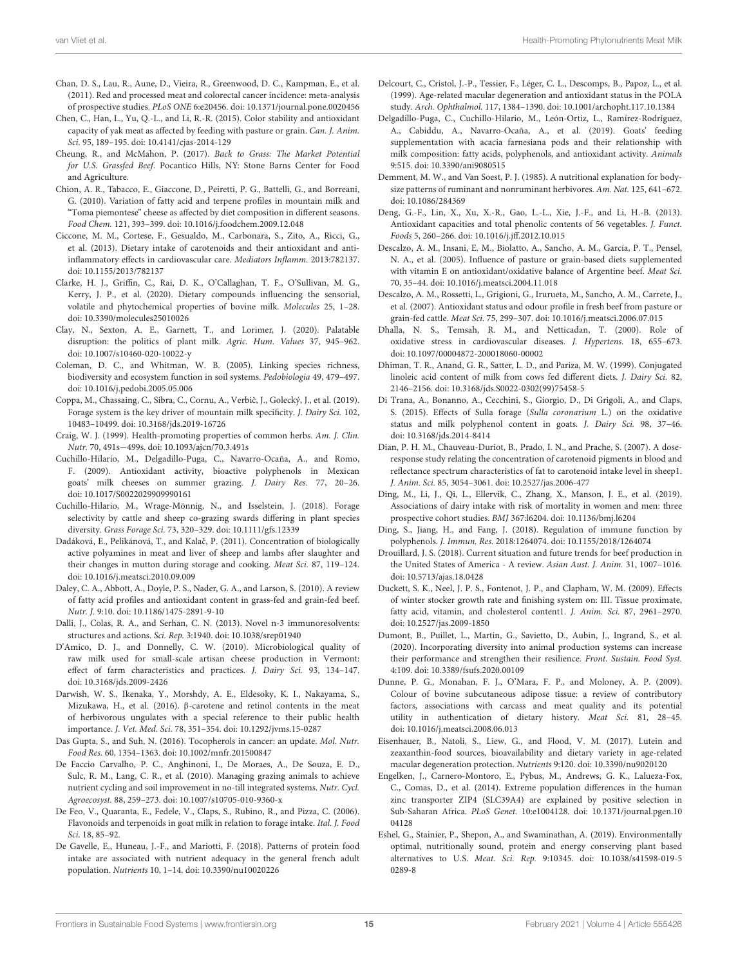- <span id="page-14-0"></span>Chan, D. S., Lau, R., Aune, D., Vieira, R., Greenwood, D. C., Kampman, E., et al. (2011). Red and processed meat and colorectal cancer incidence: meta-analysis of prospective studies. PLoS ONE 6:e20456. doi: [10.1371/journal.pone.0020456](https://doi.org/10.1371/journal.pone.0020456)
- <span id="page-14-22"></span>Chen, C., Han, L., Yu, Q.-L., and Li, R.-R. (2015). Color stability and antioxidant capacity of yak meat as affected by feeding with pasture or grain. Can. J. Anim. Sci. 95, 189–195. doi: [10.4141/cjas-2014-129](https://doi.org/10.4141/cjas-2014-129)
- <span id="page-14-35"></span>Cheung, R., and McMahon, P. (2017). Back to Grass: The Market Potential for U.S. Grassfed Beef. Pocantico Hills, NY: Stone Barns Center for Food and Agriculture.
- <span id="page-14-15"></span>Chion, A. R., Tabacco, E., Giaccone, D., Peiretti, P. G., Battelli, G., and Borreani, G. (2010). Variation of fatty acid and terpene profiles in mountain milk and "Toma piemontese" cheese as affected by diet composition in different seasons. Food Chem. 121, 393–399. doi: [10.1016/j.foodchem.2009.12.048](https://doi.org/10.1016/j.foodchem.2009.12.048)
- <span id="page-14-28"></span>Ciccone, M. M., Cortese, F., Gesualdo, M., Carbonara, S., Zito, A., Ricci, G., et al. (2013). Dietary intake of carotenoids and their antioxidant and antiinflammatory effects in cardiovascular care. Mediators Inflamm. 2013:782137. doi: [10.1155/2013/782137](https://doi.org/10.1155/2013/782137)
- <span id="page-14-20"></span>Clarke, H. J., Griffin, C., Rai, D. K., O'Callaghan, T. F., O'Sullivan, M. G., Kerry, J. P., et al. (2020). Dietary compounds influencing the sensorial, volatile and phytochemical properties of bovine milk. Molecules 25, 1–28. doi: [10.3390/molecules25010026](https://doi.org/10.3390/molecules25010026)
- <span id="page-14-39"></span>Clay, N., Sexton, A. E., Garnett, T., and Lorimer, J. (2020). Palatable disruption: the politics of plant milk. Agric. Hum. Values 37, 945–962. doi: [10.1007/s10460-020-10022-y](https://doi.org/10.1007/s10460-020-10022-y)
- <span id="page-14-3"></span>Coleman, D. C., and Whitman, W. B. (2005). Linking species richness, biodiversity and ecosystem function in soil systems. Pedobiologia 49, 479–497. doi: [10.1016/j.pedobi.2005.05.006](https://doi.org/10.1016/j.pedobi.2005.05.006)
- <span id="page-14-12"></span>Coppa, M., Chassaing, C., Sibra, C., Cornu, A., Verbič, J., Golecký, J., et al. (2019). Forage system is the key driver of mountain milk specificity. J. Dairy Sci. 102, 10483–10499. doi: [10.3168/jds.2019-16726](https://doi.org/10.3168/jds.2019-16726)
- <span id="page-14-2"></span>Craig, W. J. (1999). Health-promoting properties of common herbs. Am. J. Clin. Nutr. 70, 491s−499s. doi: [10.1093/ajcn/70.3.491s](https://doi.org/10.1093/ajcn/70.3.491s)
- <span id="page-14-19"></span>Cuchillo-Hilario, M., Delgadillo-Puga, C., Navarro-Ocaña, A., and Romo, F. (2009). Antioxidant activity, bioactive polyphenols in Mexican goats' milk cheeses on summer grazing. J. Dairy Res. 77, 20–26. doi: [10.1017/S0022029909990161](https://doi.org/10.1017/S0022029909990161)
- <span id="page-14-37"></span>Cuchillo-Hilario, M., Wrage-Mönnig, N., and Isselstein, J. (2018). Forage selectivity by cattle and sheep co-grazing swards differing in plant species diversity. Grass Forage Sci. 73, 320–329. doi: [10.1111/gfs.12339](https://doi.org/10.1111/gfs.12339)
- <span id="page-14-24"></span>Dadáková, E., Pelikánová, T., and Kalač, P. (2011). Concentration of biologically active polyamines in meat and liver of sheep and lambs after slaughter and their changes in mutton during storage and cooking. Meat Sci. 87, 119–124. doi: [10.1016/j.meatsci.2010.09.009](https://doi.org/10.1016/j.meatsci.2010.09.009)
- <span id="page-14-11"></span>Daley, C. A., Abbott, A., Doyle, P. S., Nader, G. A., and Larson, S. (2010). A review of fatty acid profiles and antioxidant content in grass-fed and grain-fed beef. Nutr. J. 9:10. doi: [10.1186/1475-2891-9-10](https://doi.org/10.1186/1475-2891-9-10)
- <span id="page-14-13"></span>Dalli, J., Colas, R. A., and Serhan, C. N. (2013). Novel n-3 immunoresolvents: structures and actions. Sci. Rep. 3:1940. doi: [10.1038/srep01940](https://doi.org/10.1038/srep01940)
- <span id="page-14-21"></span>D'Amico, D. J., and Donnelly, C. W. (2010). Microbiological quality of raw milk used for small-scale artisan cheese production in Vermont: effect of farm characteristics and practices. J. Dairy Sci. 93, 134–147. doi: [10.3168/jds.2009-2426](https://doi.org/10.3168/jds.2009-2426)
- <span id="page-14-38"></span>Darwish, W. S., Ikenaka, Y., Morshdy, A. E., Eldesoky, K. I., Nakayama, S., Mizukawa, H., et al. (2016). β-carotene and retinol contents in the meat of herbivorous ungulates with a special reference to their public health importance. J. Vet. Med. Sci. 78, 351–354. doi: [10.1292/jvms.15-0287](https://doi.org/10.1292/jvms.15-0287)
- <span id="page-14-29"></span>Das Gupta, S., and Suh, N. (2016). Tocopherols in cancer: an update. Mol. Nutr. Food Res. 60, 1354–1363. doi: [10.1002/mnfr.201500847](https://doi.org/10.1002/mnfr.201500847)
- <span id="page-14-4"></span>De Faccio Carvalho, P. C., Anghinoni, I., De Moraes, A., De Souza, E. D., Sulc, R. M., Lang, C. R., et al. (2010). Managing grazing animals to achieve nutrient cycling and soil improvement in no-till integrated systems. Nutr. Cycl. Agroecosyst. 88, 259–273. doi: [10.1007/s10705-010-9360-x](https://doi.org/10.1007/s10705-010-9360-x)
- <span id="page-14-17"></span>De Feo, V., Quaranta, E., Fedele, V., Claps, S., Rubino, R., and Pizza, C. (2006). Flavonoids and terpenoids in goat milk in relation to forage intake. Ital. J. Food Sci. 18, 85–92.
- <span id="page-14-9"></span>De Gavelle, E., Huneau, J.-F., and Mariotti, F. (2018). Patterns of protein food intake are associated with nutrient adequacy in the general french adult population. Nutrients 10, 1–14. doi: [10.3390/nu10020226](https://doi.org/10.3390/nu10020226)
- <span id="page-14-30"></span>Delcourt, C., Cristol, J.-P., Tessier, F., Léger, C. L., Descomps, B., Papoz, L., et al. (1999). Age-related macular degeneration and antioxidant status in the POLA study. Arch. Ophthalmol. 117, 1384–1390. doi: [10.1001/archopht.117.10.1384](https://doi.org/10.1001/archopht.117.10.1384)
- <span id="page-14-1"></span>Delgadillo-Puga, C., Cuchillo-Hilario, M., León-Ortiz, L., Ramírez-Rodríguez, A., Cabiddu, A., Navarro-Ocaña, A., et al. (2019). Goats' feeding supplementation with acacia farnesiana pods and their relationship with milk composition: fatty acids, polyphenols, and antioxidant activity. Animals 9:515. doi: [10.3390/ani9080515](https://doi.org/10.3390/ani9080515)
- <span id="page-14-7"></span>Demment, M. W., and Van Soest, P. J. (1985). A nutritional explanation for bodysize patterns of ruminant and nonruminant herbivores. Am. Nat. 125, 641–672. doi: [10.1086/284369](https://doi.org/10.1086/284369)
- <span id="page-14-25"></span>Deng, G.-F., Lin, X., Xu, X.-R., Gao, L.-L., Xie, J.-F., and Li, H.-B. (2013). Antioxidant capacities and total phenolic contents of 56 vegetables. J. Funct. Foods 5, 260–266. doi: [10.1016/j.jff.2012.10.015](https://doi.org/10.1016/j.jff.2012.10.015)
- <span id="page-14-23"></span>Descalzo, A. M., Insani, E. M., Biolatto, A., Sancho, A. M., García, P. T., Pensel, N. A., et al. (2005). Influence of pasture or grain-based diets supplemented with vitamin E on antioxidant/oxidative balance of Argentine beef. Meat Sci. 70, 35–44. doi: [10.1016/j.meatsci.2004.11.018](https://doi.org/10.1016/j.meatsci.2004.11.018)
- <span id="page-14-33"></span>Descalzo, A. M., Rossetti, L., Grigioni, G., Irurueta, M., Sancho, A. M., Carrete, J., et al. (2007). Antioxidant status and odour profile in fresh beef from pasture or grain-fed cattle. Meat Sci. 75, 299–307. doi: [10.1016/j.meatsci.2006.07.015](https://doi.org/10.1016/j.meatsci.2006.07.015)
- <span id="page-14-32"></span>Dhalla, N. S., Temsah, R. M., and Netticadan, T. (2000). Role of oxidative stress in cardiovascular diseases. J. Hypertens. 18, 655–673. doi: [10.1097/00004872-200018060-00002](https://doi.org/10.1097/00004872-200018060-00002)
- <span id="page-14-14"></span>Dhiman, T. R., Anand, G. R., Satter, L. D., and Pariza, M. W. (1999). Conjugated linoleic acid content of milk from cows fed different diets. J. Dairy Sci. 82, 2146–2156. doi: [10.3168/jds.S0022-0302\(99\)75458-5](https://doi.org/10.3168/jds.S0022-0302(99)75458-5)
- <span id="page-14-18"></span>Di Trana, A., Bonanno, A., Cecchini, S., Giorgio, D., Di Grigoli, A., and Claps, S. (2015). Effects of Sulla forage (Sulla coronarium L.) on the oxidative status and milk polyphenol content in goats. J. Dairy Sci. 98, 37–46. doi: [10.3168/jds.2014-8414](https://doi.org/10.3168/jds.2014-8414)
- <span id="page-14-31"></span>Dian, P. H. M., Chauveau-Duriot, B., Prado, I. N., and Prache, S. (2007). A doseresponse study relating the concentration of carotenoid pigments in blood and reflectance spectrum characteristics of fat to carotenoid intake level in sheep1. J. Anim. Sci. 85, 3054–3061. doi: [10.2527/jas.2006-477](https://doi.org/10.2527/jas.2006-477)
- <span id="page-14-8"></span>Ding, M., Li, J., Qi, L., Ellervik, C., Zhang, X., Manson, J. E., et al. (2019). Associations of dairy intake with risk of mortality in women and men: three prospective cohort studies. BMJ 367:l6204. doi: [10.1136/bmj.l6204](https://doi.org/10.1136/bmj.l6204)
- <span id="page-14-16"></span>Ding, S., Jiang, H., and Fang, J. (2018). Regulation of immune function by polyphenols. J. Immun. Res. 2018:1264074. doi: [10.1155/2018/1264074](https://doi.org/10.1155/2018/1264074)
- <span id="page-14-34"></span>Drouillard, J. S. (2018). Current situation and future trends for beef production in the United States of America - A review. Asian Aust. J. Anim. 31, 1007–1016. doi: [10.5713/ajas.18.0428](https://doi.org/10.5713/ajas.18.0428)
- <span id="page-14-10"></span>Duckett, S. K., Neel, J. P. S., Fontenot, J. P., and Clapham, W. M. (2009). Effects of winter stocker growth rate and finishing system on: III. Tissue proximate, fatty acid, vitamin, and cholesterol content1. J. Anim. Sci. 87, 2961-2970. doi: [10.2527/jas.2009-1850](https://doi.org/10.2527/jas.2009-1850)
- <span id="page-14-36"></span>Dumont, B., Puillet, L., Martin, G., Savietto, D., Aubin, J., Ingrand, S., et al. (2020). Incorporating diversity into animal production systems can increase their performance and strengthen their resilience. Front. Sustain. Food Syst. 4:109. doi: [10.3389/fsufs.2020.00109](https://doi.org/10.3389/fsufs.2020.00109)
- <span id="page-14-27"></span>Dunne, P. G., Monahan, F. J., O'Mara, F. P., and Moloney, A. P. (2009). Colour of bovine subcutaneous adipose tissue: a review of contributory factors, associations with carcass and meat quality and its potential utility in authentication of dietary history. Meat Sci. 81, 28–45. doi: [10.1016/j.meatsci.2008.06.013](https://doi.org/10.1016/j.meatsci.2008.06.013)
- <span id="page-14-26"></span>Eisenhauer, B., Natoli, S., Liew, G., and Flood, V. M. (2017). Lutein and zeaxanthin-food sources, bioavailability and dietary variety in age-related macular degeneration protection. Nutrients 9:120. doi: [10.3390/nu9020120](https://doi.org/10.3390/nu9020120)
- <span id="page-14-6"></span>Engelken, J., Carnero-Montoro, E., Pybus, M., Andrews, G. K., Lalueza-Fox, C., Comas, D., et al. (2014). Extreme population differences in the human zinc transporter ZIP4 (SLC39A4) are explained by positive selection in Sub-Saharan Africa. PLoS Genet. [10:e1004128. doi: 10.1371/journal.pgen.10](https://doi.org/10.1371/journal.pgen.1004128) 04128
- <span id="page-14-5"></span>Eshel, G., Stainier, P., Shepon, A., and Swaminathan, A. (2019). Environmentally optimal, nutritionally sound, protein and energy conserving plant based alternatives to U.S. Meat. Sci. Rep. [9:10345. doi: 10.1038/s41598-019-5](https://doi.org/10.1038/s41598-019-50289-8) 0289-8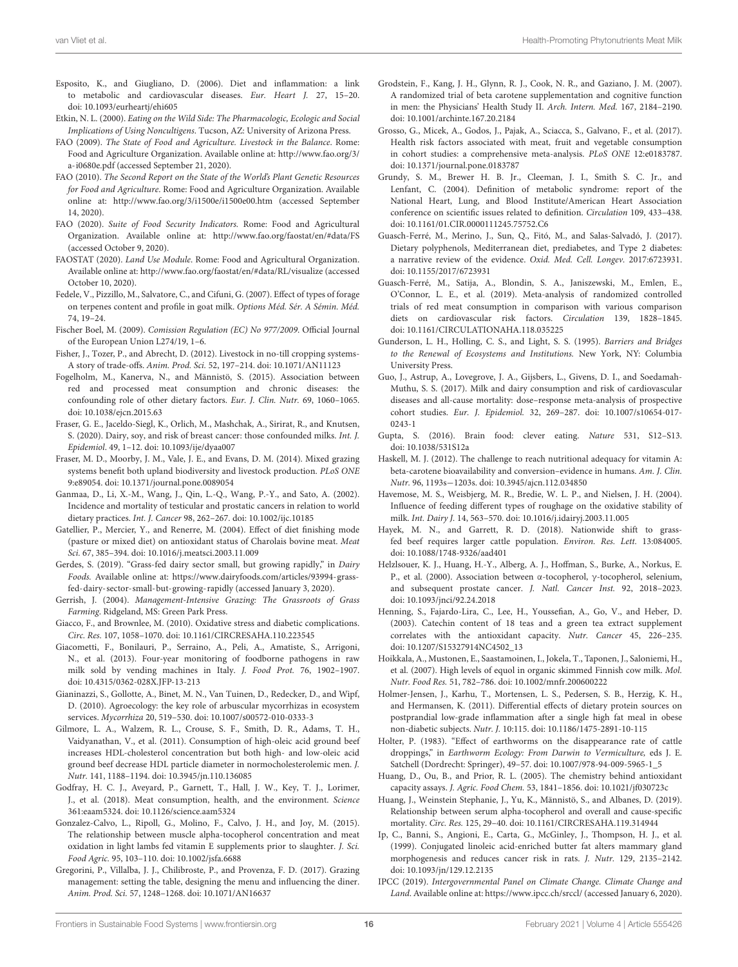- <span id="page-15-31"></span>Esposito, K., and Giugliano, D. (2006). Diet and inflammation: a link to metabolic and cardiovascular diseases. Eur. Heart J. 27, 15–20. doi: [10.1093/eurheartj/ehi605](https://doi.org/10.1093/eurheartj/ehi605)
- <span id="page-15-2"></span>Etkin, N. L. (2000). Eating on the Wild Side: The Pharmacologic, Ecologic and Social Implications of Using Noncultigens. Tucson, AZ: University of Arizona Press.
- <span id="page-15-6"></span>FAO (2009). The State of Food and Agriculture. Livestock in the Balance. Rome: Food and Agriculture Organization. Available online at: [http://www.fao.org/3/](http://www.fao.org/3/a-i0680e.pdf) [a-i0680e.pdf](http://www.fao.org/3/a-i0680e.pdf) (accessed September 21, 2020).
- <span id="page-15-1"></span>FAO (2010). The Second Report on the State of the World's Plant Genetic Resources for Food and Agriculture. Rome: Food and Agriculture Organization. Available online at:<http://www.fao.org/3/i1500e/i1500e00.htm> (accessed September 14, 2020).
- <span id="page-15-5"></span>FAO (2020). Suite of Food Security Indicators. Rome: Food and Agricultural Organization. Available online at:<http://www.fao.org/faostat/en/#data/FS> (accessed October 9, 2020).
- <span id="page-15-7"></span>FAOSTAT (2020). Land Use Module. Rome: Food and Agricultural Organization. Available online at:<http://www.fao.org/faostat/en/#data/RL/visualize> (accessed October 10, 2020).
- <span id="page-15-15"></span>Fedele, V., Pizzillo, M., Salvatore, C., and Cifuni, G. (2007). Effect of types of forage on terpenes content and profile in goat milk. Options Méd. Sér. A Sémin. Méd. 74, 19–24.
- <span id="page-15-18"></span>Fischer Boel, M. (2009). Comission Regulation (EC) No 977/2009. Official Journal of the European Union L274/19, 1–6.
- <span id="page-15-41"></span>Fisher, J., Tozer, P., and Abrecht, D. (2012). Livestock in no-till cropping systems-A story of trade-offs. Anim. Prod. Sci. 52, 197–214. doi: [10.1071/AN11123](https://doi.org/10.1071/AN11123)
- <span id="page-15-35"></span>Fogelholm, M., Kanerva, N., and Männistö, S. (2015). Association between red and processed meat consumption and chronic diseases: the confounding role of other dietary factors. Eur. J. Clin. Nutr. 69, 1060–1065. doi: [10.1038/ejcn.2015.63](https://doi.org/10.1038/ejcn.2015.63)
- <span id="page-15-11"></span>Fraser, G. E., Jaceldo-Siegl, K., Orlich, M., Mashchak, A., Sirirat, R., and Knutsen, S. (2020). Dairy, soy, and risk of breast cancer: those confounded milks. Int. J. Epidemiol. 49, 1–12. doi: [10.1093/ije/dyaa007](https://doi.org/10.1093/ije/dyaa007)
- <span id="page-15-40"></span>Fraser, M. D., Moorby, J. M., Vale, J. E., and Evans, D. M. (2014). Mixed grazing systems benefit both upland biodiversity and livestock production. PLoS ONE 9:e89054. doi: [10.1371/journal.pone.0089054](https://doi.org/10.1371/journal.pone.0089054)
- <span id="page-15-10"></span>Ganmaa, D., Li, X.-M., Wang, J., Qin, L.-Q., Wang, P.-Y., and Sato, A. (2002). Incidence and mortality of testicular and prostatic cancers in relation to world dietary practices. Int. J. Cancer 98, 262–267. doi: [10.1002/ijc.10185](https://doi.org/10.1002/ijc.10185)
- <span id="page-15-20"></span>Gatellier, P., Mercier, Y., and Renerre, M. (2004). Effect of diet finishing mode (pasture or mixed diet) on antioxidant status of Charolais bovine meat. Meat Sci. 67, 385–394. doi: [10.1016/j.meatsci.2003.11.009](https://doi.org/10.1016/j.meatsci.2003.11.009)
- <span id="page-15-33"></span>Gerdes, S. (2019). "Grass-fed dairy sector small, but growing rapidly," in Dairy Foods. Available online at: [https://www.dairyfoods.com/articles/93994-grass](https://www.dairyfoods.com/articles/93994-grass-fed-dairy-sector-small-but-growing-rapidly)[fed-dairy-sector-small-but-growing-rapidly](https://www.dairyfoods.com/articles/93994-grass-fed-dairy-sector-small-but-growing-rapidly) (accessed January 3, 2020).
- <span id="page-15-37"></span>Gerrish, J. (2004). Management-Intensive Grazing: The Grassroots of Grass Farming. Ridgeland, MS: Green Park Press.
- <span id="page-15-28"></span>Giacco, F., and Brownlee, M. (2010). Oxidative stress and diabetic complications. Circ. Res. 107, 1058–1070. doi: [10.1161/CIRCRESAHA.110.223545](https://doi.org/10.1161/CIRCRESAHA.110.223545)
- <span id="page-15-19"></span>Giacometti, F., Bonilauri, P., Serraino, A., Peli, A., Amatiste, S., Arrigoni, N., et al. (2013). Four-year monitoring of foodborne pathogens in raw milk sold by vending machines in Italy. J. Food Prot. 76, 1902–1907. doi: [10.4315/0362-028X.JFP-13-213](https://doi.org/10.4315/0362-028X.JFP-13-213)
- <span id="page-15-38"></span>Gianinazzi, S., Gollotte, A., Binet, M. N., Van Tuinen, D., Redecker, D., and Wipf, D. (2010). Agroecology: the key role of arbuscular mycorrhizas in ecosystem services. Mycorrhiza 20, 519–530. doi: [10.1007/s00572-010-0333-3](https://doi.org/10.1007/s00572-010-0333-3)
- <span id="page-15-32"></span>Gilmore, L. A., Walzem, R. L., Crouse, S. F., Smith, D. R., Adams, T. H., Vaidyanathan, V., et al. (2011). Consumption of high-oleic acid ground beef increases HDL-cholesterol concentration but both high- and low-oleic acid ground beef decrease HDL particle diameter in normocholesterolemic men. J. Nutr. 141, 1188–1194. doi: [10.3945/jn.110.136085](https://doi.org/10.3945/jn.110.136085)
- <span id="page-15-4"></span>Godfray, H. C. J., Aveyard, P., Garnett, T., Hall, J. W., Key, T. J., Lorimer, J., et al. (2018). Meat consumption, health, and the environment. Science 361:eaam5324. doi: [10.1126/science.aam5324](https://doi.org/10.1126/science.aam5324)
- <span id="page-15-27"></span>Gonzalez-Calvo, L., Ripoll, G., Molino, F., Calvo, J. H., and Joy, M. (2015). The relationship between muscle alpha-tocopherol concentration and meat oxidation in light lambs fed vitamin E supplements prior to slaughter. J. Sci. Food Agric. 95, 103–110. doi: [10.1002/jsfa.6688](https://doi.org/10.1002/jsfa.6688)
- <span id="page-15-8"></span>Gregorini, P., Villalba, J. J., Chilibroste, P., and Provenza, F. D. (2017). Grazing management: setting the table, designing the menu and influencing the diner. Anim. Prod. Sci. 57, 1248–1268. doi: [10.1071/AN16637](https://doi.org/10.1071/AN16637)
- <span id="page-15-24"></span>Grodstein, F., Kang, J. H., Glynn, R. J., Cook, N. R., and Gaziano, J. M. (2007). A randomized trial of beta carotene supplementation and cognitive function in men: the Physicians' Health Study II. Arch. Intern. Med. 167, 2184–2190. doi: [10.1001/archinte.167.20.2184](https://doi.org/10.1001/archinte.167.20.2184)
- <span id="page-15-12"></span>Grosso, G., Micek, A., Godos, J., Pajak, A., Sciacca, S., Galvano, F., et al. (2017). Health risk factors associated with meat, fruit and vegetable consumption in cohort studies: a comprehensive meta-analysis. PLoS ONE 12:e0183787. doi: [10.1371/journal.pone.0183787](https://doi.org/10.1371/journal.pone.0183787)
- <span id="page-15-9"></span>Grundy, S. M., Brewer H. B. Jr., Cleeman, J. I., Smith S. C. Jr., and Lenfant, C. (2004). Definition of metabolic syndrome: report of the National Heart, Lung, and Blood Institute/American Heart Association conference on scientific issues related to definition. Circulation 109, 433–438. doi: [10.1161/01.CIR.0000111245.75752.C6](https://doi.org/10.1161/01.CIR.0000111245.75752.C6)
- <span id="page-15-16"></span>Guasch-Ferré, M., Merino, J., Sun, Q., Fitó, M., and Salas-Salvadó, J. (2017). Dietary polyphenols, Mediterranean diet, prediabetes, and Type 2 diabetes: a narrative review of the evidence. Oxid. Med. Cell. Longev. 2017:6723931. doi: [10.1155/2017/6723931](https://doi.org/10.1155/2017/6723931)
- <span id="page-15-36"></span>Guasch-Ferré, M., Satija, A., Blondin, S. A., Janiszewski, M., Emlen, E., O'Connor, L. E., et al. (2019). Meta-analysis of randomized controlled trials of red meat consumption in comparison with various comparison diets on cardiovascular risk factors. Circulation 139, 1828–1845. doi: [10.1161/CIRCULATIONAHA.118.035225](https://doi.org/10.1161/CIRCULATIONAHA.118.035225)
- <span id="page-15-3"></span>Gunderson, L. H., Holling, C. S., and Light, S. S. (1995). Barriers and Bridges to the Renewal of Ecosystems and Institutions. New York, NY: Columbia University Press.
- <span id="page-15-13"></span>Guo, J., Astrup, A., Lovegrove, J. A., Gijsbers, L., Givens, D. I., and Soedamah-Muthu, S. S. (2017). Milk and dairy consumption and risk of cardiovascular diseases and all-cause mortality: dose–response meta-analysis of prospective cohort studies. Eur. J. Epidemiol. [32, 269–287. doi: 10.1007/s10654-017-](https://doi.org/10.1007/s10654-017-0243-1) 0243-1
- <span id="page-15-42"></span>Gupta, S. (2016). Brain food: clever eating. Nature 531, S12–S13. doi: [10.1038/531S12a](https://doi.org/10.1038/531S12a)
- <span id="page-15-23"></span>Haskell, M. J. (2012). The challenge to reach nutritional adequacy for vitamin A: beta-carotene bioavailability and conversion–evidence in humans. Am. J. Clin. Nutr. 96, 1193s−1203s. doi: [10.3945/ajcn.112.034850](https://doi.org/10.3945/ajcn.112.034850)
- <span id="page-15-21"></span>Havemose, M. S., Weisbjerg, M. R., Bredie, W. L. P., and Nielsen, J. H. (2004). Influence of feeding different types of roughage on the oxidative stability of milk. Int. Dairy J. 14, 563–570. doi: [10.1016/j.idairyj.2003.11.005](https://doi.org/10.1016/j.idairyj.2003.11.005)
- <span id="page-15-34"></span>Hayek, M. N., and Garrett, R. D. (2018). Nationwide shift to grassfed beef requires larger cattle population. Environ. Res. Lett. 13:084005. doi: [10.1088/1748-9326/aad401](https://doi.org/10.1088/1748-9326/aad401)
- <span id="page-15-26"></span>Helzlsouer, K. J., Huang, H.-Y., Alberg, A. J., Hoffman, S., Burke, A., Norkus, E. P., et al. (2000). Association between α-tocopherol, γ-tocopherol, selenium, and subsequent prostate cancer. J. Natl. Cancer Inst. 92, 2018–2023. doi: [10.1093/jnci/92.24.2018](https://doi.org/10.1093/jnci/92.24.2018)
- <span id="page-15-22"></span>Henning, S., Fajardo-Lira, C., Lee, H., Youssefian, A., Go, V., and Heber, D. (2003). Catechin content of 18 teas and a green tea extract supplement correlates with the antioxidant capacity. Nutr. Cancer 45, 226–235. doi: [10.1207/S15327914NC4502\\_13](https://doi.org/10.1207/S15327914NC4502_13)
- <span id="page-15-17"></span>Hoikkala, A., Mustonen, E., Saastamoinen, I., Jokela, T., Taponen, J., Saloniemi, H., et al. (2007). High levels of equol in organic skimmed Finnish cow milk. Mol. Nutr. Food Res. 51, 782–786. doi: [10.1002/mnfr.200600222](https://doi.org/10.1002/mnfr.200600222)
- <span id="page-15-30"></span>Holmer-Jensen, J., Karhu, T., Mortensen, L. S., Pedersen, S. B., Herzig, K. H., and Hermansen, K. (2011). Differential effects of dietary protein sources on postprandial low-grade inflammation after a single high fat meal in obese non-diabetic subjects. Nutr. J. 10:115. doi: [10.1186/1475-2891-10-115](https://doi.org/10.1186/1475-2891-10-115)
- <span id="page-15-39"></span>Holter, P. (1983). "Effect of earthworms on the disappearance rate of cattle droppings," in Earthworm Ecology: From Darwin to Vermiculture, eds J. E. Satchell (Dordrecht: Springer), 49–57. doi: [10.1007/978-94-009-5965-1\\_5](https://doi.org/10.1007/978-94-009-5965-1_5)
- <span id="page-15-29"></span>Huang, D., Ou, B., and Prior, R. L. (2005). The chemistry behind antioxidant capacity assays. J. Agric. Food Chem. 53, 1841–1856. doi: [10.1021/jf030723c](https://doi.org/10.1021/jf030723c)
- <span id="page-15-25"></span>Huang, J., Weinstein Stephanie, J., Yu, K., Männistö, S., and Albanes, D. (2019). Relationship between serum alpha-tocopherol and overall and cause-specific mortality. Circ. Res. 125, 29–40. doi: [10.1161/CIRCRESAHA.119.314944](https://doi.org/10.1161/CIRCRESAHA.119.314944)
- <span id="page-15-14"></span>Ip, C., Banni, S., Angioni, E., Carta, G., McGinley, J., Thompson, H. J., et al. (1999). Conjugated linoleic acid-enriched butter fat alters mammary gland morphogenesis and reduces cancer risk in rats. J. Nutr. 129, 2135–2142. doi: [10.1093/jn/129.12.2135](https://doi.org/10.1093/jn/129.12.2135)
- <span id="page-15-0"></span>IPCC (2019). Intergovernmental Panel on Climate Change. Climate Change and Land. Available online at[: https://www.ipcc.ch/srccl/](https://www.ipcc.ch/srccl/) (accessed January 6, 2020).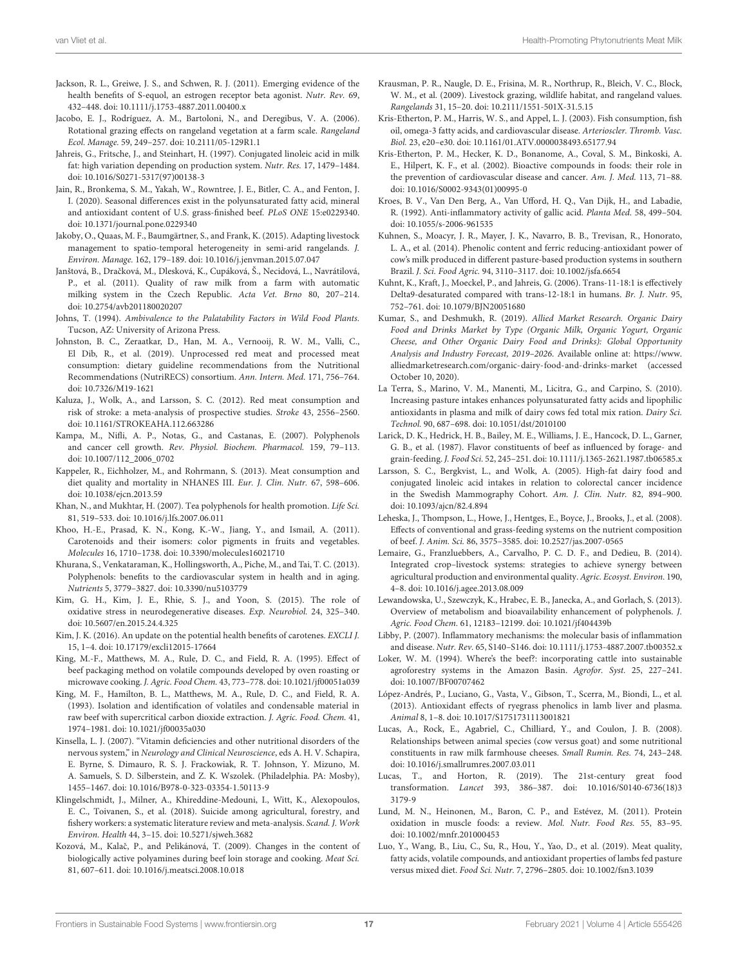- <span id="page-16-18"></span>Jackson, R. L., Greiwe, J. S., and Schwen, R. J. (2011). Emerging evidence of the health benefits of S-equol, an estrogen receptor beta agonist. Nutr. Rev. 69, 432–448. doi: [10.1111/j.1753-4887.2011.00400.x](https://doi.org/10.1111/j.1753-4887.2011.00400.x)
- <span id="page-16-35"></span>Jacobo, E. J., Rodríguez, A. M., Bartoloni, N., and Deregibus, V. A. (2006). Rotational grazing effects on rangeland vegetation at a farm scale. Rangeland Ecol. Manage. 59, 249–257. doi: [10.2111/05-129R1.1](https://doi.org/10.2111/05-129R1.1)
- <span id="page-16-11"></span>Jahreis, G., Fritsche, J., and Steinhart, H. (1997). Conjugated linoleic acid in milk fat: high variation depending on production system. Nutr. Res. 17, 1479–1484. doi: [10.1016/S0271-5317\(97\)00138-3](https://doi.org/10.1016/S0271-5317(97)00138-3)
- <span id="page-16-29"></span>Jain, R., Bronkema, S. M., Yakah, W., Rowntree, J. E., Bitler, C. A., and Fenton, J. I. (2020). Seasonal differences exist in the polyunsaturated fatty acid, mineral and antioxidant content of U.S. grass-finished beef. PLoS ONE 15:e0229340. doi: [10.1371/journal.pone.0229340](https://doi.org/10.1371/journal.pone.0229340)
- <span id="page-16-36"></span>Jakoby, O., Quaas, M. F., Baumgärtner, S., and Frank, K. (2015). Adapting livestock management to spatio-temporal heterogeneity in semi-arid rangelands. J. Environ. Manage. 162, 179–189. doi: [10.1016/j.jenvman.2015.07.047](https://doi.org/10.1016/j.jenvman.2015.07.047)
- <span id="page-16-19"></span>Janštová, B., Dračková, M., Dlesková, K., Cupáková, Š., Necidová, L., Navrátilová, P., et al. (2011). Quality of raw milk from a farm with automatic milking system in the Czech Republic. Acta Vet. Brno 80, 207–214. doi: [10.2754/avb201180020207](https://doi.org/10.2754/avb201180020207)
- <span id="page-16-5"></span>Johns, T. (1994). Ambivalence to the Palatability Factors in Wild Food Plants. Tucson, AZ: University of Arizona Press.
- <span id="page-16-0"></span>Johnston, B. C., Zeraatkar, D., Han, M. A., Vernooij, R. W. M., Valli, C., El Dib, R., et al. (2019). Unprocessed red meat and processed meat consumption: dietary guideline recommendations from the Nutritional Recommendations (NutriRECS) consortium. Ann. Intern. Med. 171, 756–764. doi: [10.7326/M19-1621](https://doi.org/10.7326/M19-1621)
- <span id="page-16-8"></span>Kaluza, J., Wolk, A., and Larsson, S. C. (2012). Red meat consumption and risk of stroke: a meta-analysis of prospective studies. Stroke 43, 2556–2560. doi: [10.1161/STROKEAHA.112.663286](https://doi.org/10.1161/STROKEAHA.112.663286)
- <span id="page-16-16"></span>Kampa, M., Nifli, A. P., Notas, G., and Castanas, E. (2007). Polyphenols and cancer cell growth. Rev. Physiol. Biochem. Pharmacol. 159, 79–113. doi: [10.1007/112\\_2006\\_0702](https://doi.org/10.1007/112_2006_0702)
- <span id="page-16-9"></span>Kappeler, R., Eichholzer, M., and Rohrmann, S. (2013). Meat consumption and diet quality and mortality in NHANES III. Eur. J. Clin. Nutr. 67, 598–606. doi: [10.1038/ejcn.2013.59](https://doi.org/10.1038/ejcn.2013.59)
- <span id="page-16-25"></span>Khan, N., and Mukhtar, H. (2007). Tea polyphenols for health promotion. Life Sci. 81, 519–533. doi: [10.1016/j.lfs.2007.06.011](https://doi.org/10.1016/j.lfs.2007.06.011)
- <span id="page-16-26"></span>Khoo, H.-E., Prasad, K. N., Kong, K.-W., Jiang, Y., and Ismail, A. (2011). Carotenoids and their isomers: color pigments in fruits and vegetables. Molecules 16, 1710–1738. doi: [10.3390/molecules16021710](https://doi.org/10.3390/molecules16021710)
- <span id="page-16-17"></span>Khurana, S., Venkataraman, K., Hollingsworth, A., Piche, M., and Tai, T. C. (2013). Polyphenols: benefits to the cardiovascular system in health and in aging. Nutrients 5, 3779–3827. doi: [10.3390/nu5103779](https://doi.org/10.3390/nu5103779)
- <span id="page-16-31"></span>Kim, G. H., Kim, J. E., Rhie, S. J., and Yoon, S. (2015). The role of oxidative stress in neurodegenerative diseases. Exp. Neurobiol. 24, 325–340. doi: [10.5607/en.2015.24.4.325](https://doi.org/10.5607/en.2015.24.4.325)
- <span id="page-16-4"></span>Kim, J. K. (2016). An update on the potential health benefits of carotenes. EXCLI J. 15, 1–4. doi: [10.17179/excli12015-17664](https://doi.org/10.17179/excli12015-17664)
- <span id="page-16-21"></span>King, M.-F., Matthews, M. A., Rule, D. C., and Field, R. A. (1995). Effect of beef packaging method on volatile compounds developed by oven roasting or microwave cooking. J. Agric. Food Chem. 43, 773–778. doi[: 10.1021/jf00051a039](https://doi.org/10.1021/jf00051a039)
- <span id="page-16-20"></span>King, M. F., Hamilton, B. L., Matthews, M. A., Rule, D. C., and Field, R. A. (1993). Isolation and identification of volatiles and condensable material in raw beef with supercritical carbon dioxide extraction. J. Agric. Food. Chem. 41, 1974–1981. doi: [10.1021/jf00035a030](https://doi.org/10.1021/jf00035a030)
- <span id="page-16-27"></span>Kinsella, L. J. (2007). "Vitamin deficiencies and other nutritional disorders of the nervous system," in Neurology and Clinical Neuroscience, eds A. H. V. Schapira, E. Byrne, S. Dimauro, R. S. J. Frackowiak, R. T. Johnson, Y. Mizuno, M. A. Samuels, S. D. Silberstein, and Z. K. Wszolek. (Philadelphia. PA: Mosby), 1455–1467. doi: [10.1016/B978-0-323-03354-1.50113-9](https://doi.org/10.1016/B978-0-323-03354-1.50113-9)
- <span id="page-16-1"></span>Klingelschmidt, J., Milner, A., Khireddine-Medouni, I., Witt, K., Alexopoulos, E. C., Toivanen, S., et al. (2018). Suicide among agricultural, forestry, and fishery workers: a systematic literature review and meta-analysis. Scand. J. Work Environ. Health 44, 3–15. doi: [10.5271/sjweh.3682](https://doi.org/10.5271/sjweh.3682)
- <span id="page-16-22"></span>Kozová, M., Kalač, P., and Pelikánová, T. (2009). Changes in the content of biologically active polyamines during beef loin storage and cooking. Meat Sci. 81, 607–611. doi: [10.1016/j.meatsci.2008.10.018](https://doi.org/10.1016/j.meatsci.2008.10.018)
- <span id="page-16-2"></span>Krausman, P. R., Naugle, D. E., Frisina, M. R., Northrup, R., Bleich, V. C., Block, W. M., et al. (2009). Livestock grazing, wildlife habitat, and rangeland values. Rangelands 31, 15–20. doi: [10.2111/1551-501X-31.5.15](https://doi.org/10.2111/1551-501X-31.5.15)
- <span id="page-16-10"></span>Kris-Etherton, P. M., Harris, W. S., and Appel, L. J. (2003). Fish consumption, fish oil, omega-3 fatty acids, and cardiovascular disease. Arterioscler. Thromb. Vasc. Biol. 23, e20–e30. doi: [10.1161/01.ATV.0000038493.65177.94](https://doi.org/10.1161/01.ATV.0000038493.65177.94)
- <span id="page-16-3"></span>Kris-Etherton, P. M., Hecker, K. D., Bonanome, A., Coval, S. M., Binkoski, A. E., Hilpert, K. F., et al. (2002). Bioactive compounds in foods: their role in the prevention of cardiovascular disease and cancer. Am. J. Med. 113, 71–88. doi: [10.1016/S0002-9343\(01\)00995-0](https://doi.org/10.1016/S0002-9343(01)00995-0)
- <span id="page-16-24"></span>Kroes, B. V., Van Den Berg, A., Van Ufford, H. Q., Van Dijk, H., and Labadie, R. (1992). Anti-inflammatory activity of gallic acid. Planta Med. 58, 499–504. doi: [10.1055/s-2006-961535](https://doi.org/10.1055/s-2006-961535)
- <span id="page-16-32"></span>Kuhnen, S., Moacyr, J. R., Mayer, J. K., Navarro, B. B., Trevisan, R., Honorato, L. A., et al. (2014). Phenolic content and ferric reducing-antioxidant power of cow's milk produced in different pasture-based production systems in southern Brazil. J. Sci. Food Agric. 94, 3110–3117. doi: [10.1002/jsfa.6654](https://doi.org/10.1002/jsfa.6654)
- <span id="page-16-12"></span>Kuhnt, K., Kraft, J., Moeckel, P., and Jahreis, G. (2006). Trans-11-18:1 is effectively Delta9-desaturated compared with trans-12-18:1 in humans. Br. J. Nutr. 95, 752–761. doi: [10.1079/BJN20051680](https://doi.org/10.1079/BJN20051680)
- <span id="page-16-6"></span>Kumar, S., and Deshmukh, R. (2019). Allied Market Research. Organic Dairy Food and Drinks Market by Type (Organic Milk, Organic Yogurt, Organic Cheese, and Other Organic Dairy Food and Drinks): Global Opportunity Analysis and Industry Forecast, 2019–2026. Available online at: [https://www.](https://www.alliedmarketresearch.com/organic-dairy-food-and-drinks-market) [alliedmarketresearch.com/organic-dairy-food-and-drinks-market](https://www.alliedmarketresearch.com/organic-dairy-food-and-drinks-market) (accessed October 10, 2020).
- <span id="page-16-28"></span>La Terra, S., Marino, V. M., Manenti, M., Licitra, G., and Carpino, S. (2010). Increasing pasture intakes enhances polyunsaturated fatty acids and lipophilic antioxidants in plasma and milk of dairy cows fed total mix ration. Dairy Sci. Technol. 90, 687–698. doi: [10.1051/dst/2010100](https://doi.org/10.1051/dst/2010100)
- <span id="page-16-14"></span>Larick, D. K., Hedrick, H. B., Bailey, M. E., Williams, J. E., Hancock, D. L., Garner, G. B., et al. (1987). Flavor constituents of beef as influenced by forage- and grain-feeding. J. Food Sci. 52, 245–251. doi: [10.1111/j.1365-2621.1987.tb06585.x](https://doi.org/10.1111/j.1365-2621.1987.tb06585.x)
- <span id="page-16-13"></span>Larsson, S. C., Bergkvist, L., and Wolk, A. (2005). High-fat dairy food and conjugated linoleic acid intakes in relation to colorectal cancer incidence in the Swedish Mammography Cohort. Am. J. Clin. Nutr. 82, 894–900. doi: [10.1093/ajcn/82.4.894](https://doi.org/10.1093/ajcn/82.4.894)
- <span id="page-16-37"></span>Leheska, J., Thompson, L., Howe, J., Hentges, E., Boyce, J., Brooks, J., et al. (2008). Effects of conventional and grass-feeding systems on the nutrient composition of beef. J. Anim. Sci. 86, 3575–3585. doi: [10.2527/jas.2007-0565](https://doi.org/10.2527/jas.2007-0565)
- <span id="page-16-39"></span>Lemaire, G., Franzluebbers, A., Carvalho, P. C. D. F., and Dedieu, B. (2014). Integrated crop–livestock systems: strategies to achieve synergy between agricultural production and environmental quality. Agric. Ecosyst. Environ. 190, 4–8. doi: [10.1016/j.agee.2013.08.009](https://doi.org/10.1016/j.agee.2013.08.009)
- <span id="page-16-15"></span>Lewandowska, U., Szewczyk, K., Hrabec, E. B., Janecka, A., and Gorlach, S. (2013). Overview of metabolism and bioavailability enhancement of polyphenols. J. Agric. Food Chem. 61, 12183–12199. doi: [10.1021/jf404439b](https://doi.org/10.1021/jf404439b)
- <span id="page-16-34"></span>Libby, P. (2007). Inflammatory mechanisms: the molecular basis of inflammation and disease. Nutr. Rev. 65, S140–S146. doi: [10.1111/j.1753-4887.2007.tb00352.x](https://doi.org/10.1111/j.1753-4887.2007.tb00352.x)
- <span id="page-16-7"></span>Loker, W. M. (1994). Where's the beef?: incorporating cattle into sustainable agroforestry systems in the Amazon Basin. Agrofor. Syst. 25, 227–241. doi: [10.1007/BF00707462](https://doi.org/10.1007/BF00707462)
- <span id="page-16-23"></span>López-Andrés, P., Luciano, G., Vasta, V., Gibson, T., Scerra, M., Biondi, L., et al. (2013). Antioxidant effects of ryegrass phenolics in lamb liver and plasma. Animal 8, 1–8. doi: [10.1017/S1751731113001821](https://doi.org/10.1017/S1751731113001821)
- <span id="page-16-38"></span>Lucas, A., Rock, E., Agabriel, C., Chilliard, Y., and Coulon, J. B. (2008). Relationships between animal species (cow versus goat) and some nutritional constituents in raw milk farmhouse cheeses. Small Rumin. Res. 74, 243–248. doi: [10.1016/j.smallrumres.2007.03.011](https://doi.org/10.1016/j.smallrumres.2007.03.011)
- <span id="page-16-40"></span>Lucas, T., and Horton, R. (2019). The 21st-century great food transformation. Lancet [393, 386–387. doi: 10.1016/S0140-6736\(18\)3](https://doi.org/10.1016/S0140-6736(18)33179-9) 3179-9
- <span id="page-16-30"></span>Lund, M. N., Heinonen, M., Baron, C. P., and Estévez, M. (2011). Protein oxidation in muscle foods: a review. Mol. Nutr. Food Res. 55, 83–95. doi: [10.1002/mnfr.201000453](https://doi.org/10.1002/mnfr.201000453)
- <span id="page-16-33"></span>Luo, Y., Wang, B., Liu, C., Su, R., Hou, Y., Yao, D., et al. (2019). Meat quality, fatty acids, volatile compounds, and antioxidant properties of lambs fed pasture versus mixed diet. Food Sci. Nutr. 7, 2796–2805. doi: [10.1002/fsn3.1039](https://doi.org/10.1002/fsn3.1039)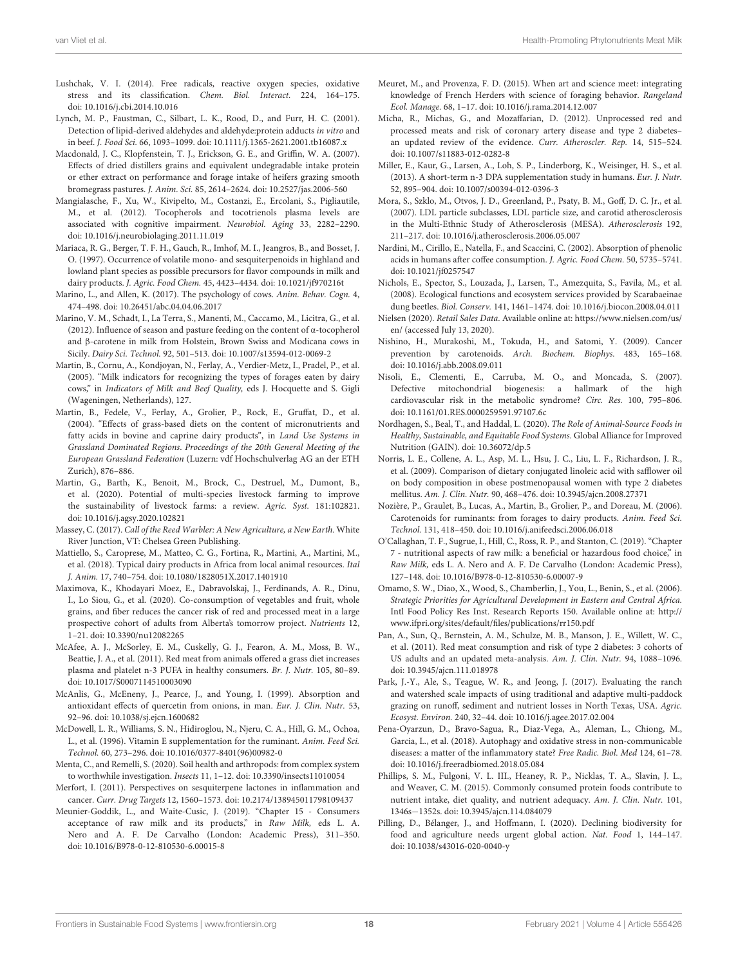- <span id="page-17-30"></span>Lushchak, V. I. (2014). Free radicals, reactive oxygen species, oxidative stress and its classification. Chem. Biol. Interact. 224, 164–175. doi: [10.1016/j.cbi.2014.10.016](https://doi.org/10.1016/j.cbi.2014.10.016)
- <span id="page-17-27"></span>Lynch, M. P., Faustman, C., Silbart, L. K., Rood, D., and Furr, H. C. (2001). Detection of lipid-derived aldehydes and aldehyde:protein adducts in vitro and in beef. J. Food Sci. 66, 1093–1099. doi: [10.1111/j.1365-2621.2001.tb16087.x](https://doi.org/10.1111/j.1365-2621.2001.tb16087.x)
- <span id="page-17-37"></span>Macdonald, J. C., Klopfenstein, T. J., Erickson, G. E., and Griffin, W. A. (2007). Effects of dried distillers grains and equivalent undegradable intake protein or ether extract on performance and forage intake of heifers grazing smooth bromegrass pastures. J. Anim. Sci. 85, 2614–2624. doi: [10.2527/jas.2006-560](https://doi.org/10.2527/jas.2006-560)
- <span id="page-17-25"></span>Mangialasche, F., Xu, W., Kivipelto, M., Costanzi, E., Ercolani, S., Pigliautile, M., et al. (2012). Tocopherols and tocotrienols plasma levels are associated with cognitive impairment. Neurobiol. Aging 33, 2282–2290. doi: [10.1016/j.neurobiolaging.2011.11.019](https://doi.org/10.1016/j.neurobiolaging.2011.11.019)
- <span id="page-17-17"></span>Mariaca, R. G., Berger, T. F. H., Gauch, R., Imhof, M. I., Jeangros, B., and Bosset, J. O. (1997). Occurrence of volatile mono- and sesquiterpenoids in highland and lowland plant species as possible precursors for flavor compounds in milk and dairy products. J. Agric. Food Chem. 45, 4423–4434. doi: [10.1021/jf970216t](https://doi.org/10.1021/jf970216t)
- <span id="page-17-7"></span>Marino, L., and Allen, K. (2017). The psychology of cows. Anim. Behav. Cogn. 4, 474–498. doi: [10.26451/abc.04.04.06.2017](https://doi.org/10.26451/abc.04.04.06.2017)
- <span id="page-17-26"></span>Marino, V. M., Schadt, I., La Terra, S., Manenti, M., Caccamo, M., Licitra, G., et al. (2012). Influence of season and pasture feeding on the content of α-tocopherol and β-carotene in milk from Holstein, Brown Swiss and Modicana cows in Sicily. Dairy Sci. Technol. 92, 501–513. doi: [10.1007/s13594-012-0069-2](https://doi.org/10.1007/s13594-012-0069-2)
- <span id="page-17-16"></span>Martin, B., Cornu, A., Kondjoyan, N., Ferlay, A., Verdier-Metz, I., Pradel, P., et al. (2005). "Milk indicators for recognizing the types of forages eaten by dairy cows," in Indicators of Milk and Beef Quality, eds J. Hocquette and S. Gigli (Wageningen, Netherlands), 127.
- <span id="page-17-36"></span>Martin, B., Fedele, V., Ferlay, A., Grolier, P., Rock, E., Gruffat, D., et al. (2004). "Effects of grass-based diets on the content of micronutrients and fatty acids in bovine and caprine dairy products", in Land Use Systems in Grassland Dominated Regions. Proceedings of the 20th General Meeting of the European Grassland Federation (Luzern: vdf Hochschulverlag AG an der ETH Zurich), 876–886.
- <span id="page-17-35"></span>Martin, G., Barth, K., Benoit, M., Brock, C., Destruel, M., Dumont, B., et al. (2020). Potential of multi-species livestock farming to improve the sustainability of livestock farms: a review. Agric. Syst. 181:102821. doi: [10.1016/j.agsy.2020.102821](https://doi.org/10.1016/j.agsy.2020.102821)
- <span id="page-17-1"></span>Massey, C. (2017). Call of the Reed Warbler: A New Agriculture, a New Earth. White River Junction, VT: Chelsea Green Publishing.
- <span id="page-17-18"></span>Mattiello, S., Caroprese, M., Matteo, C. G., Fortina, R., Martini, A., Martini, M., et al. (2018). Typical dairy products in Africa from local animal resources. Ital J. Anim. 17, 740–754. doi: [10.1080/1828051X.2017.1401910](https://doi.org/10.1080/1828051X.2017.1401910)
- <span id="page-17-10"></span>Maximova, K., Khodayari Moez, E., Dabravolskaj, J., Ferdinands, A. R., Dinu, I., Lo Siou, G., et al. (2020). Co-consumption of vegetables and fruit, whole grains, and fiber reduces the cancer risk of red and processed meat in a large prospective cohort of adults from Alberta's tomorrow project. Nutrients 12, 1–21. doi: [10.3390/nu12082265](https://doi.org/10.3390/nu12082265)
- <span id="page-17-13"></span>McAfee, A. J., McSorley, E. M., Cuskelly, G. J., Fearon, A. M., Moss, B. W., Beattie, J. A., et al. (2011). Red meat from animals offered a grass diet increases plasma and platelet n-3 PUFA in healthy consumers. Br. J. Nutr. 105, 80–89. doi: [10.1017/S0007114510003090](https://doi.org/10.1017/S0007114510003090)
- <span id="page-17-21"></span>McAnlis, G., McEneny, J., Pearce, J., and Young, I. (1999). Absorption and antioxidant effects of quercetin from onions, in man. Eur. J. Clin. Nutr. 53, 92–96. doi: [10.1038/sj.ejcn.1600682](https://doi.org/10.1038/sj.ejcn.1600682)
- <span id="page-17-28"></span>McDowell, L. R., Williams, S. N., Hidiroglou, N., Njeru, C. A., Hill, G. M., Ochoa, L., et al. (1996). Vitamin E supplementation for the ruminant. Anim. Feed Sci. Technol. 60, 273–296. doi: [10.1016/0377-8401\(96\)00982-0](https://doi.org/10.1016/0377-8401(96)00982-0)
- <span id="page-17-33"></span>Menta, C., and Remelli, S. (2020). Soil health and arthropods: from complex system to worthwhile investigation. Insects 11, 1-12. doi: [10.3390/insects11010054](https://doi.org/10.3390/insects11010054)
- <span id="page-17-15"></span>Merfort, I. (2011). Perspectives on sesquiterpene lactones in inflammation and cancer. Curr. Drug Targets 12, 1560–1573. doi: [10.2174/138945011798109437](https://doi.org/10.2174/138945011798109437)
- <span id="page-17-19"></span>Meunier-Goddik, L., and Waite-Cusic, J. (2019). "Chapter 15 - Consumers acceptance of raw milk and its products," in Raw Milk, eds L. A. Nero and A. F. De Carvalho (London: Academic Press), 311–350. doi: [10.1016/B978-0-12-810530-6.00015-8](https://doi.org/10.1016/B978-0-12-810530-6.00015-8)
- <span id="page-17-34"></span>Meuret, M., and Provenza, F. D. (2015). When art and science meet: integrating knowledge of French Herders with science of foraging behavior. Rangeland Ecol. Manage. 68, 1–17. doi: [10.1016/j.rama.2014.12.007](https://doi.org/10.1016/j.rama.2014.12.007)
- <span id="page-17-0"></span>Micha, R., Michas, G., and Mozaffarian, D. (2012). Unprocessed red and processed meats and risk of coronary artery disease and type 2 diabetes– an updated review of the evidence. Curr. Atheroscler. Rep. 14, 515–524. doi: [10.1007/s11883-012-0282-8](https://doi.org/10.1007/s11883-012-0282-8)
- <span id="page-17-12"></span>Miller, E., Kaur, G., Larsen, A., Loh, S. P., Linderborg, K., Weisinger, H. S., et al. (2013). A short-term n-3 DPA supplementation study in humans. Eur. J. Nutr. 52, 895–904. doi: [10.1007/s00394-012-0396-3](https://doi.org/10.1007/s00394-012-0396-3)
- <span id="page-17-31"></span>Mora, S., Szklo, M., Otvos, J. D., Greenland, P., Psaty, B. M., Goff, D. C. Jr., et al. (2007). LDL particle subclasses, LDL particle size, and carotid atherosclerosis in the Multi-Ethnic Study of Atherosclerosis (MESA). Atherosclerosis 192, 211–217. doi: [10.1016/j.atherosclerosis.2006.05.007](https://doi.org/10.1016/j.atherosclerosis.2006.05.007)
- <span id="page-17-22"></span>Nardini, M., Cirillo, E., Natella, F., and Scaccini, C. (2002). Absorption of phenolic acids in humans after coffee consumption. J. Agric. Food Chem. 50, 5735–5741. doi: [10.1021/jf0257547](https://doi.org/10.1021/jf0257547)
- <span id="page-17-32"></span>Nichols, E., Spector, S., Louzada, J., Larsen, T., Amezquita, S., Favila, M., et al. (2008). Ecological functions and ecosystem services provided by Scarabaeinae dung beetles. Biol. Conserv. 141, 1461–1474. doi: [10.1016/j.biocon.2008.04.011](https://doi.org/10.1016/j.biocon.2008.04.011)
- <span id="page-17-6"></span>Nielsen (2020). Retail Sales Data. Available online at: [https://www.nielsen.com/us/](https://www.nielsen.com/us/en/) [en/](https://www.nielsen.com/us/en/) (accessed July 13, 2020).
- <span id="page-17-24"></span>Nishino, H., Murakoshi, M., Tokuda, H., and Satomi, Y. (2009). Cancer prevention by carotenoids. Arch. Biochem. Biophys. 483, 165–168. doi: [10.1016/j.abb.2008.09.011](https://doi.org/10.1016/j.abb.2008.09.011)
- <span id="page-17-8"></span>Nisoli, E., Clementi, E., Carruba, M. O., and Moncada, S. (2007). Defective mitochondrial biogenesis: a hallmark of the high cardiovascular risk in the metabolic syndrome? Circ. Res. 100, 795–806. doi: [10.1161/01.RES.0000259591.97107.6c](https://doi.org/10.1161/01.RES.0000259591.97107.6c)
- <span id="page-17-4"></span>Nordhagen, S., Beal, T., and Haddal, L. (2020). The Role of Animal-Source Foods in Healthy, Sustainable, and Equitable Food Systems. Global Alliance for Improved Nutrition (GAIN). doi: [10.36072/dp.5](https://doi.org/10.36072/dp.5)
- <span id="page-17-14"></span>Norris, L. E., Collene, A. L., Asp, M. L., Hsu, J. C., Liu, L. F., Richardson, J. R., et al. (2009). Comparison of dietary conjugated linoleic acid with safflower oil on body composition in obese postmenopausal women with type 2 diabetes mellitus. Am. J. Clin. Nutr. 90, 468–476. doi: [10.3945/ajcn.2008.27371](https://doi.org/10.3945/ajcn.2008.27371)
- <span id="page-17-23"></span>Nozière, P., Graulet, B., Lucas, A., Martin, B., Grolier, P., and Doreau, M. (2006). Carotenoids for ruminants: from forages to dairy products. Anim. Feed Sci. Technol. 131, 418–450. doi: [10.1016/j.anifeedsci.2006.06.018](https://doi.org/10.1016/j.anifeedsci.2006.06.018)
- <span id="page-17-20"></span>O'Callaghan, T. F., Sugrue, I., Hill, C., Ross, R. P., and Stanton, C. (2019). "Chapter 7 - nutritional aspects of raw milk: a beneficial or hazardous food choice," in Raw Milk, eds L. A. Nero and A. F. De Carvalho (London: Academic Press), 127–148. doi: [10.1016/B978-0-12-810530-6.00007-9](https://doi.org/10.1016/B978-0-12-810530-6.00007-9)
- <span id="page-17-5"></span>Omamo, S. W., Diao, X., Wood, S., Chamberlin, J., You, L., Benin, S., et al. (2006). Strategic Priorities for Agricultural Development in Eastern and Central Africa. Intl Food Policy Res Inst. Research Reports 150. Available online at: [http://](http://www.ifpri.org/sites/default/files/publications/rr150.pdf) [www.ifpri.org/sites/default/files/publications/rr150.pdf](http://www.ifpri.org/sites/default/files/publications/rr150.pdf)
- <span id="page-17-9"></span>Pan, A., Sun, Q., Bernstein, A. M., Schulze, M. B., Manson, J. E., Willett, W. C., et al. (2011). Red meat consumption and risk of type 2 diabetes: 3 cohorts of US adults and an updated meta-analysis. Am. J. Clin. Nutr. 94, 1088–1096. doi: [10.3945/ajcn.111.018978](https://doi.org/10.3945/ajcn.111.018978)
- <span id="page-17-2"></span>Park, J.-Y., Ale, S., Teague, W. R., and Jeong, J. (2017). Evaluating the ranch and watershed scale impacts of using traditional and adaptive multi-paddock grazing on runoff, sediment and nutrient losses in North Texas, USA. Agric. Ecosyst. Environ. 240, 32–44. doi: [10.1016/j.agee.2017.02.004](https://doi.org/10.1016/j.agee.2017.02.004)
- <span id="page-17-29"></span>Pena-Oyarzun, D., Bravo-Sagua, R., Diaz-Vega, A., Aleman, L., Chiong, M., Garcia, L., et al. (2018). Autophagy and oxidative stress in non-communicable diseases: a matter of the inflammatory state? Free Radic. Biol. Med 124, 61–78. doi: [10.1016/j.freeradbiomed.2018.05.084](https://doi.org/10.1016/j.freeradbiomed.2018.05.084)
- <span id="page-17-11"></span>Phillips, S. M., Fulgoni, V. L. III., Heaney, R. P., Nicklas, T. A., Slavin, J. L., and Weaver, C. M. (2015). Commonly consumed protein foods contribute to nutrient intake, diet quality, and nutrient adequacy. Am. J. Clin. Nutr. 101, 1346s−1352s. doi: [10.3945/ajcn.114.084079](https://doi.org/10.3945/ajcn.114.084079)
- <span id="page-17-3"></span>Pilling, D., Bélanger, J., and Hoffmann, I. (2020). Declining biodiversity for food and agriculture needs urgent global action. Nat. Food 1, 144–147. doi: [10.1038/s43016-020-0040-y](https://doi.org/10.1038/s43016-020-0040-y)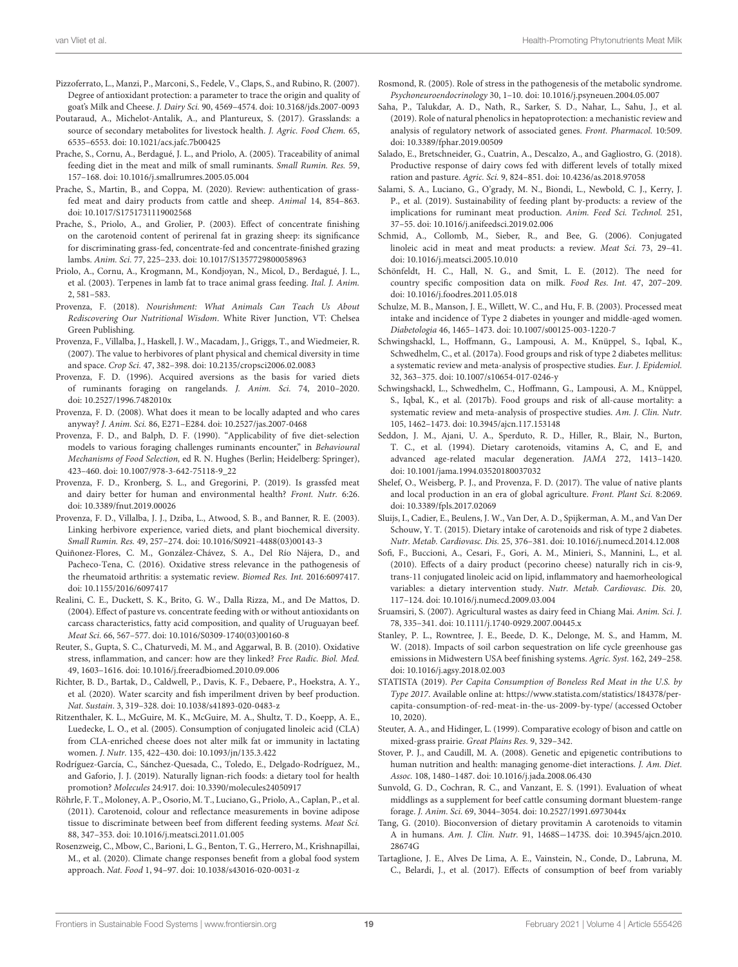- <span id="page-18-27"></span>Pizzoferrato, L., Manzi, P., Marconi, S., Fedele, V., Claps, S., and Rubino, R. (2007). Degree of antioxidant protection: a parameter to trace the origin and quality of goat's Milk and Cheese. J. Dairy Sci. 90, 4569–4574. doi: [10.3168/jds.2007-0093](https://doi.org/10.3168/jds.2007-0093)
- <span id="page-18-4"></span>Poutaraud, A., Michelot-Antalik, A., and Plantureux, S. (2017). Grasslands: a source of secondary metabolites for livestock health. J. Agric. Food Chem. 65, 6535–6553. doi: [10.1021/acs.jafc.7b00425](https://doi.org/10.1021/acs.jafc.7b00425)
- <span id="page-18-19"></span>Prache, S., Cornu, A., Berdagué, J. L., and Priolo, A. (2005). Traceability of animal feeding diet in the meat and milk of small ruminants. Small Rumin. Res. 59, 157–168. doi: [10.1016/j.smallrumres.2005.05.004](https://doi.org/10.1016/j.smallrumres.2005.05.004)
- <span id="page-18-2"></span>Prache, S., Martin, B., and Coppa, M. (2020). Review: authentication of grassfed meat and dairy products from cattle and sheep. Animal 14, 854–863. doi: [10.1017/S1751731119002568](https://doi.org/10.1017/S1751731119002568)
- <span id="page-18-23"></span>Prache, S., Priolo, A., and Grolier, P. (2003). Effect of concentrate finishing on the carotenoid content of perirenal fat in grazing sheep: its significance for discriminating grass-fed, concentrate-fed and concentrate-finished grazing lambs. Anim. Sci. 77, 225–233. doi: [10.1017/S1357729800058963](https://doi.org/10.1017/S1357729800058963)
- <span id="page-18-20"></span>Priolo, A., Cornu, A., Krogmann, M., Kondjoyan, N., Micol, D., Berdagué, J. L., et al. (2003). Terpenes in lamb fat to trace animal grass feeding. Ital. J. Anim. 2, 581–583.
- <span id="page-18-6"></span>Provenza, F. (2018). Nourishment: What Animals Can Teach Us About Rediscovering Our Nutritional Wisdom. White River Junction, VT: Chelsea Green Publishing.
- <span id="page-18-7"></span>Provenza, F., Villalba, J., Haskell, J. W., Macadam, J., Griggs, T., and Wiedmeier, R. (2007). The value to herbivores of plant physical and chemical diversity in time and space. Crop Sci. 47, 382–398. doi: [10.2135/cropsci2006.02.0083](https://doi.org/10.2135/cropsci2006.02.0083)
- <span id="page-18-12"></span>Provenza, F. D. (1996). Acquired aversions as the basis for varied diets of ruminants foraging on rangelands. J. Anim. Sci. 74, 2010–2020. doi: [10.2527/1996.7482010x](https://doi.org/10.2527/1996.7482010x)
- <span id="page-18-0"></span>Provenza, F. D. (2008). What does it mean to be locally adapted and who cares anyway? J. Anim. Sci. 86, E271–E284. doi: [10.2527/jas.2007-0468](https://doi.org/10.2527/jas.2007-0468)
- <span id="page-18-10"></span>Provenza, F. D., and Balph, D. F. (1990). "Applicability of five diet-selection models to various foraging challenges ruminants encounter," in Behavioural Mechanisms of Food Selection, ed R. N. Hughes (Berlin; Heidelberg: Springer), 423–460. doi: [10.1007/978-3-642-75118-9\\_22](https://doi.org/10.1007/978-3-642-75118-9_22)
- <span id="page-18-3"></span>Provenza, F. D., Kronberg, S. L., and Gregorini, P. (2019). Is grassfed meat and dairy better for human and environmental health? Front. Nutr. 6:26. doi: [10.3389/fnut.2019.00026](https://doi.org/10.3389/fnut.2019.00026)
- <span id="page-18-11"></span>Provenza, F. D., Villalba, J. J., Dziba, L., Atwood, S. B., and Banner, R. E. (2003). Linking herbivore experience, varied diets, and plant biochemical diversity. Small Rumin. Res. 49, 257–274. doi: [10.1016/S0921-4488\(03\)00143-3](https://doi.org/10.1016/S0921-4488(03)00143-3)
- <span id="page-18-32"></span>Quiñonez-Flores, C. M., González-Chávez, S. A., Del Río Nájera, D., and Pacheco-Tena, C. (2016). Oxidative stress relevance in the pathogenesis of the rheumatoid arthritis: a systematic review. Biomed Res. Int. 2016:6097417. doi: [10.1155/2016/6097417](https://doi.org/10.1155/2016/6097417)
- <span id="page-18-29"></span>Realini, C. E., Duckett, S. K., Brito, G. W., Dalla Rizza, M., and De Mattos, D. (2004). Effect of pasture vs. concentrate feeding with or without antioxidants on carcass characteristics, fatty acid composition, and quality of Uruguayan beef. Meat Sci. 66, 567–577. doi: [10.1016/S0309-1740\(03\)00160-8](https://doi.org/10.1016/S0309-1740(03)00160-8)
- <span id="page-18-31"></span>Reuter, S., Gupta, S. C., Chaturvedi, M. M., and Aggarwal, B. B. (2010). Oxidative stress, inflammation, and cancer: how are they linked? Free Radic. Biol. Med. 49, 1603–1616. doi: [10.1016/j.freeradbiomed.2010.09.006](https://doi.org/10.1016/j.freeradbiomed.2010.09.006)
- <span id="page-18-40"></span>Richter, B. D., Bartak, D., Caldwell, P., Davis, K. F., Debaere, P., Hoekstra, A. Y., et al. (2020). Water scarcity and fish imperilment driven by beef production. Nat. Sustain. 3, 319–328. doi: [10.1038/s41893-020-0483-z](https://doi.org/10.1038/s41893-020-0483-z)
- <span id="page-18-18"></span>Ritzenthaler, K. L., McGuire, M. K., McGuire, M. A., Shultz, T. D., Koepp, A. E., Luedecke, L. O., et al. (2005). Consumption of conjugated linoleic acid (CLA) from CLA-enriched cheese does not alter milk fat or immunity in lactating women. J. Nutr. 135, 422–430. doi: [10.1093/jn/135.3.422](https://doi.org/10.1093/jn/135.3.422)
- <span id="page-18-22"></span>Rodríguez-García, C., Sánchez-Quesada, C., Toledo, E., Delgado-Rodríguez, M., and Gaforio, J. J. (2019). Naturally lignan-rich foods: a dietary tool for health promotion? Molecules 24:917. doi: [10.3390/molecules24050917](https://doi.org/10.3390/molecules24050917)
- <span id="page-18-24"></span>Röhrle, F. T., Moloney, A. P., Osorio, M. T., Luciano, G., Priolo, A., Caplan, P., et al. (2011). Carotenoid, colour and reflectance measurements in bovine adipose tissue to discriminate between beef from different feeding systems. Meat Sci. 88, 347–353. doi: [10.1016/j.meatsci.2011.01.005](https://doi.org/10.1016/j.meatsci.2011.01.005)
- <span id="page-18-41"></span>Rosenzweig, C., Mbow, C., Barioni, L. G., Benton, T. G., Herrero, M., Krishnapillai, M., et al. (2020). Climate change responses benefit from a global food system approach. Nat. Food 1, 94–97. doi: [10.1038/s43016-020-0031-z](https://doi.org/10.1038/s43016-020-0031-z)
- <span id="page-18-13"></span>Rosmond, R. (2005). Role of stress in the pathogenesis of the metabolic syndrome. Psychoneuroendocrinology 30, 1–10. doi: [10.1016/j.psyneuen.2004.05.007](https://doi.org/10.1016/j.psyneuen.2004.05.007)
- <span id="page-18-21"></span>Saha, P., Talukdar, A. D., Nath, R., Sarker, S. D., Nahar, L., Sahu, J., et al. (2019). Role of natural phenolics in hepatoprotection: a mechanistic review and analysis of regulatory network of associated genes. Front. Pharmacol. 10:509. doi: [10.3389/fphar.2019.00509](https://doi.org/10.3389/fphar.2019.00509)
- <span id="page-18-28"></span>Salado, E., Bretschneider, G., Cuatrin, A., Descalzo, A., and Gagliostro, G. (2018). Productive response of dairy cows fed with different levels of totally mixed ration and pasture. Agric. Sci. 9, 824–851. doi: [10.4236/as.2018.97058](https://doi.org/10.4236/as.2018.97058)
- <span id="page-18-39"></span>Salami, S. A., Luciano, G., O'grady, M. N., Biondi, L., Newbold, C. J., Kerry, J. P., et al. (2019). Sustainability of feeding plant by-products: a review of the implications for ruminant meat production. Anim. Feed Sci. Technol. 251, 37–55. doi: [10.1016/j.anifeedsci.2019.02.006](https://doi.org/10.1016/j.anifeedsci.2019.02.006)
- <span id="page-18-36"></span>Schmid, A., Collomb, M., Sieber, R., and Bee, G. (2006). Conjugated linoleic acid in meat and meat products: a review. Meat Sci. 73, 29–41. doi: [10.1016/j.meatsci.2005.10.010](https://doi.org/10.1016/j.meatsci.2005.10.010)
- <span id="page-18-17"></span>Schönfeldt, H. C., Hall, N. G., and Smit, L. E. (2012). The need for country specific composition data on milk. Food Res. Int. 47, 207–209. doi: [10.1016/j.foodres.2011.05.018](https://doi.org/10.1016/j.foodres.2011.05.018)
- <span id="page-18-15"></span>Schulze, M. B., Manson, J. E., Willett, W. C., and Hu, F. B. (2003). Processed meat intake and incidence of Type 2 diabetes in younger and middle-aged women. Diabetologia 46, 1465–1473. doi: [10.1007/s00125-003-1220-7](https://doi.org/10.1007/s00125-003-1220-7)
- <span id="page-18-16"></span>Schwingshackl, L., Hoffmann, G., Lampousi, A. M., Knüppel, S., Iqbal, K., Schwedhelm, C., et al. (2017a). Food groups and risk of type 2 diabetes mellitus: a systematic review and meta-analysis of prospective studies. Eur. J. Epidemiol. 32, 363–375. doi: [10.1007/s10654-017-0246-y](https://doi.org/10.1007/s10654-017-0246-y)
- <span id="page-18-14"></span>Schwingshackl, L., Schwedhelm, C., Hoffmann, G., Lampousi, A. M., Knüppel, S., Iqbal, K., et al. (2017b). Food groups and risk of all-cause mortality: a systematic review and meta-analysis of prospective studies. Am. J. Clin. Nutr. 105, 1462–1473. doi: [10.3945/ajcn.117.153148](https://doi.org/10.3945/ajcn.117.153148)
- <span id="page-18-26"></span>Seddon, J. M., Ajani, U. A., Sperduto, R. D., Hiller, R., Blair, N., Burton, T. C., et al. (1994). Dietary carotenoids, vitamins A, C, and E, and advanced age-related macular degeneration. JAMA 272, 1413–1420. doi: [10.1001/jama.1994.03520180037032](https://doi.org/10.1001/jama.1994.03520180037032)
- <span id="page-18-5"></span>Shelef, O., Weisberg, P. J., and Provenza, F. D. (2017). The value of native plants and local production in an era of global agriculture. Front. Plant Sci. 8:2069. doi: [10.3389/fpls.2017.02069](https://doi.org/10.3389/fpls.2017.02069)
- <span id="page-18-25"></span>Sluijs, I., Cadier, E., Beulens, J. W., Van Der, A. D., Spijkerman, A. M., and Van Der Schouw, Y. T. (2015). Dietary intake of carotenoids and risk of type 2 diabetes. Nutr. Metab. Cardiovasc. Dis. 25, 376–381. doi: [10.1016/j.numecd.2014.12.008](https://doi.org/10.1016/j.numecd.2014.12.008)
- <span id="page-18-33"></span>Sofi, F., Buccioni, A., Cesari, F., Gori, A. M., Minieri, S., Mannini, L., et al. (2010). Effects of a dairy product (pecorino cheese) naturally rich in cis-9, trans-11 conjugated linoleic acid on lipid, inflammatory and haemorheological variables: a dietary intervention study. Nutr. Metab. Cardiovasc. Dis. 20, 117–124. doi: [10.1016/j.numecd.2009.03.004](https://doi.org/10.1016/j.numecd.2009.03.004)
- <span id="page-18-38"></span>Sruamsiri, S. (2007). Agricultural wastes as dairy feed in Chiang Mai. Anim. Sci. J. 78, 335–341. doi: [10.1111/j.1740-0929.2007.00445.x](https://doi.org/10.1111/j.1740-0929.2007.00445.x)
- <span id="page-18-1"></span>Stanley, P. L., Rowntree, J. E., Beede, D. K., Delonge, M. S., and Hamm, M. W. (2018). Impacts of soil carbon sequestration on life cycle greenhouse gas emissions in Midwestern USA beef finishing systems. Agric. Syst. 162, 249–258. doi: [10.1016/j.agsy.2018.02.003](https://doi.org/10.1016/j.agsy.2018.02.003)
- <span id="page-18-35"></span>STATISTA (2019). Per Capita Consumption of Boneless Red Meat in the U.S. by Type 2017. Available online at: [https://www.statista.com/statistics/184378/per](https://www.statista.com/statistics/184378/per-capita-consumption-of-red-meat-in-the-us-2009-by-type/)[capita-consumption-of-red-meat-in-the-us-2009-by-type/](https://www.statista.com/statistics/184378/per-capita-consumption-of-red-meat-in-the-us-2009-by-type/) (accessed October 10, 2020).
- <span id="page-18-34"></span>Steuter, A. A., and Hidinger, L. (1999). Comparative ecology of bison and cattle on mixed-grass prairie. Great Plains Res. 9, 329–342.
- <span id="page-18-8"></span>Stover, P. J., and Caudill, M. A. (2008). Genetic and epigenetic contributions to human nutrition and health: managing genome-diet interactions. J. Am. Diet. Assoc. 108, 1480–1487. doi: [10.1016/j.jada.2008.06.430](https://doi.org/10.1016/j.jada.2008.06.430)
- <span id="page-18-37"></span>Sunvold, G. D., Cochran, R. C., and Vanzant, E. S. (1991). Evaluation of wheat middlings as a supplement for beef cattle consuming dormant bluestem-range forage. J. Anim. Sci. 69, 3044–3054. doi: [10.2527/1991.6973044x](https://doi.org/10.2527/1991.6973044x)
- <span id="page-18-9"></span>Tang, G. (2010). Bioconversion of dietary provitamin A carotenoids to vitamin A in humans. Am. J. Clin. Nutr. 91, 1468S−[1473S. doi: 10.3945/ajcn.2010.](https://doi.org/10.3945/ajcn.2010.28674G) 28674G
- <span id="page-18-30"></span>Tartaglione, J. E., Alves De Lima, A. E., Vainstein, N., Conde, D., Labruna, M. C., Belardi, J., et al. (2017). Effects of consumption of beef from variably